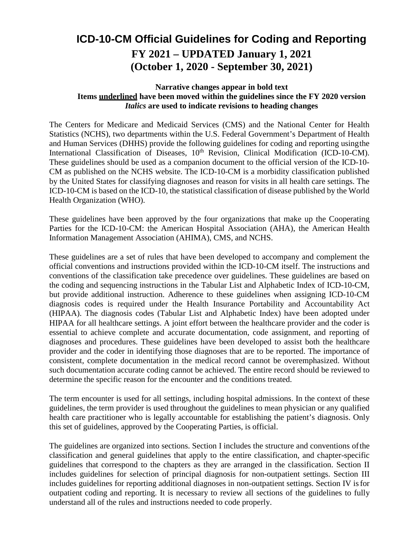# <span id="page-0-0"></span>**ICD-10-CM Official Guidelines for Coding and Reporting FY 2021 – UPDATED January 1, 2021 (October 1, 2020 - September 30, 2021)**

#### **Narrative changes appear in bold text Items underlined have been moved within the guidelines since the FY 2020 version** *Italics* **are used to indicate revisions to heading changes**

The Centers for Medicare and Medicaid Services (CMS) and the National Center for Health Statistics (NCHS), two departments within the U.S. Federal Government's Department of Health and Human Services (DHHS) provide the following guidelines for coding and reporting usingthe International Classification of Diseases,  $10^{th}$  Revision, Clinical Modification (ICD-10-CM). These guidelines should be used as a companion document to the official version of the ICD-10- CM as published on the NCHS website. The ICD-10-CM is a morbidity classification published by the United States for classifying diagnoses and reason for visits in all health care settings. The ICD-10-CM is based on the ICD-10, the statistical classification of disease published by the World Health Organization (WHO).

These guidelines have been approved by the four organizations that make up the Cooperating Parties for the ICD-10-CM: the American Hospital Association (AHA), the American Health Information Management Association (AHIMA), CMS, and NCHS.

These guidelines are a set of rules that have been developed to accompany and complement the official conventions and instructions provided within the ICD-10-CM itself. The instructions and conventions of the classification take precedence over guidelines. These guidelines are based on the coding and sequencing instructions in the Tabular List and Alphabetic Index of ICD-10-CM, but provide additional instruction. Adherence to these guidelines when assigning ICD-10-CM diagnosis codes is required under the Health Insurance Portability and Accountability Act (HIPAA). The diagnosis codes (Tabular List and Alphabetic Index) have been adopted under HIPAA for all healthcare settings. A joint effort between the healthcare provider and the coder is essential to achieve complete and accurate documentation, code assignment, and reporting of diagnoses and procedures. These guidelines have been developed to assist both the healthcare provider and the coder in identifying those diagnoses that are to be reported. The importance of consistent, complete documentation in the medical record cannot be overemphasized. Without such documentation accurate coding cannot be achieved. The entire record should be reviewed to determine the specific reason for the encounter and the conditions treated.

The term encounter is used for all settings, including hospital admissions. In the context of these guidelines, the term provider is used throughout the guidelines to mean physician or any qualified health care practitioner who is legally accountable for establishing the patient's diagnosis. Only this set of guidelines, approved by the Cooperating Parties, is official.

The guidelines are organized into sections. Section I includes the structure and conventions ofthe classification and general guidelines that apply to the entire classification, and chapter-specific guidelines that correspond to the chapters as they are arranged in the classification. Section II includes guidelines for selection of principal diagnosis for non-outpatient settings. Section III includes guidelines for reporting additional diagnoses in non-outpatient settings. Section IV isfor outpatient coding and reporting. It is necessary to review all sections of the guidelines to fully understand all of the rules and instructions needed to code properly.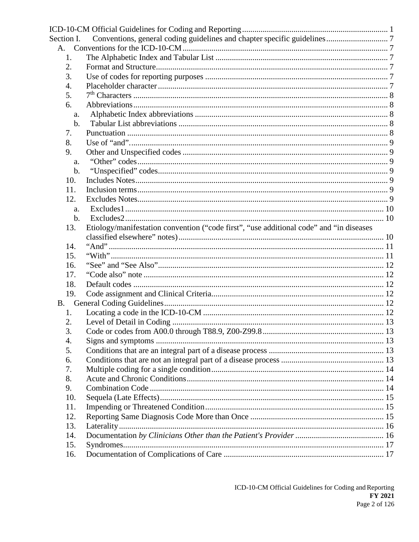| Section I. |                                                                                         |  |
|------------|-----------------------------------------------------------------------------------------|--|
|            |                                                                                         |  |
| 1.         |                                                                                         |  |
| 2.         |                                                                                         |  |
| 3.         |                                                                                         |  |
| 4.         |                                                                                         |  |
| 5.         |                                                                                         |  |
| 6.         |                                                                                         |  |
| a.         |                                                                                         |  |
| b.         |                                                                                         |  |
| 7.         |                                                                                         |  |
| 8.         |                                                                                         |  |
| 9.         |                                                                                         |  |
| a.         |                                                                                         |  |
| b.         |                                                                                         |  |
| 10.        |                                                                                         |  |
| 11.        |                                                                                         |  |
| 12.        |                                                                                         |  |
| a.         |                                                                                         |  |
| b.         |                                                                                         |  |
| 13.        | Etiology/manifestation convention ("code first", "use additional code" and "in diseases |  |
|            |                                                                                         |  |
| 14.        |                                                                                         |  |
| 15.        |                                                                                         |  |
| 16.        |                                                                                         |  |
| 17.        |                                                                                         |  |
| 18.        |                                                                                         |  |
| 19.        |                                                                                         |  |
|            |                                                                                         |  |
| 1.         |                                                                                         |  |
| 2.         |                                                                                         |  |
| 3.         |                                                                                         |  |
| 4.         |                                                                                         |  |
| 5.         |                                                                                         |  |
| 6.         |                                                                                         |  |
|            |                                                                                         |  |
| 7.         |                                                                                         |  |
| 8.         |                                                                                         |  |
| 9.         |                                                                                         |  |
| 10.        |                                                                                         |  |
| 11.        |                                                                                         |  |
| 12.        |                                                                                         |  |
| 13.        |                                                                                         |  |
| 14.        |                                                                                         |  |
| 15.        |                                                                                         |  |
| 16.        |                                                                                         |  |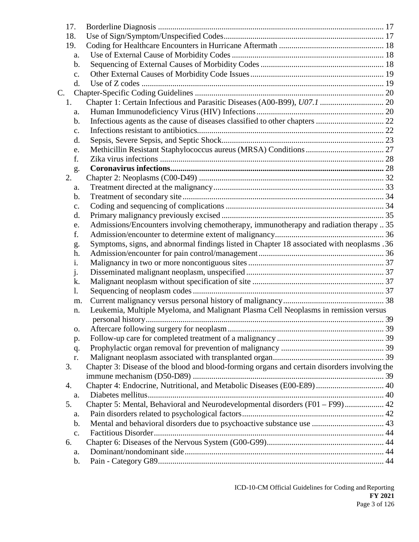| 17.            |                                                                                              |  |
|----------------|----------------------------------------------------------------------------------------------|--|
| 18.            |                                                                                              |  |
| 19.            |                                                                                              |  |
| a.             |                                                                                              |  |
| b.             |                                                                                              |  |
| $\mathbf{c}$ . |                                                                                              |  |
| d.             |                                                                                              |  |
| $C_{\cdot}$    |                                                                                              |  |
| 1.             |                                                                                              |  |
| a.             |                                                                                              |  |
| b.             |                                                                                              |  |
| c.             |                                                                                              |  |
| d.             |                                                                                              |  |
| e.             |                                                                                              |  |
| f.             |                                                                                              |  |
| g.             |                                                                                              |  |
| 2.             |                                                                                              |  |
| a.             |                                                                                              |  |
| b.             |                                                                                              |  |
| c.             |                                                                                              |  |
| d.             |                                                                                              |  |
| e.             | Admissions/Encounters involving chemotherapy, immunotherapy and radiation therapy  35        |  |
| f.             |                                                                                              |  |
| g.             | Symptoms, signs, and abnormal findings listed in Chapter 18 associated with neoplasms .36    |  |
| h.             |                                                                                              |  |
| i.             |                                                                                              |  |
| j.             |                                                                                              |  |
| k.             |                                                                                              |  |
| $\mathbf{1}$ . |                                                                                              |  |
| m.             |                                                                                              |  |
| n.             | Leukemia, Multiple Myeloma, and Malignant Plasma Cell Neoplasms in remission versus          |  |
|                |                                                                                              |  |
| О.             |                                                                                              |  |
| p.             |                                                                                              |  |
| q.             |                                                                                              |  |
| r.             |                                                                                              |  |
| 3.             | Chapter 3: Disease of the blood and blood-forming organs and certain disorders involving the |  |
|                |                                                                                              |  |
| 4.             | Chapter 4: Endocrine, Nutritional, and Metabolic Diseases (E00-E89)  40                      |  |
| a.             |                                                                                              |  |
| 5.             | Chapter 5: Mental, Behavioral and Neurodevelopmental disorders (F01 - F99) 42                |  |
| a.             |                                                                                              |  |
| b.             |                                                                                              |  |
| c.             |                                                                                              |  |
| 6.             |                                                                                              |  |
| a.             |                                                                                              |  |
| b.             |                                                                                              |  |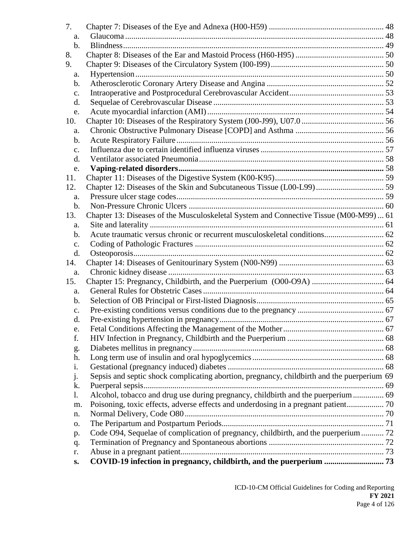| 7.             |                                                                                            |  |
|----------------|--------------------------------------------------------------------------------------------|--|
| a.             |                                                                                            |  |
| b.             |                                                                                            |  |
| 8.             |                                                                                            |  |
| 9.             |                                                                                            |  |
| a.             |                                                                                            |  |
| b.             |                                                                                            |  |
| $C_{\bullet}$  |                                                                                            |  |
| d.             |                                                                                            |  |
| e.             |                                                                                            |  |
| 10.            |                                                                                            |  |
| a.             |                                                                                            |  |
| b.             |                                                                                            |  |
| $C_{\bullet}$  |                                                                                            |  |
| $\mathbf{d}$ . |                                                                                            |  |
| e.             |                                                                                            |  |
| 11.            |                                                                                            |  |
| 12.            |                                                                                            |  |
| a.             |                                                                                            |  |
| b.             |                                                                                            |  |
| 13.            | Chapter 13: Diseases of the Musculoskeletal System and Connective Tissue (M00-M99) 61      |  |
| a.             |                                                                                            |  |
| b.             |                                                                                            |  |
| c.             |                                                                                            |  |
| d.             |                                                                                            |  |
| 14.            |                                                                                            |  |
| a.             |                                                                                            |  |
| 15.            |                                                                                            |  |
| a.             |                                                                                            |  |
| b.             |                                                                                            |  |
| c.             |                                                                                            |  |
| d.             |                                                                                            |  |
| e.             |                                                                                            |  |
| f.             |                                                                                            |  |
| g.             |                                                                                            |  |
| h.             |                                                                                            |  |
| i.             |                                                                                            |  |
| j.             | Sepsis and septic shock complicating abortion, pregnancy, childbirth and the puerperium 69 |  |
| k.             |                                                                                            |  |
| 1.             | Alcohol, tobacco and drug use during pregnancy, childbirth and the puerperium  69          |  |
| m.             | Poisoning, toxic effects, adverse effects and underdosing in a pregnant patient 70         |  |
| n.             |                                                                                            |  |
| 0.             |                                                                                            |  |
| p.             | Code O94, Sequelae of complication of pregnancy, childbirth, and the puerperium  72        |  |
| q.             |                                                                                            |  |
| r.             |                                                                                            |  |
| $S_{\bullet}$  |                                                                                            |  |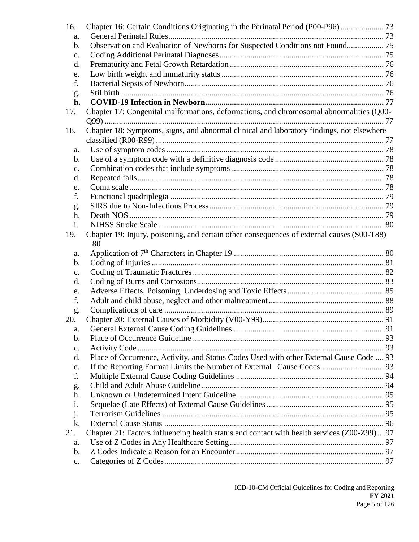| 16.            | Chapter 16: Certain Conditions Originating in the Perinatal Period (P00-P96)                 |  |
|----------------|----------------------------------------------------------------------------------------------|--|
| a.             |                                                                                              |  |
| b.             | Observation and Evaluation of Newborns for Suspected Conditions not Found 75                 |  |
| c.             |                                                                                              |  |
| d.             |                                                                                              |  |
| e.             |                                                                                              |  |
| f.             |                                                                                              |  |
| g.             |                                                                                              |  |
| h.             |                                                                                              |  |
| 17.            | Chapter 17: Congenital malformations, deformations, and chromosomal abnormalities (Q00-      |  |
|                |                                                                                              |  |
| 18.            | Chapter 18: Symptoms, signs, and abnormal clinical and laboratory findings, not elsewhere    |  |
|                |                                                                                              |  |
| a.             |                                                                                              |  |
| b.             |                                                                                              |  |
| $\mathbf{C}$ . |                                                                                              |  |
| d.             |                                                                                              |  |
| e.             |                                                                                              |  |
| f.             |                                                                                              |  |
| g.             |                                                                                              |  |
| h.             |                                                                                              |  |
| i.             |                                                                                              |  |
| 19.            | Chapter 19: Injury, poisoning, and certain other consequences of external causes (S00-T88)   |  |
|                | 80                                                                                           |  |
| a.             |                                                                                              |  |
| $\mathbf b$ .  |                                                                                              |  |
| $\mathbf{c}$ . |                                                                                              |  |
| d.             |                                                                                              |  |
| e.             |                                                                                              |  |
| f.             |                                                                                              |  |
| g.             |                                                                                              |  |
| 20.            |                                                                                              |  |
| a.             |                                                                                              |  |
| b.             |                                                                                              |  |
| c.             |                                                                                              |  |
| d.             | Place of Occurrence, Activity, and Status Codes Used with other External Cause Code  93      |  |
| e.             |                                                                                              |  |
| f.             |                                                                                              |  |
| g.             |                                                                                              |  |
| h.             |                                                                                              |  |
| i.             |                                                                                              |  |
| j.             |                                                                                              |  |
| k.             |                                                                                              |  |
| 21.            | Chapter 21: Factors influencing health status and contact with health services (Z00-Z99)  97 |  |
| a.             |                                                                                              |  |
| b.             |                                                                                              |  |
| $C_{\bullet}$  |                                                                                              |  |
|                |                                                                                              |  |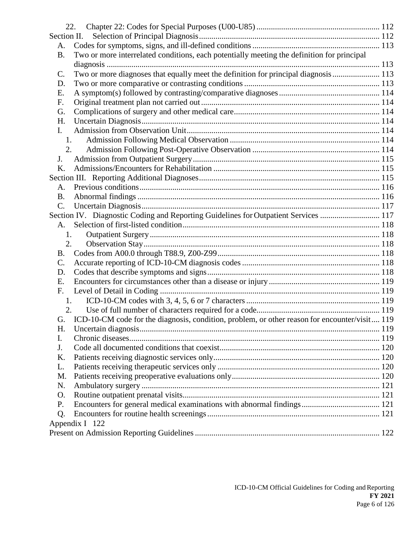|             | 22.                                                                                           |  |
|-------------|-----------------------------------------------------------------------------------------------|--|
| Section II. |                                                                                               |  |
| A.          |                                                                                               |  |
| <b>B.</b>   | Two or more interrelated conditions, each potentially meeting the definition for principal    |  |
|             |                                                                                               |  |
| C.          | Two or more diagnoses that equally meet the definition for principal diagnosis  113           |  |
| D.          |                                                                                               |  |
| Е.          |                                                                                               |  |
| F.          |                                                                                               |  |
| G.          |                                                                                               |  |
| H.          |                                                                                               |  |
| I.          |                                                                                               |  |
| 1.          |                                                                                               |  |
| 2.          |                                                                                               |  |
| J.          |                                                                                               |  |
| Κ.          |                                                                                               |  |
|             |                                                                                               |  |
| A.          |                                                                                               |  |
| Β.          |                                                                                               |  |
| C.          |                                                                                               |  |
|             | Section IV. Diagnostic Coding and Reporting Guidelines for Outpatient Services  117           |  |
| A.          |                                                                                               |  |
| 1.          |                                                                                               |  |
| 2.          |                                                                                               |  |
| В.          |                                                                                               |  |
| C.          |                                                                                               |  |
| D.          |                                                                                               |  |
| Е.          |                                                                                               |  |
| F.          |                                                                                               |  |
| 1.          |                                                                                               |  |
| 2.          |                                                                                               |  |
| G.          | ICD-10-CM code for the diagnosis, condition, problem, or other reason for encounter/visit 119 |  |
| Η.          |                                                                                               |  |
| I.          |                                                                                               |  |
| J.          |                                                                                               |  |
| K.          |                                                                                               |  |
| L.          |                                                                                               |  |
| M.          |                                                                                               |  |
| N.          |                                                                                               |  |
| 0.          |                                                                                               |  |
| P.          |                                                                                               |  |
| Q.          |                                                                                               |  |
|             | Appendix I 122                                                                                |  |
|             |                                                                                               |  |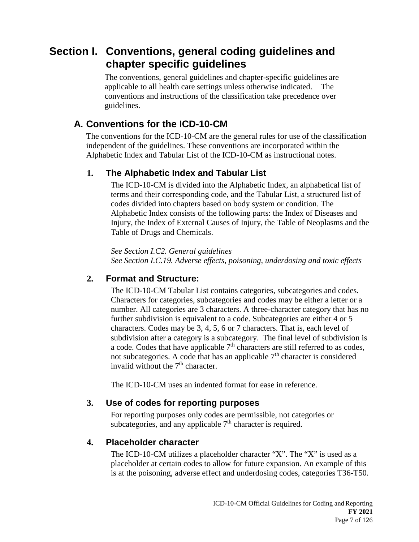# <span id="page-6-0"></span>**Section I. Conventions, general coding guidelines and chapter specific guidelines**

The conventions, general guidelines and chapter-specific guidelines are applicable to all health care settings unless otherwise indicated. The conventions and instructions of the classification take precedence over guidelines.

# <span id="page-6-1"></span>**A. Conventions for the ICD-10-CM**

The conventions for the ICD-10-CM are the general rules for use of the classification independent of the guidelines. These conventions are incorporated within the Alphabetic Index and Tabular List of the ICD-10-CM as instructional notes.

# **1. The Alphabetic Index and Tabular List**

<span id="page-6-2"></span>The ICD-10-CM is divided into the Alphabetic Index, an alphabetical list of terms and their corresponding code, and the Tabular List, a structured list of codes divided into chapters based on body system or condition. The Alphabetic Index consists of the following parts: the Index of Diseases and Injury, the Index of External Causes of Injury, the Table of Neoplasms and the Table of Drugs and Chemicals.

*See Section I.C2. General guidelines See Section I.C.19. Adverse effects, poisoning, underdosing and toxic effects* 

# <span id="page-6-3"></span>**2. Format and Structure:**

The ICD-10-CM Tabular List contains categories, subcategories and codes. Characters for categories, subcategories and codes may be either a letter or a number. All categories are 3 characters. A three-character category that has no further subdivision is equivalent to a code. Subcategories are either 4 or 5 characters. Codes may be 3, 4, 5, 6 or 7 characters. That is, each level of subdivision after a category is a subcategory. The final level of subdivision is a code. Codes that have applicable  $7<sup>th</sup>$  characters are still referred to as codes, not subcategories. A code that has an applicable  $7<sup>th</sup>$  character is considered invalid without the  $7<sup>th</sup>$  character.

The ICD-10-CM uses an indented format for ease in reference.

### <span id="page-6-4"></span>**3. Use of codes for reporting purposes**

For reporting purposes only codes are permissible, not categories or subcategories, and any applicable  $7<sup>th</sup>$  character is required.

### <span id="page-6-5"></span>**4. Placeholder character**

The ICD-10-CM utilizes a placeholder character "X". The "X" is used as a placeholder at certain codes to allow for future expansion. An example of this is at the poisoning, adverse effect and underdosing codes, categories T36-T50.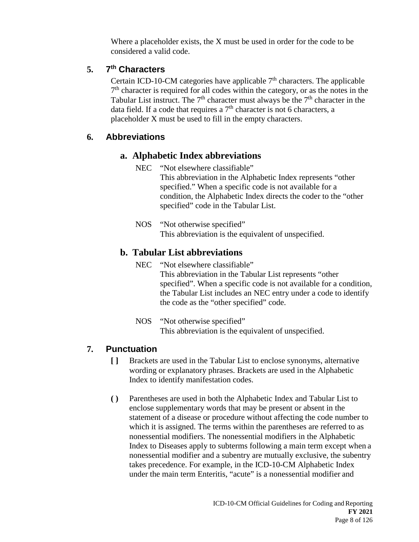Where a placeholder exists, the X must be used in order for the code to be considered a valid code.

## <span id="page-7-0"></span>**5. 7th Characters**

Certain ICD-10-CM categories have applicable  $7<sup>th</sup>$  characters. The applicable  $7<sup>th</sup>$  character is required for all codes within the category, or as the notes in the Tabular List instruct. The  $7<sup>th</sup>$  character must always be the  $7<sup>th</sup>$  character in the data field. If a code that requires a  $7<sup>th</sup>$  character is not 6 characters, a placeholder X must be used to fill in the empty characters.

# <span id="page-7-2"></span><span id="page-7-1"></span>**6. Abbreviations**

# **a. Alphabetic Index abbreviations**

NEC "Not elsewhere classifiable"

This abbreviation in the Alphabetic Index represents "other specified." When a specific code is not available for a condition, the Alphabetic Index directs the coder to the "other specified" code in the Tabular List.

NOS "Not otherwise specified" This abbreviation is the equivalent of unspecified.

# <span id="page-7-3"></span>**b. Tabular List abbreviations**

- NEC "Not elsewhere classifiable" This abbreviation in the Tabular List represents "other specified". When a specific code is not available for a condition, the Tabular List includes an NEC entry under a code to identify the code as the "other specified" code.
- NOS "Not otherwise specified" This abbreviation is the equivalent of unspecified.

# <span id="page-7-4"></span>**7. Punctuation**

- **[ ]** Brackets are used in the Tabular List to enclose synonyms, alternative wording or explanatory phrases. Brackets are used in the Alphabetic Index to identify manifestation codes.
- **( )** Parentheses are used in both the Alphabetic Index and Tabular List to enclose supplementary words that may be present or absent in the statement of a disease or procedure without affecting the code number to which it is assigned. The terms within the parentheses are referred to as nonessential modifiers. The nonessential modifiers in the Alphabetic Index to Diseases apply to subterms following a main term except when a nonessential modifier and a subentry are mutually exclusive, the subentry takes precedence. For example, in the ICD-10-CM Alphabetic Index under the main term Enteritis, "acute" is a nonessential modifier and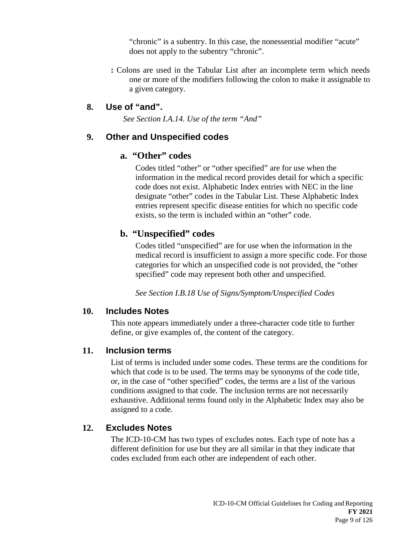"chronic" is a subentry. In this case, the nonessential modifier "acute" does not apply to the subentry "chronic".

**:** Colons are used in the Tabular List after an incomplete term which needs one or more of the modifiers following the colon to make it assignable to a given category.

### <span id="page-8-0"></span>**8. Use of "and".**

*See Section I.A.14. Use of the term "And"* 

### <span id="page-8-2"></span><span id="page-8-1"></span>**9. Other and Unspecified codes**

#### **a. "Other" codes**

<span id="page-8-3"></span>Codes titled "other" or "other specified" are for use when the information in the medical record provides detail for which a specific code does not exist. Alphabetic Index entries with NEC in the line designate "other" codes in the Tabular List. These Alphabetic Index entries represent specific disease entities for which no specific code exists, so the term is included within an "other" code.

# **b. "Unspecified" codes**

Codes titled "unspecified" are for use when the information in the medical record is insufficient to assign a more specific code. For those categories for which an unspecified code is not provided, the "other specified" code may represent both other and unspecified.

*See Section I.B.18 Use of Signs/Symptom/Unspecified Codes* 

#### <span id="page-8-4"></span>**10. Includes Notes**

This note appears immediately under a three-character code title to further define, or give examples of, the content of the category.

#### <span id="page-8-5"></span>**11. Inclusion terms**

List of terms is included under some codes. These terms are the conditions for which that code is to be used. The terms may be synonyms of the code title, or, in the case of "other specified" codes, the terms are a list of the various conditions assigned to that code. The inclusion terms are not necessarily exhaustive. Additional terms found only in the Alphabetic Index may also be assigned to a code.

### <span id="page-8-6"></span>**12. Excludes Notes**

The ICD-10-CM has two types of excludes notes. Each type of note has a different definition for use but they are all similar in that they indicate that codes excluded from each other are independent of each other.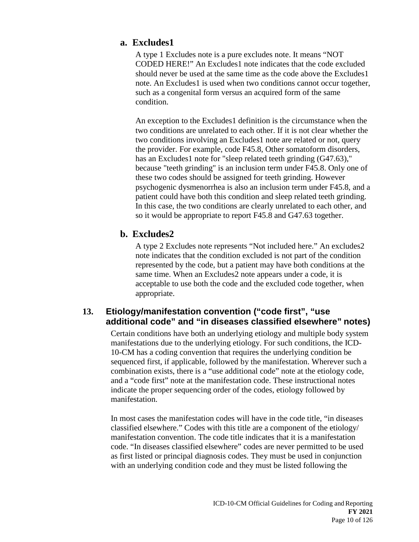## <span id="page-9-0"></span>**a. Excludes1**

A type 1 Excludes note is a pure excludes note. It means "NOT CODED HERE!" An Excludes1 note indicates that the code excluded should never be used at the same time as the code above the Excludes1 note. An Excludes1 is used when two conditions cannot occur together, such as a congenital form versus an acquired form of the same condition.

An exception to the Excludes1 definition is the circumstance when the two conditions are unrelated to each other. If it is not clear whether the two conditions involving an Excludes1 note are related or not, query the provider. For example, code F45.8, Other somatoform disorders, has an Excludes1 note for "sleep related teeth grinding (G47.63)," because "teeth grinding" is an inclusion term under F45.8. Only one of these two codes should be assigned for teeth grinding. However psychogenic dysmenorrhea is also an inclusion term under F45.8, and a patient could have both this condition and sleep related teeth grinding. In this case, the two conditions are clearly unrelated to each other, and so it would be appropriate to report F45.8 and G47.63 together.

## **b. Excludes2**

<span id="page-9-2"></span><span id="page-9-1"></span>A type 2 Excludes note represents "Not included here." An excludes2 note indicates that the condition excluded is not part of the condition represented by the code, but a patient may have both conditions at the same time. When an Excludes2 note appears under a code, it is acceptable to use both the code and the excluded code together, when appropriate.

## **13. Etiology/manifestation convention ("code first", "use additional code" and "in diseases classified elsewhere" notes)**

Certain conditions have both an underlying etiology and multiple body system manifestations due to the underlying etiology. For such conditions, the ICD-10-CM has a coding convention that requires the underlying condition be sequenced first, if applicable, followed by the manifestation. Wherever such a combination exists, there is a "use additional code" note at the etiology code, and a "code first" note at the manifestation code. These instructional notes indicate the proper sequencing order of the codes, etiology followed by manifestation.

In most cases the manifestation codes will have in the code title, "in diseases classified elsewhere." Codes with this title are a component of the etiology/ manifestation convention. The code title indicates that it is a manifestation code. "In diseases classified elsewhere" codes are never permitted to be used as first listed or principal diagnosis codes. They must be used in conjunction with an underlying condition code and they must be listed following the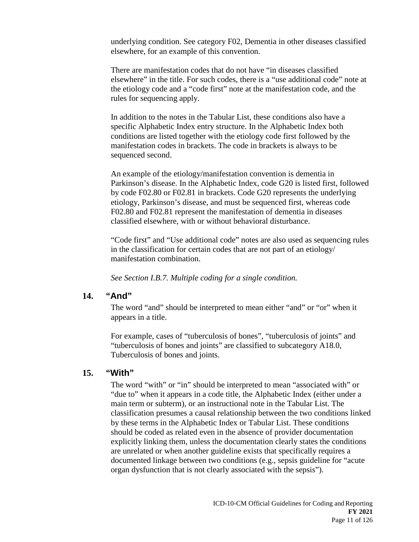underlying condition. See category F02, Dementia in other diseases classified elsewhere, for an example of this convention.

There are manifestation codes that do not have "in diseases classified elsewhere" in the title. For such codes, there is a "use additional code" note at the etiology code and a "code first" note at the manifestation code, and the rules for sequencing apply.

In addition to the notes in the Tabular List, these conditions also have a specific Alphabetic Index entry structure. In the Alphabetic Index both conditions are listed together with the etiology code first followed by the manifestation codes in brackets. The code in brackets is always to be sequenced second.

An example of the etiology/manifestation convention is dementia in Parkinson's disease. In the Alphabetic Index, code G20 is listed first, followed by code F02.80 or F02.81 in brackets. Code G20 represents the underlying etiology, Parkinson's disease, and must be sequenced first, whereas code F02.80 and F02.81 represent the manifestation of dementia in diseases classified elsewhere, with or without behavioral disturbance.

"Code first" and "Use additional code" notes are also used as sequencing rules in the classification for certain codes that are not part of an etiology/ manifestation combination.

*See Section I.B.7. Multiple coding for a single condition.*

#### <span id="page-10-0"></span>**14. "And"**

The word "and" should be interpreted to mean either "and" or "or" when it appears in a title.

For example, cases of "tuberculosis of bones", "tuberculosis of joints" and "tuberculosis of bones and joints" are classified to subcategory A18.0, Tuberculosis of bones and joints.

#### <span id="page-10-1"></span>**15. "With"**

The word "with" or "in" should be interpreted to mean "associated with" or "due to" when it appears in a code title, the Alphabetic Index (either under a main term or subterm), or an instructional note in the Tabular List. The classification presumes a causal relationship between the two conditions linked by these terms in the Alphabetic Index or Tabular List. These conditions should be coded as related even in the absence of provider documentation explicitly linking them, unless the documentation clearly states the conditions are unrelated or when another guideline exists that specifically requires a documented linkage between two conditions (e.g., sepsis guideline for "acute organ dysfunction that is not clearly associated with the sepsis").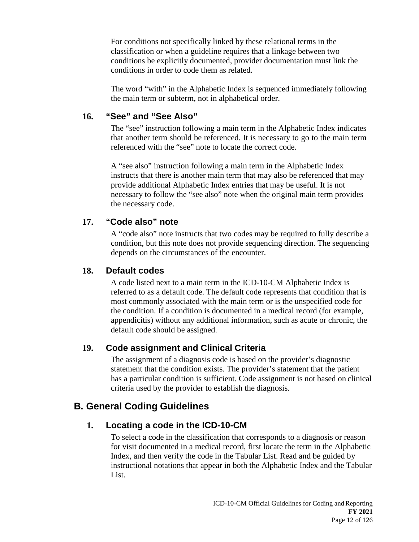For conditions not specifically linked by these relational terms in the classification or when a guideline requires that a linkage between two conditions be explicitly documented, provider documentation must link the conditions in order to code them as related.

The word "with" in the Alphabetic Index is sequenced immediately following the main term or subterm, not in alphabetical order.

#### <span id="page-11-0"></span>**16. "See" and "See Also"**

The "see" instruction following a main term in the Alphabetic Index indicates that another term should be referenced. It is necessary to go to the main term referenced with the "see" note to locate the correct code.

A "see also" instruction following a main term in the Alphabetic Index instructs that there is another main term that may also be referenced that may provide additional Alphabetic Index entries that may be useful. It is not necessary to follow the "see also" note when the original main term provides the necessary code.

#### <span id="page-11-1"></span>**17. "Code also" note**

<span id="page-11-2"></span>A "code also" note instructs that two codes may be required to fully describe a condition, but this note does not provide sequencing direction. The sequencing depends on the circumstances of the encounter.

#### **18. Default codes**

A code listed next to a main term in the ICD-10-CM Alphabetic Index is referred to as a default code. The default code represents that condition that is most commonly associated with the main term or is the unspecified code for the condition. If a condition is documented in a medical record (for example, appendicitis) without any additional information, such as acute or chronic, the default code should be assigned.

### <span id="page-11-3"></span>**19. Code assignment and Clinical Criteria**

The assignment of a diagnosis code is based on the provider's diagnostic statement that the condition exists. The provider's statement that the patient has a particular condition is sufficient. Code assignment is not based on clinical criteria used by the provider to establish the diagnosis.

# <span id="page-11-5"></span><span id="page-11-4"></span>**B. General Coding Guidelines**

### **1. Locating a code in the ICD-10-CM**

To select a code in the classification that corresponds to a diagnosis or reason for visit documented in a medical record, first locate the term in the Alphabetic Index, and then verify the code in the Tabular List. Read and be guided by instructional notations that appear in both the Alphabetic Index and the Tabular List.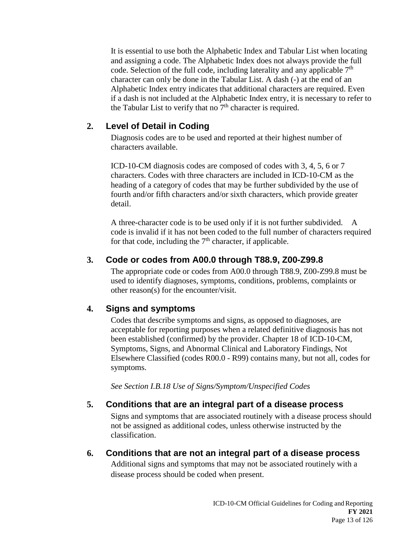It is essential to use both the Alphabetic Index and Tabular List when locating and assigning a code. The Alphabetic Index does not always provide the full code. Selection of the full code, including laterality and any applicable  $7<sup>th</sup>$ character can only be done in the Tabular List. A dash (-) at the end of an Alphabetic Index entry indicates that additional characters are required. Even if a dash is not included at the Alphabetic Index entry, it is necessary to refer to the Tabular List to verify that no  $7<sup>th</sup>$  character is required.

### **2. Level of Detail in Coding**

<span id="page-12-0"></span>Diagnosis codes are to be used and reported at their highest number of characters available.

ICD-10-CM diagnosis codes are composed of codes with 3, 4, 5, 6 or 7 characters. Codes with three characters are included in ICD-10-CM as the heading of a category of codes that may be further subdivided by the use of fourth and/or fifth characters and/or sixth characters, which provide greater detail.

A three-character code is to be used only if it is not further subdivided. A code is invalid if it has not been coded to the full number of characters required for that code, including the  $7<sup>th</sup>$  character, if applicable.

## <span id="page-12-1"></span>**3. Code or codes from A00.0 through T88.9, Z00-Z99.8**

<span id="page-12-2"></span>The appropriate code or codes from A00.0 through T88.9, Z00-Z99.8 must be used to identify diagnoses, symptoms, conditions, problems, complaints or other reason(s) for the encounter/visit.

### **4. Signs and symptoms**

Codes that describe symptoms and signs, as opposed to diagnoses, are acceptable for reporting purposes when a related definitive diagnosis has not been established (confirmed) by the provider. Chapter 18 of ICD-10-CM, Symptoms, Signs, and Abnormal Clinical and Laboratory Findings, Not Elsewhere Classified (codes R00.0 - R99) contains many, but not all, codes for symptoms.

*See Section I.B.18 Use of Signs/Symptom/Unspecified Codes*

### <span id="page-12-3"></span>**5. Conditions that are an integral part of a disease process**

Signs and symptoms that are associated routinely with a disease process should not be assigned as additional codes, unless otherwise instructed by the classification.

<span id="page-12-4"></span>**6. Conditions that are not an integral part of a disease process**  Additional signs and symptoms that may not be associated routinely with a disease process should be coded when present.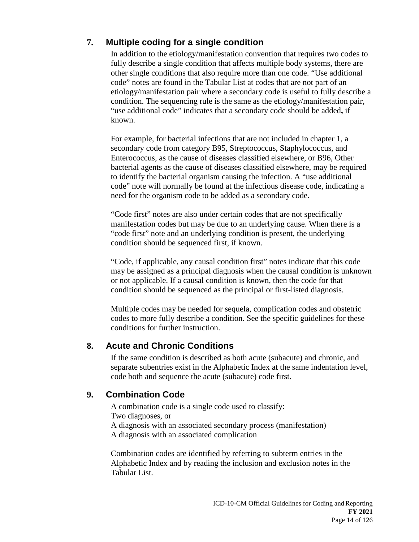# <span id="page-13-0"></span>**7. Multiple coding for a single condition**

In addition to the etiology/manifestation convention that requires two codes to fully describe a single condition that affects multiple body systems, there are other single conditions that also require more than one code. "Use additional code" notes are found in the Tabular List at codes that are not part of an etiology/manifestation pair where a secondary code is useful to fully describe a condition. The sequencing rule is the same as the etiology/manifestation pair, "use additional code" indicates that a secondary code should be added**,** if known.

For example, for bacterial infections that are not included in chapter 1, a secondary code from category B95, Streptococcus, Staphylococcus, and Enterococcus, as the cause of diseases classified elsewhere, or B96, Other bacterial agents as the cause of diseases classified elsewhere, may be required to identify the bacterial organism causing the infection. A "use additional code" note will normally be found at the infectious disease code, indicating a need for the organism code to be added as a secondary code.

"Code first" notes are also under certain codes that are not specifically manifestation codes but may be due to an underlying cause. When there is a "code first" note and an underlying condition is present, the underlying condition should be sequenced first, if known.

"Code, if applicable, any causal condition first" notes indicate that this code may be assigned as a principal diagnosis when the causal condition is unknown or not applicable. If a causal condition is known, then the code for that condition should be sequenced as the principal or first-listed diagnosis.

Multiple codes may be needed for sequela, complication codes and obstetric codes to more fully describe a condition. See the specific guidelines for these conditions for further instruction.

### <span id="page-13-1"></span>**8. Acute and Chronic Conditions**

<span id="page-13-2"></span>If the same condition is described as both acute (subacute) and chronic, and separate subentries exist in the Alphabetic Index at the same indentation level, code both and sequence the acute (subacute) code first.

# **9. Combination Code**

A combination code is a single code used to classify: Two diagnoses, or A diagnosis with an associated secondary process (manifestation) A diagnosis with an associated complication

Combination codes are identified by referring to subterm entries in the Alphabetic Index and by reading the inclusion and exclusion notes in the Tabular List.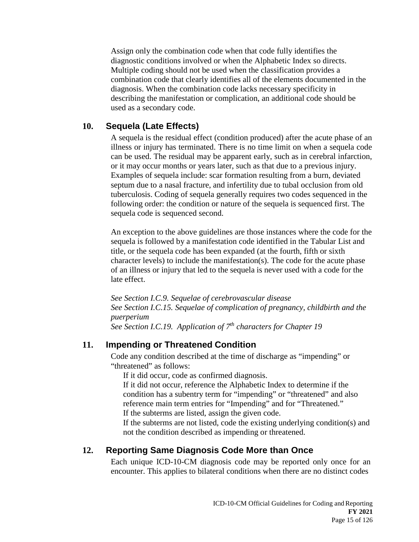Assign only the combination code when that code fully identifies the diagnostic conditions involved or when the Alphabetic Index so directs. Multiple coding should not be used when the classification provides a combination code that clearly identifies all of the elements documented in the diagnosis. When the combination code lacks necessary specificity in describing the manifestation or complication, an additional code should be used as a secondary code.

#### **10. Sequela (Late Effects)**

<span id="page-14-0"></span>A sequela is the residual effect (condition produced) after the acute phase of an illness or injury has terminated. There is no time limit on when a sequela code can be used. The residual may be apparent early, such as in cerebral infarction, or it may occur months or years later, such as that due to a previous injury. Examples of sequela include: scar formation resulting from a burn, deviated septum due to a nasal fracture, and infertility due to tubal occlusion from old tuberculosis. Coding of sequela generally requires two codes sequenced in the following order: the condition or nature of the sequela is sequenced first. The sequela code is sequenced second.

An exception to the above guidelines are those instances where the code for the sequela is followed by a manifestation code identified in the Tabular List and title, or the sequela code has been expanded (at the fourth, fifth or sixth character levels) to include the manifestation(s). The code for the acute phase of an illness or injury that led to the sequela is never used with a code for the late effect.

*See Section I.C.9. Sequelae of cerebrovascular disease See Section I.C.15. Sequelae of complication of pregnancy, childbirth and the puerperium See Section I.C.19. Application of 7th characters for Chapter 19*

#### <span id="page-14-1"></span>**11. Impending or Threatened Condition**

Code any condition described at the time of discharge as "impending" or "threatened" as follows:

If it did occur, code as confirmed diagnosis.

If it did not occur, reference the Alphabetic Index to determine if the condition has a subentry term for "impending" or "threatened" and also reference main term entries for "Impending" and for "Threatened." If the subterms are listed, assign the given code.

<span id="page-14-2"></span>If the subterms are not listed, code the existing underlying condition(s) and not the condition described as impending or threatened.

#### **12. Reporting Same Diagnosis Code More than Once**

Each unique ICD-10-CM diagnosis code may be reported only once for an encounter. This applies to bilateral conditions when there are no distinct codes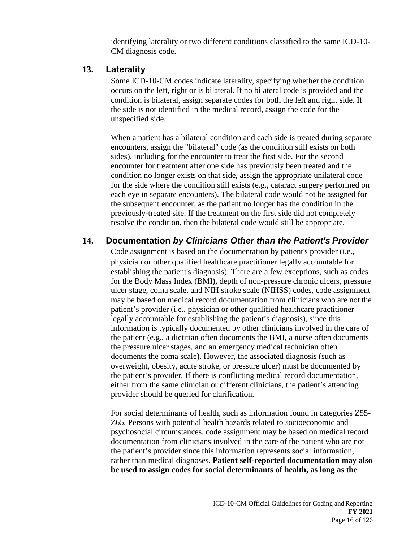identifying laterality or two different conditions classified to the same ICD-10- CM diagnosis code.

### <span id="page-15-0"></span>**13. Laterality**

Some ICD-10-CM codes indicate laterality, specifying whether the condition occurs on the left, right or is bilateral. If no bilateral code is provided and the condition is bilateral, assign separate codes for both the left and right side. If the side is not identified in the medical record, assign the code for the unspecified side.

When a patient has a bilateral condition and each side is treated during separate encounters, assign the "bilateral" code (as the condition still exists on both sides), including for the encounter to treat the first side. For the second encounter for treatment after one side has previously been treated and the condition no longer exists on that side, assign the appropriate unilateral code for the side where the condition still exists (e.g., cataract surgery performed on each eye in separate encounters). The bilateral code would not be assigned for the subsequent encounter, as the patient no longer has the condition in the previously-treated site. If the treatment on the first side did not completely resolve the condition, then the bilateral code would still be appropriate.

## **14. Documentation** *by Clinicians Other than the Patient's Provider*

<span id="page-15-1"></span>Code assignment is based on the documentation by patient's provider (i.e., physician or other qualified healthcare practitioner legally accountable for establishing the patient's diagnosis). There are a few exceptions, such as codes for the Body Mass Index (BMI**),** depth of non-pressure chronic ulcers, pressure ulcer stage, coma scale, and NIH stroke scale (NIHSS) codes, code assignment may be based on medical record documentation from clinicians who are not the patient's provider (i.e., physician or other qualified healthcare practitioner legally accountable for establishing the patient's diagnosis), since this information is typically documented by other clinicians involved in the care of the patient (e.g., a dietitian often documents the BMI, a nurse often documents the pressure ulcer stages, and an emergency medical technician often documents the coma scale). However, the associated diagnosis (such as overweight, obesity, acute stroke, or pressure ulcer) must be documented by the patient's provider. If there is conflicting medical record documentation, either from the same clinician or different clinicians, the patient's attending provider should be queried for clarification.

For social determinants of health, such as information found in categories Z55- Z65, Persons with potential health hazards related to socioeconomic and psychosocial circumstances, code assignment may be based on medical record documentation from clinicians involved in the care of the patient who are not the patient's provider since this information represents social information, rather than medical diagnoses. **Patient self-reported documentation may also be used to assign codes for social determinants of health, as long as the**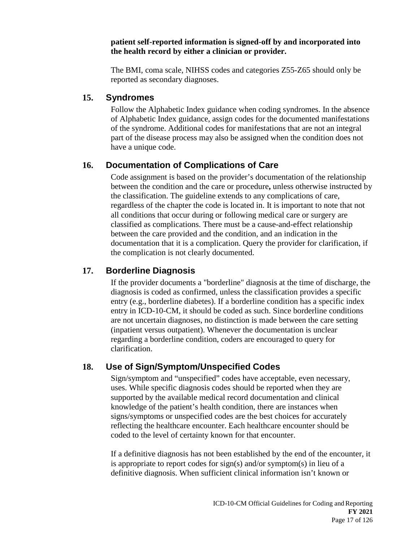#### **patient self-reported information is signed-off by and incorporated into the health record by either a clinician or provider.**

The BMI, coma scale, NIHSS codes and categories Z55-Z65 should only be reported as secondary diagnoses.

## <span id="page-16-0"></span>**15. Syndromes**

Follow the Alphabetic Index guidance when coding syndromes. In the absence of Alphabetic Index guidance, assign codes for the documented manifestations of the syndrome. Additional codes for manifestations that are not an integral part of the disease process may also be assigned when the condition does not have a unique code.

# <span id="page-16-1"></span>**16. Documentation of Complications of Care**

Code assignment is based on the provider's documentation of the relationship between the condition and the care or procedure**,** unless otherwise instructed by the classification. The guideline extends to any complications of care, regardless of the chapter the code is located in. It is important to note that not all conditions that occur during or following medical care or surgery are classified as complications. There must be a cause-and-effect relationship between the care provided and the condition, and an indication in the documentation that it is a complication. Query the provider for clarification, if the complication is not clearly documented.

# **17. Borderline Diagnosis**

<span id="page-16-2"></span>If the provider documents a "borderline" diagnosis at the time of discharge, the diagnosis is coded as confirmed, unless the classification provides a specific entry (e.g., borderline diabetes). If a borderline condition has a specific index entry in ICD-10-CM, it should be coded as such. Since borderline conditions are not uncertain diagnoses, no distinction is made between the care setting (inpatient versus outpatient). Whenever the documentation is unclear regarding a borderline condition, coders are encouraged to query for clarification.

# **18. Use of Sign/Symptom/Unspecified Codes**

<span id="page-16-3"></span>Sign/symptom and "unspecified" codes have acceptable, even necessary, uses. While specific diagnosis codes should be reported when they are supported by the available medical record documentation and clinical knowledge of the patient's health condition, there are instances when signs/symptoms or unspecified codes are the best choices for accurately reflecting the healthcare encounter. Each healthcare encounter should be coded to the level of certainty known for that encounter.

If a definitive diagnosis has not been established by the end of the encounter, it is appropriate to report codes for sign(s) and/or symptom(s) in lieu of a definitive diagnosis. When sufficient clinical information isn't known or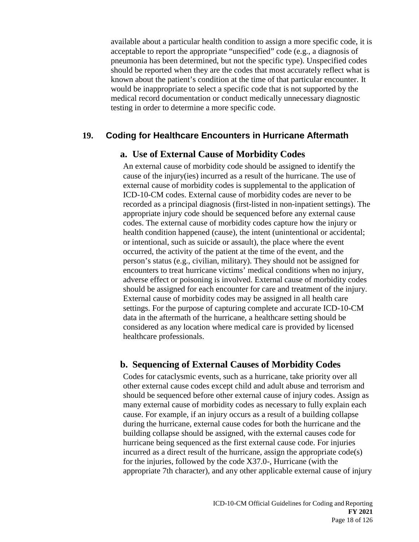available about a particular health condition to assign a more specific code, it is acceptable to report the appropriate "unspecified" code (e.g., a diagnosis of pneumonia has been determined, but not the specific type). Unspecified codes should be reported when they are the codes that most accurately reflect what is known about the patient's condition at the time of that particular encounter. It would be inappropriate to select a specific code that is not supported by the medical record documentation or conduct medically unnecessary diagnostic testing in order to determine a more specific code.

### <span id="page-17-1"></span><span id="page-17-0"></span>**19. Coding for Healthcare Encounters in Hurricane Aftermath**

#### **a. Use of External Cause of Morbidity Codes**

An external cause of morbidity code should be assigned to identify the cause of the injury(ies) incurred as a result of the hurricane. The use of external cause of morbidity codes is supplemental to the application of ICD-10-CM codes. External cause of morbidity codes are never to be recorded as a principal diagnosis (first-listed in non-inpatient settings). The appropriate injury code should be sequenced before any external cause codes. The external cause of morbidity codes capture how the injury or health condition happened (cause), the intent (unintentional or accidental; or intentional, such as suicide or assault), the place where the event occurred, the activity of the patient at the time of the event, and the person's status (e.g., civilian, military). They should not be assigned for encounters to treat hurricane victims' medical conditions when no injury, adverse effect or poisoning is involved. External cause of morbidity codes should be assigned for each encounter for care and treatment of the injury. External cause of morbidity codes may be assigned in all health care settings. For the purpose of capturing complete and accurate ICD-10-CM data in the aftermath of the hurricane, a healthcare setting should be considered as any location where medical care is provided by licensed healthcare professionals.

### <span id="page-17-2"></span>**b. Sequencing of External Causes of Morbidity Codes**

Codes for cataclysmic events, such as a hurricane, take priority over all other external cause codes except child and adult abuse and terrorism and should be sequenced before other external cause of injury codes. Assign as many external cause of morbidity codes as necessary to fully explain each cause. For example, if an injury occurs as a result of a building collapse during the hurricane, external cause codes for both the hurricane and the building collapse should be assigned, with the external causes code for hurricane being sequenced as the first external cause code. For injuries incurred as a direct result of the hurricane, assign the appropriate code(s) for the injuries, followed by the code X37.0-, Hurricane (with the appropriate 7th character), and any other applicable external cause of injury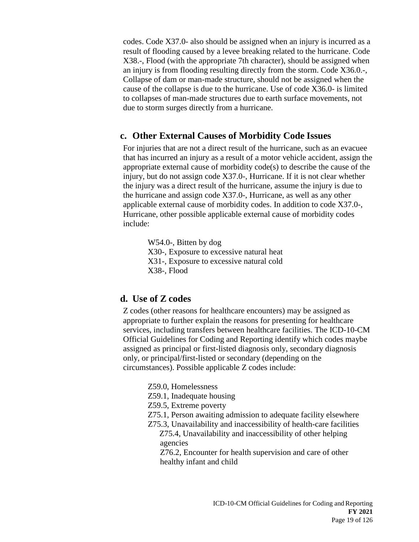codes. Code X37.0- also should be assigned when an injury is incurred as a result of flooding caused by a levee breaking related to the hurricane. Code X38.-, Flood (with the appropriate 7th character), should be assigned when an injury is from flooding resulting directly from the storm. Code X36.0.-, Collapse of dam or man-made structure, should not be assigned when the cause of the collapse is due to the hurricane. Use of code X36.0- is limited to collapses of man-made structures due to earth surface movements, not due to storm surges directly from a hurricane.

#### <span id="page-18-0"></span>**c. Other External Causes of Morbidity Code Issues**

For injuries that are not a direct result of the hurricane, such as an evacuee that has incurred an injury as a result of a motor vehicle accident, assign the appropriate external cause of morbidity code(s) to describe the cause of the injury, but do not assign code X37.0-, Hurricane. If it is not clear whether the injury was a direct result of the hurricane, assume the injury is due to the hurricane and assign code X37.0-, Hurricane, as well as any other applicable external cause of morbidity codes. In addition to code X37.0-, Hurricane, other possible applicable external cause of morbidity codes include:

W54.0-, Bitten by dog X30-, Exposure to excessive natural heat X31-, Exposure to excessive natural cold X38-, Flood

### <span id="page-18-1"></span>**d. Use of Z codes**

Z codes (other reasons for healthcare encounters) may be assigned as appropriate to further explain the reasons for presenting for healthcare services, including transfers between healthcare facilities. The ICD-10-CM Official Guidelines for Coding and Reporting identify which codes maybe assigned as principal or first-listed diagnosis only, secondary diagnosis only, or principal/first-listed or secondary (depending on the circumstances). Possible applicable Z codes include:

- Z59.0, Homelessness
- Z59.1, Inadequate housing
- Z59.5, Extreme poverty
- Z75.1, Person awaiting admission to adequate facility elsewhere
- Z75.3, Unavailability and inaccessibility of health-care facilities Z75.4, Unavailability and inaccessibility of other helping agencies

Z76.2, Encounter for health supervision and care of other healthy infant and child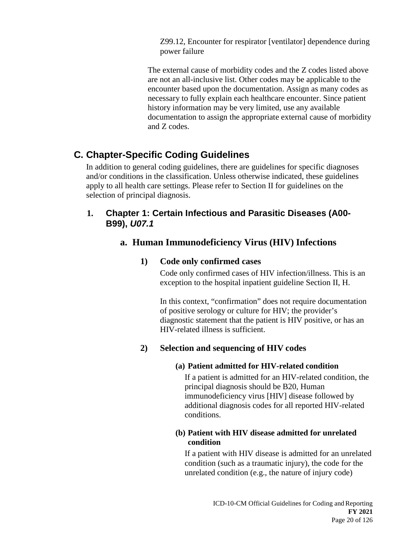Z99.12, Encounter for respirator [ventilator] dependence during power failure

The external cause of morbidity codes and the Z codes listed above are not an all-inclusive list. Other codes may be applicable to the encounter based upon the documentation. Assign as many codes as necessary to fully explain each healthcare encounter. Since patient history information may be very limited, use any available documentation to assign the appropriate external cause of morbidity and Z codes.

# <span id="page-19-0"></span>**C. Chapter-Specific Coding Guidelines**

In addition to general coding guidelines, there are guidelines for specific diagnoses and/or conditions in the classification. Unless otherwise indicated, these guidelines apply to all health care settings. Please refer to Section II for guidelines on the selection of principal diagnosis.

# <span id="page-19-2"></span>**1. Chapter 1: Certain Infectious and Parasitic Diseases (A00- B99),** *U07.1*

# **a. Human Immunodeficiency Virus (HIV) Infections**

# **1) Code only confirmed cases**

<span id="page-19-1"></span>Code only confirmed cases of HIV infection/illness. This is an exception to the hospital inpatient guideline Section II, H.

In this context, "confirmation" does not require documentation of positive serology or culture for HIV; the provider's diagnostic statement that the patient is HIV positive, or has an HIV-related illness is sufficient.

# **2) Selection and sequencing of HIV codes**

# **(a) Patient admitted for HIV-related condition**

If a patient is admitted for an HIV-related condition, the principal diagnosis should be B20, Human immunodeficiency virus [HIV] disease followed by additional diagnosis codes for all reported HIV-related conditions.

### **(b) Patient with HIV disease admitted for unrelated condition**

If a patient with HIV disease is admitted for an unrelated condition (such as a traumatic injury), the code for the unrelated condition (e.g., the nature of injury code)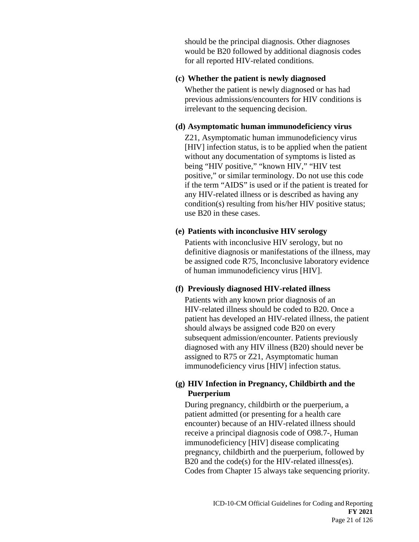should be the principal diagnosis. Other diagnoses would be B20 followed by additional diagnosis codes for all reported HIV-related conditions.

#### **(c) Whether the patient is newly diagnosed**

Whether the patient is newly diagnosed or has had previous admissions/encounters for HIV conditions is irrelevant to the sequencing decision.

#### **(d) Asymptomatic human immunodeficiency virus**

Z21, Asymptomatic human immunodeficiency virus [HIV] infection status, is to be applied when the patient without any documentation of symptoms is listed as being "HIV positive," "known HIV," "HIV test positive," or similar terminology. Do not use this code if the term "AIDS" is used or if the patient is treated for any HIV-related illness or is described as having any condition(s) resulting from his/her HIV positive status; use B20 in these cases.

#### **(e) Patients with inconclusive HIV serology**

Patients with inconclusive HIV serology, but no definitive diagnosis or manifestations of the illness, may be assigned code R75, Inconclusive laboratory evidence of human immunodeficiency virus [HIV].

#### **(f) Previously diagnosed HIV-related illness**

Patients with any known prior diagnosis of an HIV-related illness should be coded to B20. Once a patient has developed an HIV-related illness, the patient should always be assigned code B20 on every subsequent admission/encounter. Patients previously diagnosed with any HIV illness (B20) should never be assigned to R75 or Z21, Asymptomatic human immunodeficiency virus [HIV] infection status.

#### **(g) HIV Infection in Pregnancy, Childbirth and the Puerperium**

During pregnancy, childbirth or the puerperium, a patient admitted (or presenting for a health care encounter) because of an HIV-related illness should receive a principal diagnosis code of O98.7-, Human immunodeficiency [HIV] disease complicating pregnancy, childbirth and the puerperium, followed by B20 and the code(s) for the HIV-related illness(es). Codes from Chapter 15 always take sequencing priority.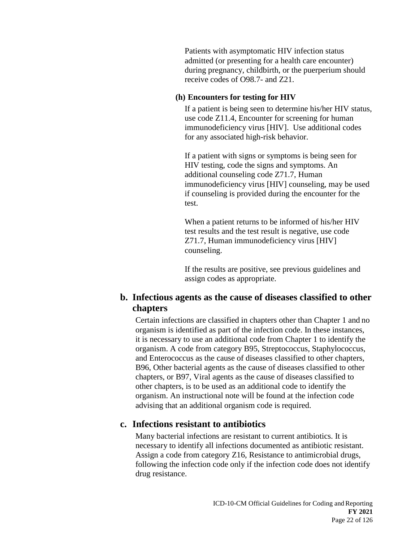Patients with asymptomatic HIV infection status admitted (or presenting for a health care encounter) during pregnancy, childbirth, or the puerperium should receive codes of O98.7- and Z21.

#### **(h) Encounters for testing for HIV**

If a patient is being seen to determine his/her HIV status, use code Z11.4, Encounter for screening for human immunodeficiency virus [HIV]. Use additional codes for any associated high-risk behavior.

If a patient with signs or symptoms is being seen for HIV testing, code the signs and symptoms. An additional counseling code Z71.7, Human immunodeficiency virus [HIV] counseling, may be used if counseling is provided during the encounter for the test.

When a patient returns to be informed of his/her HIV test results and the test result is negative, use code Z71.7, Human immunodeficiency virus [HIV] counseling.

<span id="page-21-1"></span>If the results are positive, see previous guidelines and assign codes as appropriate.

## <span id="page-21-0"></span>**b. Infectious agents as the cause of diseases classified to other chapters**

Certain infections are classified in chapters other than Chapter 1 and no organism is identified as part of the infection code. In these instances, it is necessary to use an additional code from Chapter 1 to identify the organism. A code from category B95, Streptococcus, Staphylococcus, and Enterococcus as the cause of diseases classified to other chapters, B96, Other bacterial agents as the cause of diseases classified to other chapters, or B97, Viral agents as the cause of diseases classified to other chapters, is to be used as an additional code to identify the organism. An instructional note will be found at the infection code advising that an additional organism code is required.

#### **c. Infections resistant to antibiotics**

Many bacterial infections are resistant to current antibiotics. It is necessary to identify all infections documented as antibiotic resistant. Assign a code from category Z16, Resistance to antimicrobial drugs, following the infection code only if the infection code does not identify drug resistance.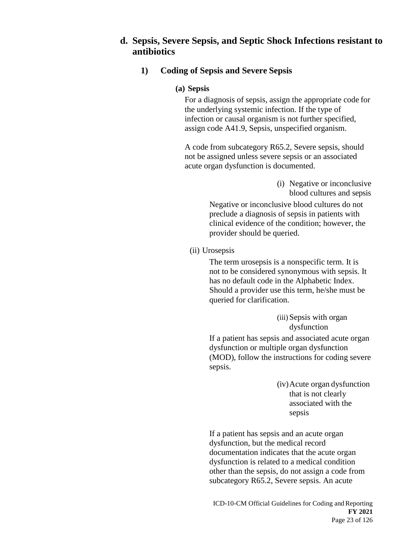### **d. Sepsis, Severe Sepsis, and Septic Shock Infections resistant to antibiotics**

#### **1) Coding of Sepsis and Severe Sepsis**

#### **(a) Sepsis**

For a diagnosis of sepsis, assign the appropriate code for the underlying systemic infection. If the type of infection or causal organism is not further specified, assign code A41.9, Sepsis, unspecified organism.

A code from subcategory R65.2, Severe sepsis, should not be assigned unless severe sepsis or an associated acute organ dysfunction is documented.

> (i) Negative or inconclusive blood cultures and sepsis

Negative or inconclusive blood cultures do not preclude a diagnosis of sepsis in patients with clinical evidence of the condition; however, the provider should be queried.

(ii) Urosepsis

The term urosepsis is a nonspecific term. It is not to be considered synonymous with sepsis. It has no default code in the Alphabetic Index. Should a provider use this term, he/she must be queried for clarification.

> (iii) Sepsis with organ dysfunction

If a patient has sepsis and associated acute organ dysfunction or multiple organ dysfunction (MOD), follow the instructions for coding severe sepsis.

> (iv)Acute organ dysfunction that is not clearly associated with the sepsis

If a patient has sepsis and an acute organ dysfunction, but the medical record documentation indicates that the acute organ dysfunction is related to a medical condition other than the sepsis, do not assign a code from subcategory R65.2, Severe sepsis. An acute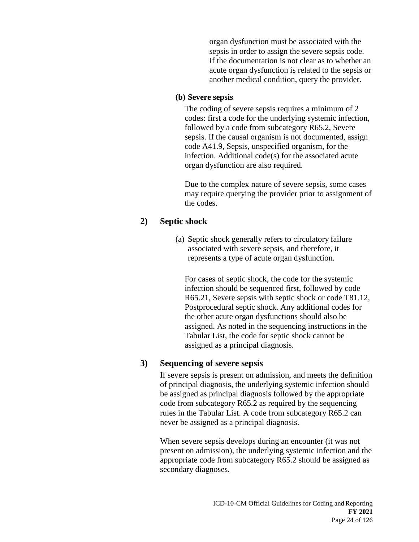organ dysfunction must be associated with the sepsis in order to assign the severe sepsis code. If the documentation is not clear as to whether an acute organ dysfunction is related to the sepsis or another medical condition, query the provider.

#### **(b) Severe sepsis**

The coding of severe sepsis requires a minimum of 2 codes: first a code for the underlying systemic infection, followed by a code from subcategory R65.2, Severe sepsis. If the causal organism is not documented, assign code A41.9, Sepsis, unspecified organism, for the infection. Additional code(s) for the associated acute organ dysfunction are also required.

Due to the complex nature of severe sepsis, some cases may require querying the provider prior to assignment of the codes.

#### **2) Septic shock**

(a) Septic shock generally refers to circulatory failure associated with severe sepsis, and therefore, it represents a type of acute organ dysfunction.

For cases of septic shock, the code for the systemic infection should be sequenced first, followed by code R65.21, Severe sepsis with septic shock or code T81.12, Postprocedural septic shock. Any additional codes for the other acute organ dysfunctions should also be assigned. As noted in the sequencing instructions in the Tabular List, the code for septic shock cannot be assigned as a principal diagnosis.

#### **3) Sequencing of severe sepsis**

If severe sepsis is present on admission, and meets the definition of principal diagnosis, the underlying systemic infection should be assigned as principal diagnosis followed by the appropriate code from subcategory R65.2 as required by the sequencing rules in the Tabular List. A code from subcategory R65.2 can never be assigned as a principal diagnosis.

When severe sepsis develops during an encounter (it was not present on admission), the underlying systemic infection and the appropriate code from subcategory R65.2 should be assigned as secondary diagnoses.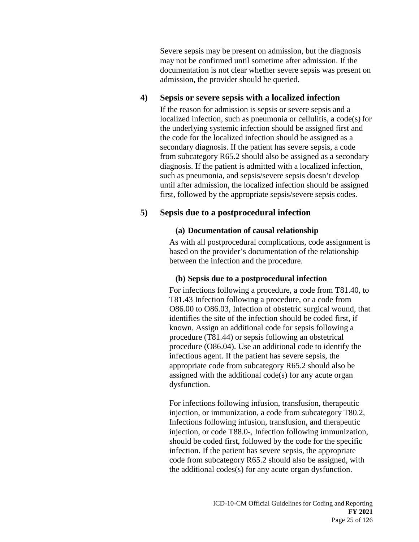Severe sepsis may be present on admission, but the diagnosis may not be confirmed until sometime after admission. If the documentation is not clear whether severe sepsis was present on admission, the provider should be queried.

#### **4) Sepsis or severe sepsis with a localized infection**

If the reason for admission is sepsis or severe sepsis and a localized infection, such as pneumonia or cellulitis, a code(s) for the underlying systemic infection should be assigned first and the code for the localized infection should be assigned as a secondary diagnosis. If the patient has severe sepsis, a code from subcategory R65.2 should also be assigned as a secondary diagnosis. If the patient is admitted with a localized infection, such as pneumonia, and sepsis/severe sepsis doesn't develop until after admission, the localized infection should be assigned first, followed by the appropriate sepsis/severe sepsis codes.

#### **5) Sepsis due to a postprocedural infection**

#### **(a) Documentation of causal relationship**

As with all postprocedural complications, code assignment is based on the provider's documentation of the relationship between the infection and the procedure.

#### **(b) Sepsis due to a postprocedural infection**

For infections following a procedure, a code from T81.40, to T81.43 Infection following a procedure, or a code from O86.00 to O86.03, Infection of obstetric surgical wound, that identifies the site of the infection should be coded first, if known. Assign an additional code for sepsis following a procedure (T81.44) or sepsis following an obstetrical procedure (O86.04). Use an additional code to identify the infectious agent. If the patient has severe sepsis, the appropriate code from subcategory R65.2 should also be assigned with the additional code(s) for any acute organ dysfunction.

For infections following infusion, transfusion, therapeutic injection, or immunization, a code from subcategory T80.2, Infections following infusion, transfusion, and therapeutic injection, or code T88.0-, Infection following immunization, should be coded first, followed by the code for the specific infection. If the patient has severe sepsis, the appropriate code from subcategory R65.2 should also be assigned, with the additional codes(s) for any acute organ dysfunction.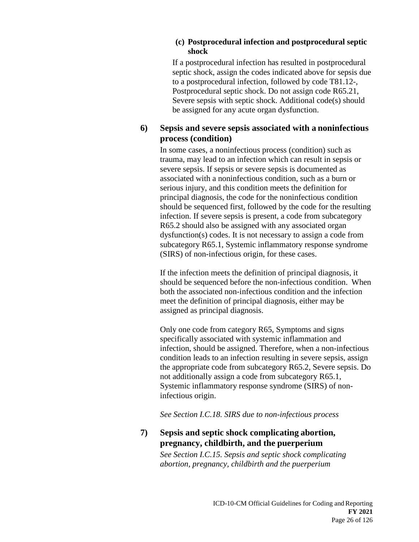#### **(c) Postprocedural infection and postprocedural septic shock**

If a postprocedural infection has resulted in postprocedural septic shock, assign the codes indicated above for sepsis due to a postprocedural infection, followed by code T81.12-, Postprocedural septic shock. Do not assign code R65.21, Severe sepsis with septic shock. Additional code(s) should be assigned for any acute organ dysfunction.

#### **6) Sepsis and severe sepsis associated with a noninfectious process (condition)**

In some cases, a noninfectious process (condition) such as trauma, may lead to an infection which can result in sepsis or severe sepsis. If sepsis or severe sepsis is documented as associated with a noninfectious condition, such as a burn or serious injury, and this condition meets the definition for principal diagnosis, the code for the noninfectious condition should be sequenced first, followed by the code for the resulting infection. If severe sepsis is present, a code from subcategory R65.2 should also be assigned with any associated organ dysfunction(s) codes. It is not necessary to assign a code from subcategory R65.1, Systemic inflammatory response syndrome (SIRS) of non-infectious origin, for these cases.

If the infection meets the definition of principal diagnosis, it should be sequenced before the non-infectious condition. When both the associated non-infectious condition and the infection meet the definition of principal diagnosis, either may be assigned as principal diagnosis.

Only one code from category R65, Symptoms and signs specifically associated with systemic inflammation and infection, should be assigned. Therefore, when a non-infectious condition leads to an infection resulting in severe sepsis, assign the appropriate code from subcategory R65.2, Severe sepsis. Do not additionally assign a code from subcategory R65.1, Systemic inflammatory response syndrome (SIRS) of noninfectious origin.

*See Section I.C.18. SIRS due to non-infectious process* 

### **7) Sepsis and septic shock complicating abortion, pregnancy, childbirth, and the puerperium**

*See Section I.C.15. Sepsis and septic shock complicating abortion, pregnancy, childbirth and the puerperium*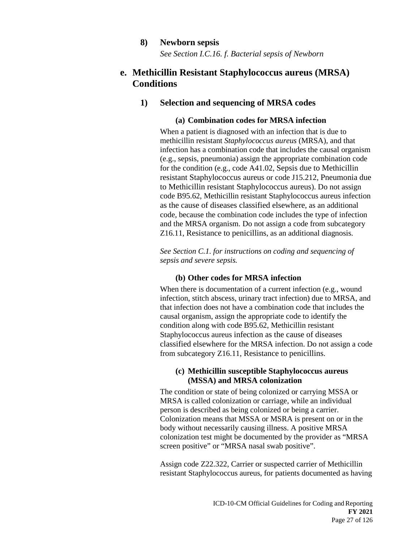#### **8) Newborn sepsis**

*See Section I.C.16. f. Bacterial sepsis of Newborn* 

#### <span id="page-26-0"></span>**e. Methicillin Resistant Staphylococcus aureus (MRSA) Conditions**

#### **1) Selection and sequencing of MRSA codes**

#### **(a) Combination codes for MRSA infection**

When a patient is diagnosed with an infection that is due to methicillin resistant *Staphylococcus aureus* (MRSA), and that infection has a combination code that includes the causal organism (e.g., sepsis, pneumonia) assign the appropriate combination code for the condition (e.g., code A41.02, Sepsis due to Methicillin resistant Staphylococcus aureus or code J15.212, Pneumonia due to Methicillin resistant Staphylococcus aureus). Do not assign code B95.62, Methicillin resistant Staphylococcus aureus infection as the cause of diseases classified elsewhere, as an additional code, because the combination code includes the type of infection and the MRSA organism. Do not assign a code from subcategory Z16.11, Resistance to penicillins, as an additional diagnosis.

*See Section C.1. for instructions on coding and sequencing of sepsis and severe sepsis.*

#### **(b) Other codes for MRSA infection**

When there is documentation of a current infection (e.g., wound infection, stitch abscess, urinary tract infection) due to MRSA, and that infection does not have a combination code that includes the causal organism, assign the appropriate code to identify the condition along with code B95.62, Methicillin resistant Staphylococcus aureus infection as the cause of diseases classified elsewhere for the MRSA infection. Do not assign a code from subcategory Z16.11, Resistance to penicillins.

#### **(c) Methicillin susceptible Staphylococcus aureus (MSSA) and MRSA colonization**

The condition or state of being colonized or carrying MSSA or MRSA is called colonization or carriage, while an individual person is described as being colonized or being a carrier. Colonization means that MSSA or MSRA is present on or in the body without necessarily causing illness. A positive MRSA colonization test might be documented by the provider as "MRSA screen positive" or "MRSA nasal swab positive".

Assign code Z22.322, Carrier or suspected carrier of Methicillin resistant Staphylococcus aureus, for patients documented as having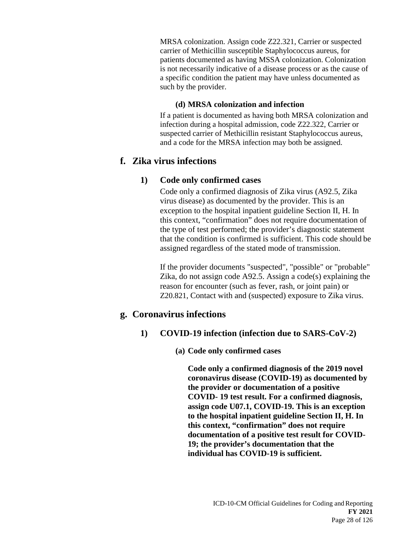MRSA colonization. Assign code Z22.321, Carrier or suspected carrier of Methicillin susceptible Staphylococcus aureus, for patients documented as having MSSA colonization. Colonization is not necessarily indicative of a disease process or as the cause of a specific condition the patient may have unless documented as such by the provider.

#### <span id="page-27-0"></span>**(d) MRSA colonization and infection**

If a patient is documented as having both MRSA colonization and infection during a hospital admission, code Z22.322, Carrier or suspected carrier of Methicillin resistant Staphylococcus aureus, and a code for the MRSA infection may both be assigned.

#### **f. Zika virus infections**

#### **1) Code only confirmed cases**

Code only a confirmed diagnosis of Zika virus (A92.5, Zika virus disease) as documented by the provider. This is an exception to the hospital inpatient guideline Section II, H. In this context, "confirmation" does not require documentation of the type of test performed; the provider's diagnostic statement that the condition is confirmed is sufficient. This code should be assigned regardless of the stated mode of transmission.

If the provider documents "suspected", "possible" or "probable" Zika, do not assign code A92.5. Assign a code(s) explaining the reason for encounter (such as fever, rash, or joint pain) or Z20.821, Contact with and (suspected) exposure to Zika virus.

#### <span id="page-27-1"></span>**g. Coronavirus infections**

#### **1) COVID-19 infection (infection due to SARS-CoV-2)**

#### **(a) Code only confirmed cases**

**Code only a confirmed diagnosis of the 2019 novel coronavirus disease (COVID-19) as documented by the provider or documentation of a positive COVID- 19 test result. For a confirmed diagnosis, assign code U07.1, COVID-19. This is an exception to the hospital inpatient guideline Section II, H. In this context, "confirmation" does not require documentation of a positive test result for COVID-19; the provider's documentation that the individual has COVID-19 is sufficient.**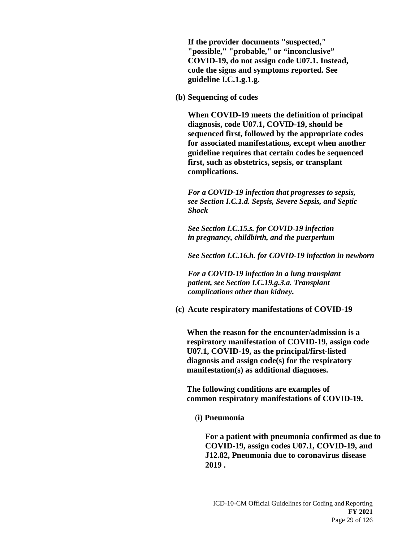**If the provider documents "suspected," "possible," "probable," or "inconclusive" COVID-19, do not assign code U07.1. Instead, code the signs and symptoms reported. See guideline I.C.1.g.1.g.** 

**(b) Sequencing of codes**

**When COVID-19 meets the definition of principal diagnosis, code U07.1, COVID-19, should be sequenced first, followed by the appropriate codes for associated manifestations, except when another guideline requires that certain codes be sequenced first, such as obstetrics, sepsis, or transplant complications.**

*For a COVID-19 infection that progresses to sepsis, see Section I.C.1.d. Sepsis, Severe Sepsis, and Septic Shock*

*See Section I.C.15.s. for COVID-19 infection in pregnancy, childbirth, and the puerperium*

*See Section I.C.16.h. for COVID-19 infection in newborn* 

*For a COVID-19 infection in a lung transplant patient, see Section I.C.19.g.3.a. Transplant complications other than kidney.*

**(c) Acute respiratory manifestations of COVID-19** 

**When the reason for the encounter/admission is a respiratory manifestation of COVID-19, assign code U07.1, COVID-19, as the principal/first-listed diagnosis and assign code(s) for the respiratory manifestation(s) as additional diagnoses.** 

**The following conditions are examples of common respiratory manifestations of COVID-19.** 

(**i) Pneumonia**

 **For a patient with pneumonia confirmed as due to COVID-19, assign codes U07.1, COVID-19, and J12.82, Pneumonia due to coronavirus disease 2019 .**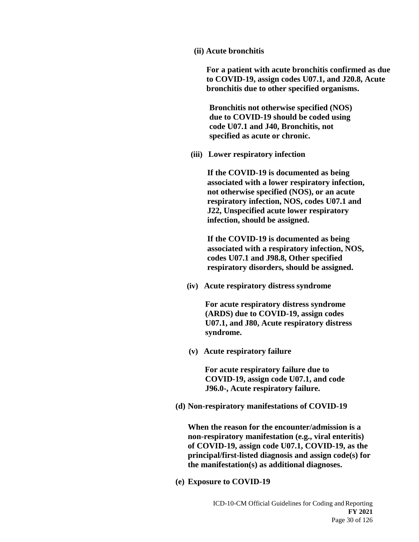**(ii) Acute bronchitis**

 **For a patient with acute bronchitis confirmed as due to COVID-19, assign codes U07.1, and J20.8, Acute bronchitis due to other specified organisms.**

 **Bronchitis not otherwise specified (NOS) due to COVID-19 should be coded using code U07.1 and J40, Bronchitis, not specified as acute or chronic.**

 **(iii) Lower respiratory infection**

 **If the COVID-19 is documented as being associated with a lower respiratory infection, not otherwise specified (NOS), or an acute respiratory infection, NOS, codes U07.1 and J22, Unspecified acute lower respiratory infection, should be assigned.**

 **If the COVID-19 is documented as being associated with a respiratory infection, NOS, codes U07.1 and J98.8, Other specified respiratory disorders, should be assigned.**

 **(iv) Acute respiratory distress syndrome**

 **For acute respiratory distress syndrome (ARDS) due to COVID-19, assign codes U07.1, and J80, Acute respiratory distress syndrome.**

 **(v) Acute respiratory failure**

 **For acute respiratory failure due to COVID-19, assign code U07.1, and code J96.0-, Acute respiratory failure.**

**(d) Non-respiratory manifestations of COVID-19** 

**When the reason for the encounter/admission is a non-respiratory manifestation (e.g., viral enteritis) of COVID-19, assign code U07.1, COVID-19, as the principal/first-listed diagnosis and assign code(s) for the manifestation(s) as additional diagnoses.** 

**(e) Exposure to COVID-19**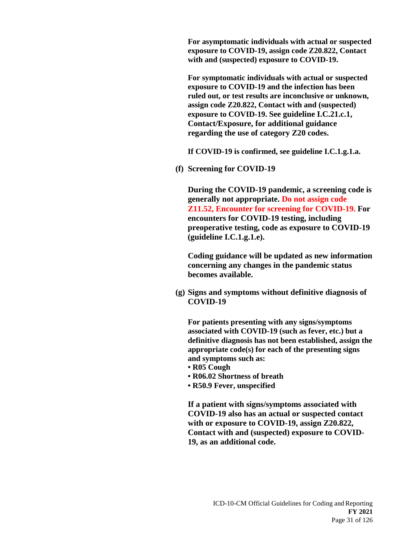**For asymptomatic individuals with actual or suspected exposure to COVID-19, assign code Z20.822, Contact with and (suspected) exposure to COVID-19.** 

**For symptomatic individuals with actual or suspected exposure to COVID-19 and the infection has been ruled out, or test results are inconclusive or unknown, assign code Z20.822, Contact with and (suspected) exposure to COVID-19. See guideline I.C.21.c.1, Contact/Exposure, for additional guidance regarding the use of category Z20 codes.**

**If COVID-19 is confirmed, see guideline I.C.1.g.1.a.** 

**(f) Screening for COVID-19**

**During the COVID-19 pandemic, a screening code is generally not appropriate. Do not assign code Z11.52, Encounter for screening for COVID-19. For encounters for COVID-19 testing, including preoperative testing, code as exposure to COVID-19 (guideline I.C.1.g.1.e).** 

**Coding guidance will be updated as new information concerning any changes in the pandemic status becomes available.**

**(g) Signs and symptoms without definitive diagnosis of COVID-19** 

**For patients presenting with any signs/symptoms associated with COVID-19 (such as fever, etc.) but a definitive diagnosis has not been established, assign the appropriate code(s) for each of the presenting signs and symptoms such as:**

- **• R05 Cough**
- **• R06.02 Shortness of breath**
- **• R50.9 Fever, unspecified**

**If a patient with signs/symptoms associated with COVID-19 also has an actual or suspected contact with or exposure to COVID-19, assign Z20.822, Contact with and (suspected) exposure to COVID-19, as an additional code.**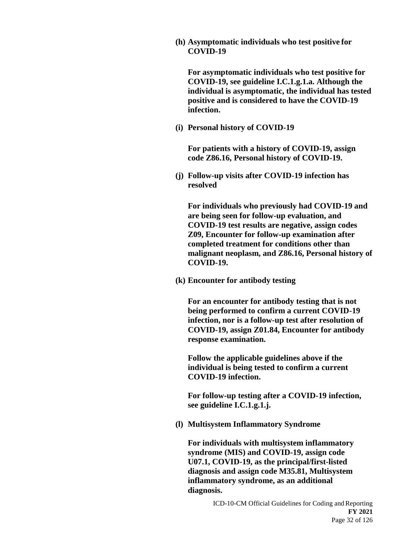**(h) Asymptomatic individuals who test positive for COVID-19** 

**For asymptomatic individuals who test positive for COVID-19, see guideline I.C.1.g.1.a. Although the individual is asymptomatic, the individual has tested positive and is considered to have the COVID-19 infection.**

**(i) Personal history of COVID-19** 

**For patients with a history of COVID-19, assign code Z86.16, Personal history of COVID-19.** 

**(j) Follow-up visits after COVID-19 infection has resolved**

**For individuals who previously had COVID-19 and are being seen for follow-up evaluation, and COVID-19 test results are negative, assign codes Z09, Encounter for follow-up examination after completed treatment for conditions other than malignant neoplasm, and Z86.16, Personal history of COVID-19.** 

**(k) Encounter for antibody testing**

**For an encounter for antibody testing that is not being performed to confirm a current COVID-19 infection, nor is a follow-up test after resolution of COVID-19, assign Z01.84, Encounter for antibody response examination.**

**Follow the applicable guidelines above if the individual is being tested to confirm a current COVID-19 infection.** 

**For follow-up testing after a COVID-19 infection, see guideline I.C.1.g.1.j.** 

**(l) Multisystem Inflammatory Syndrome** 

**For individuals with multisystem inflammatory syndrome (MIS) and COVID-19, assign code U07.1, COVID-19, as the principal/first-listed diagnosis and assign code M35.81, Multisystem inflammatory syndrome, as an additional diagnosis.**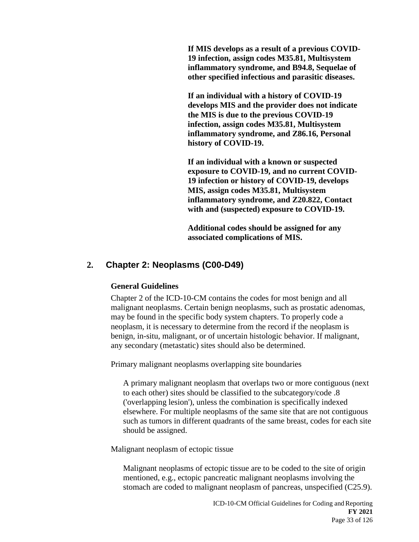**If MIS develops as a result of a previous COVID-19 infection, assign codes M35.81, Multisystem inflammatory syndrome, and B94.8, Sequelae of other specified infectious and parasitic diseases.**

**If an individual with a history of COVID-19 develops MIS and the provider does not indicate the MIS is due to the previous COVID-19 infection, assign codes M35.81, Multisystem inflammatory syndrome, and Z86.16, Personal history of COVID-19.** 

**If an individual with a known or suspected exposure to COVID-19, and no current COVID-19 infection or history of COVID-19, develops MIS, assign codes M35.81, Multisystem inflammatory syndrome, and Z20.822, Contact with and (suspected) exposure to COVID-19.** 

**Additional codes should be assigned for any associated complications of MIS.** 

### <span id="page-32-0"></span>**2. Chapter 2: Neoplasms (C00-D49)**

#### **General Guidelines**

Chapter 2 of the ICD-10-CM contains the codes for most benign and all malignant neoplasms. Certain benign neoplasms, such as prostatic adenomas, may be found in the specific body system chapters. To properly code a neoplasm, it is necessary to determine from the record if the neoplasm is benign, in-situ, malignant, or of uncertain histologic behavior. If malignant, any secondary (metastatic) sites should also be determined.

Primary malignant neoplasms overlapping site boundaries

A primary malignant neoplasm that overlaps two or more contiguous (next to each other) sites should be classified to the subcategory/code .8 ('overlapping lesion'), unless the combination is specifically indexed elsewhere. For multiple neoplasms of the same site that are not contiguous such as tumors in different quadrants of the same breast, codes for each site should be assigned.

Malignant neoplasm of ectopic tissue

Malignant neoplasms of ectopic tissue are to be coded to the site of origin mentioned, e.g., ectopic pancreatic malignant neoplasms involving the stomach are coded to malignant neoplasm of pancreas, unspecified (C25.9).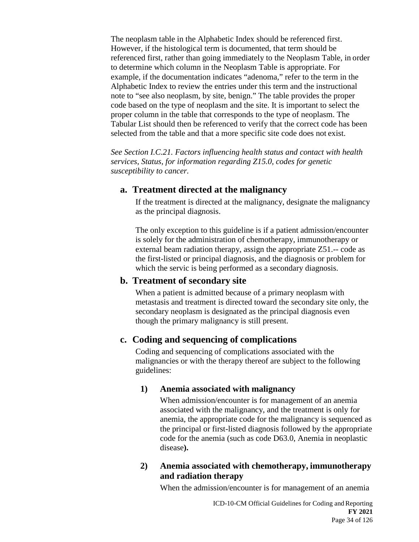The neoplasm table in the Alphabetic Index should be referenced first. However, if the histological term is documented, that term should be referenced first, rather than going immediately to the Neoplasm Table, in order to determine which column in the Neoplasm Table is appropriate. For example, if the documentation indicates "adenoma," refer to the term in the Alphabetic Index to review the entries under this term and the instructional note to "see also neoplasm, by site, benign." The table provides the proper code based on the type of neoplasm and the site. It is important to select the proper column in the table that corresponds to the type of neoplasm. The Tabular List should then be referenced to verify that the correct code has been selected from the table and that a more specific site code does not exist.

*See Section I.C.21. Factors influencing health status and contact with health services, Status, for information regarding Z15.0, codes for genetic susceptibility to cancer.*

### **a. Treatment directed at the malignancy**

<span id="page-33-0"></span>If the treatment is directed at the malignancy, designate the malignancy as the principal diagnosis.

The only exception to this guideline is if a patient admission/encounter is solely for the administration of chemotherapy, immunotherapy or external beam radiation therapy, assign the appropriate Z51.-- code as the first-listed or principal diagnosis, and the diagnosis or problem for which the servic is being performed as a secondary diagnosis.

# <span id="page-33-1"></span>**b. Treatment of secondary site**

When a patient is admitted because of a primary neoplasm with metastasis and treatment is directed toward the secondary site only, the secondary neoplasm is designated as the principal diagnosis even though the primary malignancy is still present.

# **c. Coding and sequencing of complications**

Coding and sequencing of complications associated with the malignancies or with the therapy thereof are subject to the following guidelines:

# **1) Anemia associated with malignancy**

<span id="page-33-2"></span>When admission/encounter is for management of an anemia associated with the malignancy, and the treatment is only for anemia, the appropriate code for the malignancy is sequenced as the principal or first-listed diagnosis followed by the appropriate code for the anemia (such as code D63.0, Anemia in neoplastic disease**).**

**2) Anemia associated with chemotherapy, immunotherapy and radiation therapy**

When the admission/encounter is for management of an anemia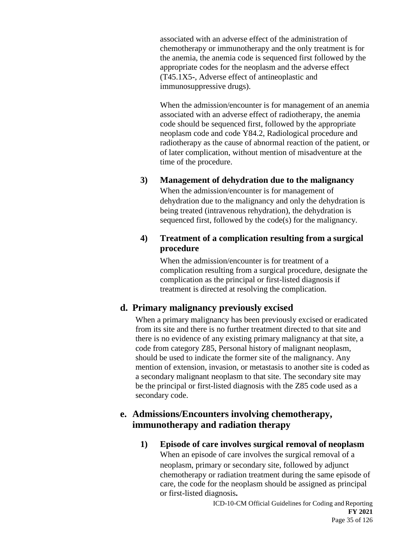associated with an adverse effect of the administration of chemotherapy or immunotherapy and the only treatment is for the anemia, the anemia code is sequenced first followed by the appropriate codes for the neoplasm and the adverse effect (T45.1X5**-**, Adverse effect of antineoplastic and immunosuppressive drugs).

When the admission/encounter is for management of an anemia associated with an adverse effect of radiotherapy, the anemia code should be sequenced first, followed by the appropriate neoplasm code and code Y84.2, Radiological procedure and radiotherapy as the cause of abnormal reaction of the patient, or of later complication, without mention of misadventure at the time of the procedure.

### **3) Management of dehydration due to the malignancy**

When the admission/encounter is for management of dehydration due to the malignancy and only the dehydration is being treated (intravenous rehydration), the dehydration is sequenced first, followed by the code(s) for the malignancy.

### **4) Treatment of a complication resulting from a surgical procedure**

<span id="page-34-0"></span>When the admission/encounter is for treatment of a complication resulting from a surgical procedure, designate the complication as the principal or first-listed diagnosis if treatment is directed at resolving the complication.

# **d. Primary malignancy previously excised**

When a primary malignancy has been previously excised or eradicated from its site and there is no further treatment directed to that site and there is no evidence of any existing primary malignancy at that site, a code from category Z85, Personal history of malignant neoplasm, should be used to indicate the former site of the malignancy. Any mention of extension, invasion, or metastasis to another site is coded as a secondary malignant neoplasm to that site. The secondary site may be the principal or first-listed diagnosis with the Z85 code used as a secondary code.

# **e. Admissions/Encounters involving chemotherapy, immunotherapy and radiation therapy**

<span id="page-34-1"></span>**1) Episode of care involves surgical removal of neoplasm**  When an episode of care involves the surgical removal of a neoplasm, primary or secondary site, followed by adjunct chemotherapy or radiation treatment during the same episode of care, the code for the neoplasm should be assigned as principal or first-listed diagnosis**.**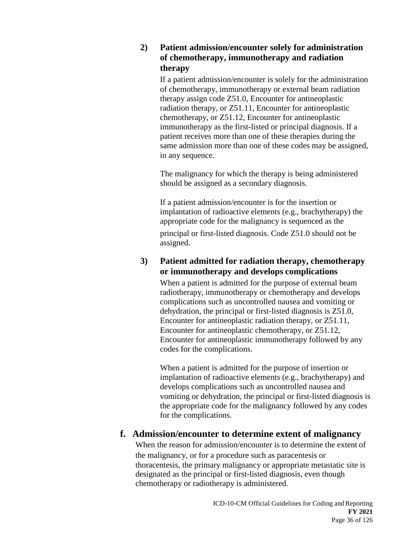## **2) Patient admission/encounter solely for administration of chemotherapy, immunotherapy and radiation therapy**

If a patient admission/encounter is solely for the administration of chemotherapy, immunotherapy or external beam radiation therapy assign code Z51.0, Encounter for antineoplastic radiation therapy, or Z51.11, Encounter for antineoplastic chemotherapy, or Z51.12, Encounter for antineoplastic immunotherapy as the first-listed or principal diagnosis. If a patient receives more than one of these therapies during the same admission more than one of these codes may be assigned, in any sequence.

The malignancy for which the therapy is being administered should be assigned as a secondary diagnosis.

If a patient admission/encounter is for the insertion or implantation of radioactive elements (e.g., brachytherapy) the appropriate code for the malignancy is sequenced as the principal or first-listed diagnosis. Code Z51.0 should not be assigned.

## **3) Patient admitted for radiation therapy, chemotherapy or immunotherapy and develops complications**

When a patient is admitted for the purpose of external beam radiotherapy, immunotherapy or chemotherapy and develops complications such as uncontrolled nausea and vomiting or dehydration, the principal or first-listed diagnosis is Z51.0, Encounter for antineoplastic radiation therapy, or Z51.11, Encounter for antineoplastic chemotherapy, or Z51.12, Encounter for antineoplastic immunotherapy followed by any codes for the complications.

<span id="page-35-0"></span>When a patient is admitted for the purpose of insertion or implantation of radioactive elements (e.g., brachytherapy) and develops complications such as uncontrolled nausea and vomiting or dehydration, the principal or first-listed diagnosis is the appropriate code for the malignancy followed by any codes for the complications.

# **f. Admission/encounter to determine extent of malignancy**

When the reason for admission/encounter is to determine the extent of the malignancy, or for a procedure such as paracentesis or thoracentesis, the primary malignancy or appropriate metastatic site is designated as the principal or first-listed diagnosis, even though chemotherapy or radiotherapy is administered.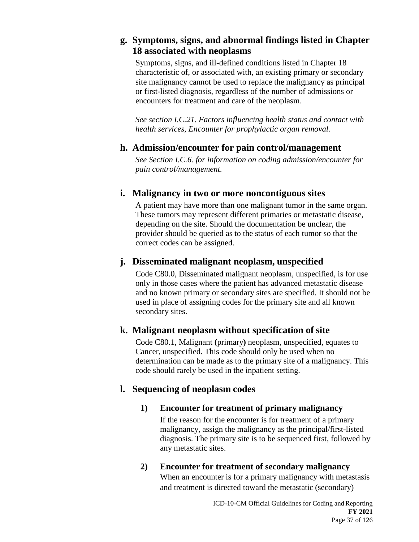## **g. Symptoms, signs, and abnormal findings listed in Chapter 18 associated with neoplasms**

Symptoms, signs, and ill-defined conditions listed in Chapter 18 characteristic of, or associated with, an existing primary or secondary site malignancy cannot be used to replace the malignancy as principal or first-listed diagnosis, regardless of the number of admissions or encounters for treatment and care of the neoplasm.

*See section I.C.21*. *Factors influencing health status and contact with health services, Encounter for prophylactic organ removal.* 

### **h. Admission/encounter for pain control/management**

*See Section I.C.6. for information on coding admission/encounter for pain control/management.* 

## **i. Malignancy in two or more noncontiguous sites**

A patient may have more than one malignant tumor in the same organ. These tumors may represent different primaries or metastatic disease, depending on the site. Should the documentation be unclear, the provider should be queried as to the status of each tumor so that the correct codes can be assigned.

## **j. Disseminated malignant neoplasm, unspecified**

Code C80.0, Disseminated malignant neoplasm, unspecified, is for use only in those cases where the patient has advanced metastatic disease and no known primary or secondary sites are specified. It should not be used in place of assigning codes for the primary site and all known secondary sites.

## **k. Malignant neoplasm without specification of site**

Code C80.1, Malignant **(**primary**)** neoplasm, unspecified, equates to Cancer, unspecified. This code should only be used when no determination can be made as to the primary site of a malignancy. This code should rarely be used in the inpatient setting.

## **l. Sequencing of neoplasm codes**

## **1) Encounter for treatment of primary malignancy**

If the reason for the encounter is for treatment of a primary malignancy, assign the malignancy as the principal/first-listed diagnosis. The primary site is to be sequenced first, followed by any metastatic sites.

**2) Encounter for treatment of secondary malignancy**  When an encounter is for a primary malignancy with metastasis and treatment is directed toward the metastatic (secondary)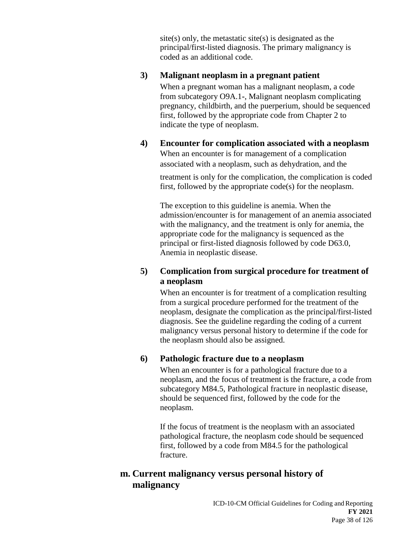site(s) only, the metastatic site(s) is designated as the principal/first-listed diagnosis. The primary malignancy is coded as an additional code.

#### **3) Malignant neoplasm in a pregnant patient**

When a pregnant woman has a malignant neoplasm, a code from subcategory O9A.1**-**, Malignant neoplasm complicating pregnancy, childbirth, and the puerperium, should be sequenced first, followed by the appropriate code from Chapter 2 to indicate the type of neoplasm.

### **4) Encounter for complication associated with a neoplasm**

When an encounter is for management of a complication associated with a neoplasm, such as dehydration, and the

treatment is only for the complication, the complication is coded first, followed by the appropriate code(s) for the neoplasm.

The exception to this guideline is anemia. When the admission/encounter is for management of an anemia associated with the malignancy, and the treatment is only for anemia, the appropriate code for the malignancy is sequenced as the principal or first-listed diagnosis followed by code D63.0, Anemia in neoplastic disease.

### **5) Complication from surgical procedure for treatment of a neoplasm**

When an encounter is for treatment of a complication resulting from a surgical procedure performed for the treatment of the neoplasm, designate the complication as the principal/first-listed diagnosis. See the guideline regarding the coding of a current malignancy versus personal history to determine if the code for the neoplasm should also be assigned.

## **6) Pathologic fracture due to a neoplasm**

When an encounter is for a pathological fracture due to a neoplasm, and the focus of treatment is the fracture, a code from subcategory M84.5, Pathological fracture in neoplastic disease, should be sequenced first, followed by the code for the neoplasm.

If the focus of treatment is the neoplasm with an associated pathological fracture, the neoplasm code should be sequenced first, followed by a code from M84.5 for the pathological fracture.

## **m. Current malignancy versus personal history of malignancy**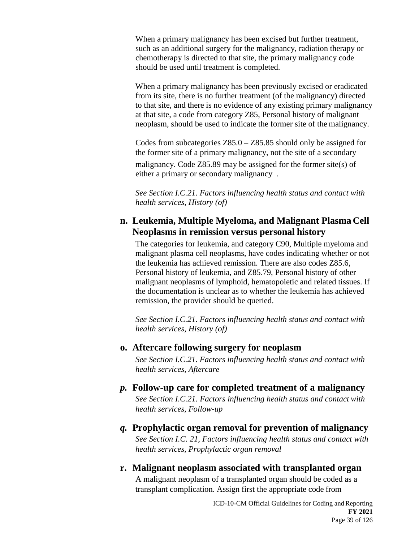When a primary malignancy has been excised but further treatment, such as an additional surgery for the malignancy, radiation therapy or chemotherapy is directed to that site, the primary malignancy code should be used until treatment is completed.

When a primary malignancy has been previously excised or eradicated from its site, there is no further treatment (of the malignancy) directed to that site, and there is no evidence of any existing primary malignancy at that site, a code from category Z85, Personal history of malignant neoplasm, should be used to indicate the former site of the malignancy.

Codes from subcategories Z85.0 – Z85.85 should only be assigned for the former site of a primary malignancy, not the site of a secondary

malignancy. Code Z85.89 may be assigned for the former site(s) of either a primary or secondary malignancy .

*See Section I.C.21. Factors influencing health status and contact with health services, History (of)*

## **n. Leukemia, Multiple Myeloma, and Malignant Plasma Cell Neoplasms in remission versus personal history**

The categories for leukemia, and category C90, Multiple myeloma and malignant plasma cell neoplasms, have codes indicating whether or not the leukemia has achieved remission. There are also codes Z85.6, Personal history of leukemia, and Z85.79, Personal history of other malignant neoplasms of lymphoid, hematopoietic and related tissues. If the documentation is unclear as to whether the leukemia has achieved remission, the provider should be queried.

*See Section I.C.21. Factors influencing health status and contact with health services, History (of)*

## **o. Aftercare following surgery for neoplasm**

*See Section I.C.21. Factors influencing health status and contact with health services, Aftercare*

- *p.* **Follow-up care for completed treatment of a malignancy**  *See Section I.C.21. Factors influencing health status and contact with health services, Follow-up*
- *q.* **Prophylactic organ removal for prevention of malignancy**  *See Section I.C. 21, Factors influencing health status and contact with health services, Prophylactic organ removal*
- **r. Malignant neoplasm associated with transplanted organ**  A malignant neoplasm of a transplanted organ should be coded as a transplant complication. Assign first the appropriate code from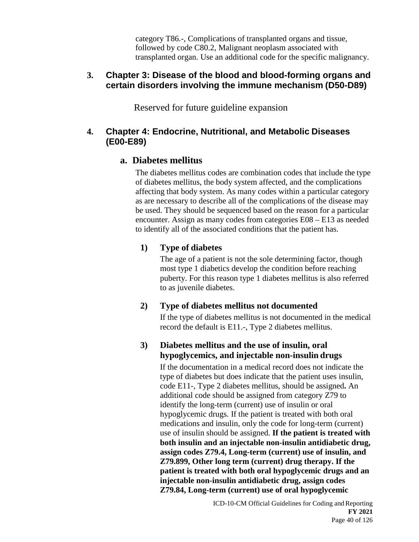category T86.-, Complications of transplanted organs and tissue, followed by code C80.2, Malignant neoplasm associated with transplanted organ. Use an additional code for the specific malignancy.

### **3. Chapter 3: Disease of the blood and blood-forming organs and certain disorders involving the immune mechanism (D50-D89)**

Reserved for future guideline expansion

## **4. Chapter 4: Endocrine, Nutritional, and Metabolic Diseases (E00-E89)**

## **a. Diabetes mellitus**

The diabetes mellitus codes are combination codes that include the type of diabetes mellitus, the body system affected, and the complications affecting that body system. As many codes within a particular category as are necessary to describe all of the complications of the disease may be used. They should be sequenced based on the reason for a particular encounter. Assign as many codes from categories E08 – E13 as needed to identify all of the associated conditions that the patient has.

## **1) Type of diabetes**

The age of a patient is not the sole determining factor, though most type 1 diabetics develop the condition before reaching puberty. For this reason type 1 diabetes mellitus is also referred to as juvenile diabetes.

### **2) Type of diabetes mellitus not documented**

If the type of diabetes mellitus is not documented in the medical record the default is E11.-, Type 2 diabetes mellitus.

## **3) Diabetes mellitus and the use of insulin, oral hypoglycemics, and injectable non-insulin drugs**

If the documentation in a medical record does not indicate the type of diabetes but does indicate that the patient uses insulin, code E11-, Type 2 diabetes mellitus, should be assigned**.** An additional code should be assigned from category Z79 to identify the long-term (current) use of insulin or oral hypoglycemic drugs. If the patient is treated with both oral medications and insulin, only the code for long-term (current) use of insulin should be assigned. **If the patient is treated with both insulin and an injectable non-insulin antidiabetic drug, assign codes Z79.4, Long-term (current) use of insulin, and Z79.899, Other long term (current) drug therapy. If the patient is treated with both oral hypoglycemic drugs and an injectable non-insulin antidiabetic drug, assign codes Z79.84, Long-term (current) use of oral hypoglycemic**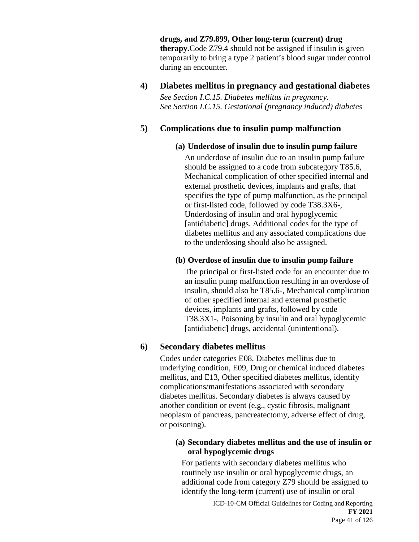**drugs, and Z79.899, Other long-term (current) drug therapy.**Code Z79.4 should not be assigned if insulin is given temporarily to bring a type 2 patient's blood sugar under control during an encounter.

## **4) Diabetes mellitus in pregnancy and gestational diabetes**

*See Section I.C.15. Diabetes mellitus in pregnancy. See Section I.C.15. Gestational (pregnancy induced) diabetes* 

### **5) Complications due to insulin pump malfunction**

#### **(a) Underdose of insulin due to insulin pump failure**

An underdose of insulin due to an insulin pump failure should be assigned to a code from subcategory T85.6, Mechanical complication of other specified internal and external prosthetic devices, implants and grafts, that specifies the type of pump malfunction, as the principal or first-listed code, followed by code T38.3X6-, Underdosing of insulin and oral hypoglycemic [antidiabetic] drugs. Additional codes for the type of diabetes mellitus and any associated complications due to the underdosing should also be assigned.

#### **(b) Overdose of insulin due to insulin pump failure**

The principal or first-listed code for an encounter due to an insulin pump malfunction resulting in an overdose of insulin, should also be T85.6-, Mechanical complication of other specified internal and external prosthetic devices, implants and grafts, followed by code T38.3X1-, Poisoning by insulin and oral hypoglycemic [antidiabetic] drugs, accidental (unintentional).

### **6) Secondary diabetes mellitus**

Codes under categories E08, Diabetes mellitus due to underlying condition, E09, Drug or chemical induced diabetes mellitus, and E13, Other specified diabetes mellitus, identify complications/manifestations associated with secondary diabetes mellitus. Secondary diabetes is always caused by another condition or event (e.g., cystic fibrosis, malignant neoplasm of pancreas, pancreatectomy, adverse effect of drug, or poisoning).

#### **(a) Secondary diabetes mellitus and the use of insulin or oral hypoglycemic drugs**

For patients with secondary diabetes mellitus who routinely use insulin or oral hypoglycemic drugs, an additional code from category Z79 should be assigned to identify the long-term (current) use of insulin or oral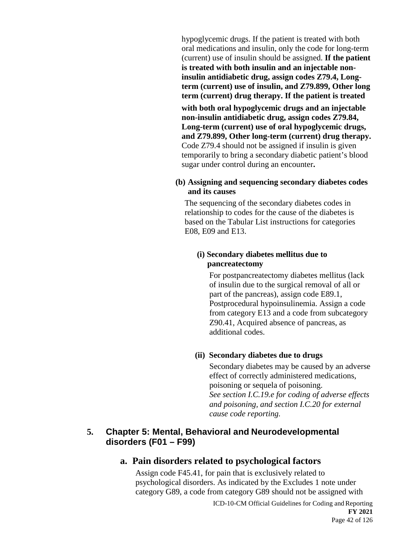hypoglycemic drugs. If the patient is treated with both oral medications and insulin, only the code for long-term (current) use of insulin should be assigned. **If the patient is treated with both insulin and an injectable noninsulin antidiabetic drug, assign codes Z79.4, Longterm (current) use of insulin, and Z79.899, Other long term (current) drug therapy. If the patient is treated**

**with both oral hypoglycemic drugs and an injectable non-insulin antidiabetic drug, assign codes Z79.84, Long-term (current) use of oral hypoglycemic drugs, and Z79.899, Other long-term (current) drug therapy.**  Code Z79.4 should not be assigned if insulin is given temporarily to bring a secondary diabetic patient's blood sugar under control during an encounter**.** 

#### **(b) Assigning and sequencing secondary diabetes codes and its causes**

The sequencing of the secondary diabetes codes in relationship to codes for the cause of the diabetes is based on the Tabular List instructions for categories E08, E09 and E13.

### **(i) Secondary diabetes mellitus due to pancreatectomy**

For postpancreatectomy diabetes mellitus (lack of insulin due to the surgical removal of all or part of the pancreas), assign code E89.1, Postprocedural hypoinsulinemia. Assign a code from category E13 and a code from subcategory Z90.41, Acquired absence of pancreas, as additional codes.

#### **(ii) Secondary diabetes due to drugs**

Secondary diabetes may be caused by an adverse effect of correctly administered medications, poisoning or sequela of poisoning. *See section I.C.19.e for coding of adverse effects and poisoning, and section I.C.20 for external cause code reporting.* 

### **5. Chapter 5: Mental, Behavioral and Neurodevelopmental disorders (F01 – F99)**

### **a. Pain disorders related to psychological factors**

Assign code F45.41, for pain that is exclusively related to psychological disorders. As indicated by the Excludes 1 note under category G89, a code from category G89 should not be assigned with

> ICD-10-CM Official Guidelines for Coding and Reporting **FY 2021** Page 42 of 126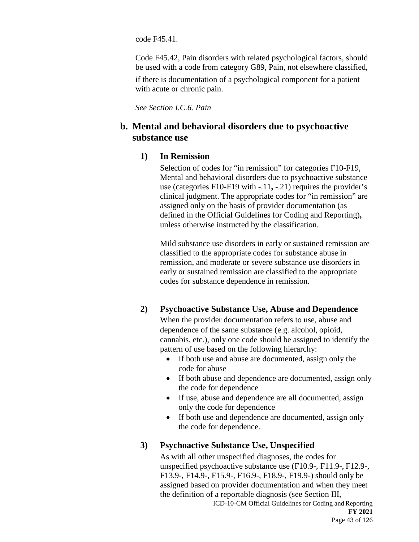code F45.41.

Code F45.42, Pain disorders with related psychological factors, should be used with a code from category G89, Pain, not elsewhere classified,

if there is documentation of a psychological component for a patient with acute or chronic pain.

*See Section I.C.6. Pain* 

## **b. Mental and behavioral disorders due to psychoactive substance use**

#### **1) In Remission**

Selection of codes for "in remission" for categories F10-F19, Mental and behavioral disorders due to psychoactive substance use (categories F10-F19 with -.11**,** -.21) requires the provider's clinical judgment. The appropriate codes for "in remission" are assigned only on the basis of provider documentation (as defined in the Official Guidelines for Coding and Reporting)**,**  unless otherwise instructed by the classification.

Mild substance use disorders in early or sustained remission are classified to the appropriate codes for substance abuse in remission, and moderate or severe substance use disorders in early or sustained remission are classified to the appropriate codes for substance dependence in remission.

### **2) Psychoactive Substance Use, Abuse and Dependence**

When the provider documentation refers to use, abuse and dependence of the same substance (e.g. alcohol, opioid, cannabis, etc.), only one code should be assigned to identify the pattern of use based on the following hierarchy:

- If both use and abuse are documented, assign only the code for abuse
- If both abuse and dependence are documented, assign only the code for dependence
- If use, abuse and dependence are all documented, assign only the code for dependence
- If both use and dependence are documented, assign only the code for dependence.

## **3) Psychoactive Substance Use, Unspecified**

As with all other unspecified diagnoses, the codes for unspecified psychoactive substance use (F10.9-, F11.9-, F12.9-, F13.9-, F14.9-, F15.9-, F16.9-, F18.9-, F19.9-) should only be assigned based on provider documentation and when they meet the definition of a reportable diagnosis (see Section III,

ICD-10-CM Official Guidelines for Coding and Reporting **FY 2021**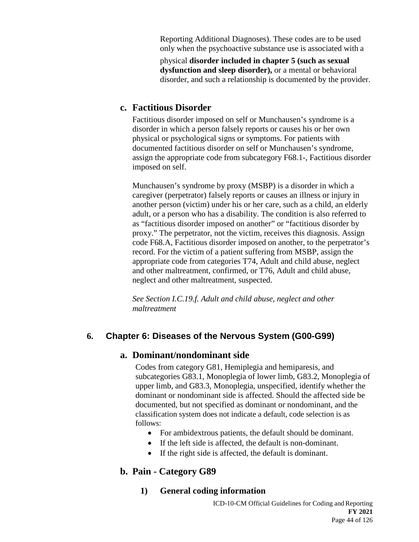Reporting Additional Diagnoses). These codes are to be used only when the psychoactive substance use is associated with a

physical **disorder included in chapter 5 (such as sexual dysfunction and sleep disorder),** or a mental or behavioral disorder, and such a relationship is documented by the provider.

### **c. Factitious Disorder**

Factitious disorder imposed on self or Munchausen's syndrome is a disorder in which a person falsely reports or causes his or her own physical or psychological signs or symptoms. For patients with documented factitious disorder on self or Munchausen's syndrome, assign the appropriate code from subcategory F68.1-, Factitious disorder imposed on self.

Munchausen's syndrome by proxy (MSBP) is a disorder in which a caregiver (perpetrator) falsely reports or causes an illness or injury in another person (victim) under his or her care, such as a child, an elderly adult, or a person who has a disability. The condition is also referred to as "factitious disorder imposed on another" or "factitious disorder by proxy." The perpetrator, not the victim, receives this diagnosis. Assign code F68.A, Factitious disorder imposed on another, to the perpetrator's record. For the victim of a patient suffering from MSBP, assign the appropriate code from categories T74, Adult and child abuse, neglect and other maltreatment, confirmed, or T76, Adult and child abuse, neglect and other maltreatment, suspected.

*See Section I.C.19.f. Adult and child abuse, neglect and other maltreatment* 

## **6. Chapter 6: Diseases of the Nervous System (G00-G99)**

## **a. Dominant/nondominant side**

Codes from category G81, Hemiplegia and hemiparesis, and subcategories G83.1, Monoplegia of lower limb, G83.2, Monoplegia of upper limb, and G83.3, Monoplegia, unspecified, identify whether the dominant or nondominant side is affected. Should the affected side be documented, but not specified as dominant or nondominant, and the classification system does not indicate a default, code selection is as follows:

- For ambidextrous patients, the default should be dominant.
- If the left side is affected, the default is non-dominant.
- If the right side is affected, the default is dominant.

## **b. Pain - Category G89**

## **1) General coding information**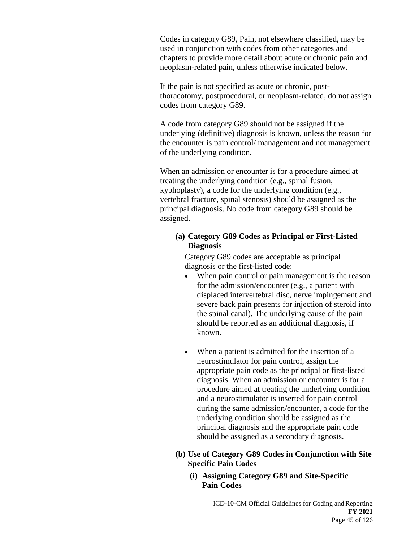Codes in category G89, Pain, not elsewhere classified, may be used in conjunction with codes from other categories and chapters to provide more detail about acute or chronic pain and neoplasm-related pain, unless otherwise indicated below.

If the pain is not specified as acute or chronic, postthoracotomy, postprocedural, or neoplasm-related, do not assign codes from category G89.

A code from category G89 should not be assigned if the underlying (definitive) diagnosis is known, unless the reason for the encounter is pain control/ management and not management of the underlying condition.

When an admission or encounter is for a procedure aimed at treating the underlying condition (e.g., spinal fusion, kyphoplasty), a code for the underlying condition (e.g., vertebral fracture, spinal stenosis) should be assigned as the principal diagnosis. No code from category G89 should be assigned.

#### **(a) Category G89 Codes as Principal or First-Listed Diagnosis**

Category G89 codes are acceptable as principal diagnosis or the first-listed code:

- When pain control or pain management is the reason for the admission/encounter (e.g., a patient with displaced intervertebral disc, nerve impingement and severe back pain presents for injection of steroid into the spinal canal). The underlying cause of the pain should be reported as an additional diagnosis, if known.
- When a patient is admitted for the insertion of a neurostimulator for pain control, assign the appropriate pain code as the principal or first-listed diagnosis. When an admission or encounter is for a procedure aimed at treating the underlying condition and a neurostimulator is inserted for pain control during the same admission/encounter, a code for the underlying condition should be assigned as the principal diagnosis and the appropriate pain code should be assigned as a secondary diagnosis.
- **(b) Use of Category G89 Codes in Conjunction with Site Specific Pain Codes**
	- **(i) Assigning Category G89 and Site-Specific Pain Codes**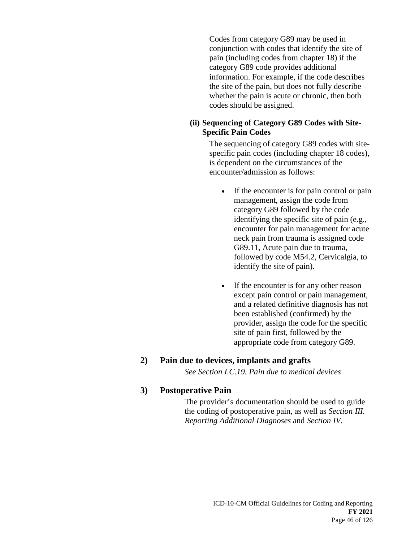Codes from category G89 may be used in conjunction with codes that identify the site of pain (including codes from chapter 18) if the category G89 code provides additional information. For example, if the code describes the site of the pain, but does not fully describe whether the pain is acute or chronic, then both codes should be assigned.

#### **(ii) Sequencing of Category G89 Codes with Site-Specific Pain Codes**

The sequencing of category G89 codes with sitespecific pain codes (including chapter 18 codes), is dependent on the circumstances of the encounter/admission as follows:

- If the encounter is for pain control or pain management, assign the code from category G89 followed by the code identifying the specific site of pain (e.g., encounter for pain management for acute neck pain from trauma is assigned code G89.11, Acute pain due to trauma, followed by code M54.2, Cervicalgia, to identify the site of pain).
- If the encounter is for any other reason except pain control or pain management, and a related definitive diagnosis has not been established (confirmed) by the provider, assign the code for the specific site of pain first, followed by the appropriate code from category G89.

#### **2) Pain due to devices, implants and grafts**

*See Section I.C.19. Pain due to medical devices* 

### **3) Postoperative Pain**

The provider's documentation should be used to guide the coding of postoperative pain, as well as *Section III. Reporting Additional Diagnoses* and *Section IV.*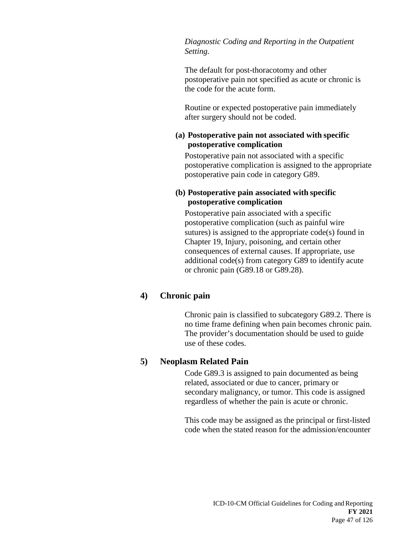*Diagnostic Coding and Reporting in the Outpatient Setting.* 

The default for post-thoracotomy and other postoperative pain not specified as acute or chronic is the code for the acute form.

Routine or expected postoperative pain immediately after surgery should not be coded.

#### **(a) Postoperative pain not associated with specific postoperative complication**

Postoperative pain not associated with a specific postoperative complication is assigned to the appropriate postoperative pain code in category G89.

#### **(b) Postoperative pain associated with specific postoperative complication**

Postoperative pain associated with a specific postoperative complication (such as painful wire sutures) is assigned to the appropriate code(s) found in Chapter 19, Injury, poisoning, and certain other consequences of external causes. If appropriate, use additional code(s) from category G89 to identify acute or chronic pain (G89.18 or G89.28).

### **4) Chronic pain**

Chronic pain is classified to subcategory G89.2. There is no time frame defining when pain becomes chronic pain. The provider's documentation should be used to guide use of these codes.

#### **5) Neoplasm Related Pain**

Code G89.3 is assigned to pain documented as being related, associated or due to cancer, primary or secondary malignancy, or tumor. This code is assigned regardless of whether the pain is acute or chronic.

This code may be assigned as the principal or first-listed code when the stated reason for the admission/encounter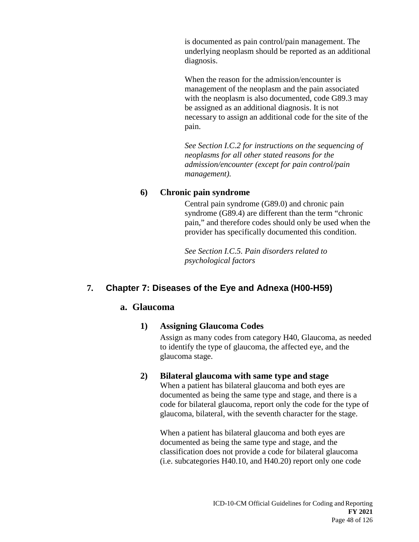is documented as pain control/pain management. The underlying neoplasm should be reported as an additional diagnosis.

When the reason for the admission/encounter is management of the neoplasm and the pain associated with the neoplasm is also documented, code G89.3 may be assigned as an additional diagnosis. It is not necessary to assign an additional code for the site of the pain.

*See Section I.C.2 for instructions on the sequencing of neoplasms for all other stated reasons for the admission/encounter (except for pain control/pain management).* 

#### **6) Chronic pain syndrome**

Central pain syndrome (G89.0) and chronic pain syndrome (G89.4) are different than the term "chronic pain," and therefore codes should only be used when the provider has specifically documented this condition.

*See Section I.C.5. Pain disorders related to psychological factors* 

### **7. Chapter 7: Diseases of the Eye and Adnexa (H00-H59)**

#### **a. Glaucoma**

#### **1) Assigning Glaucoma Codes**

Assign as many codes from category H40, Glaucoma, as needed to identify the type of glaucoma, the affected eye, and the glaucoma stage.

#### **2) Bilateral glaucoma with same type and stage**

When a patient has bilateral glaucoma and both eyes are documented as being the same type and stage, and there is a code for bilateral glaucoma, report only the code for the type of glaucoma, bilateral, with the seventh character for the stage.

When a patient has bilateral glaucoma and both eyes are documented as being the same type and stage, and the classification does not provide a code for bilateral glaucoma (i.e. subcategories H40.10, and H40.20) report only one code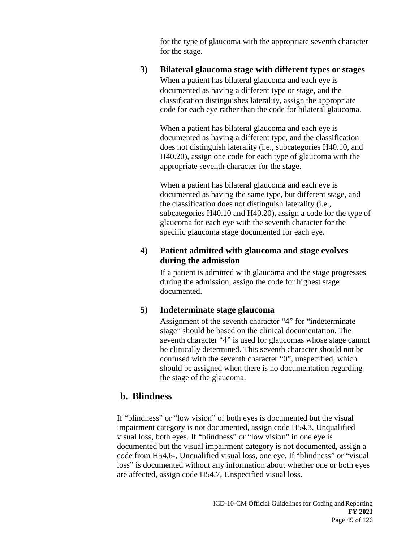for the type of glaucoma with the appropriate seventh character for the stage.

#### **3) Bilateral glaucoma stage with different types or stages**

When a patient has bilateral glaucoma and each eye is documented as having a different type or stage, and the classification distinguishes laterality, assign the appropriate code for each eye rather than the code for bilateral glaucoma.

When a patient has bilateral glaucoma and each eye is documented as having a different type, and the classification does not distinguish laterality (i.e., subcategories H40.10, and H40.20), assign one code for each type of glaucoma with the appropriate seventh character for the stage.

When a patient has bilateral glaucoma and each eye is documented as having the same type, but different stage, and the classification does not distinguish laterality (i.e., subcategories H40.10 and H40.20), assign a code for the type of glaucoma for each eye with the seventh character for the specific glaucoma stage documented for each eye.

### **4) Patient admitted with glaucoma and stage evolves during the admission**

If a patient is admitted with glaucoma and the stage progresses during the admission, assign the code for highest stage documented.

### **5) Indeterminate stage glaucoma**

Assignment of the seventh character "4" for "indeterminate stage" should be based on the clinical documentation. The seventh character "4" is used for glaucomas whose stage cannot be clinically determined. This seventh character should not be confused with the seventh character "0", unspecified, which should be assigned when there is no documentation regarding the stage of the glaucoma.

## **b. Blindness**

If "blindness" or "low vision" of both eyes is documented but the visual impairment category is not documented, assign code H54.3, Unqualified visual loss, both eyes. If "blindness" or "low vision" in one eye is documented but the visual impairment category is not documented, assign a code from H54.6-, Unqualified visual loss, one eye. If "blindness" or "visual loss" is documented without any information about whether one or both eyes are affected, assign code H54.7, Unspecified visual loss.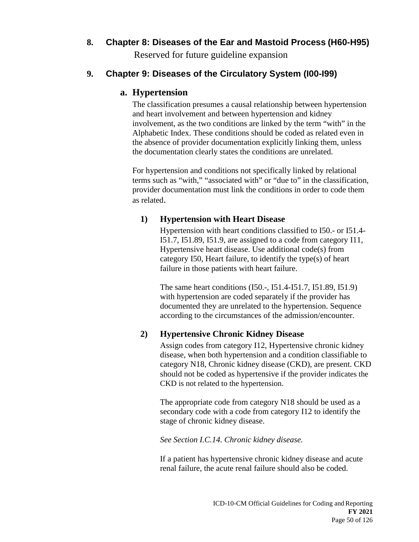## **8. Chapter 8: Diseases of the Ear and Mastoid Process (H60-H95)**

Reserved for future guideline expansion

### **9. Chapter 9: Diseases of the Circulatory System (I00-I99)**

#### **a. Hypertension**

The classification presumes a causal relationship between hypertension and heart involvement and between hypertension and kidney involvement, as the two conditions are linked by the term "with" in the Alphabetic Index. These conditions should be coded as related even in the absence of provider documentation explicitly linking them, unless the documentation clearly states the conditions are unrelated.

For hypertension and conditions not specifically linked by relational terms such as "with," "associated with" or "due to" in the classification, provider documentation must link the conditions in order to code them as related.

### **1) Hypertension with Heart Disease**

Hypertension with heart conditions classified to I50.- or I51.4- I51.7, I51.89, I51.9, are assigned to a code from category I11, Hypertensive heart disease. Use additional code(s) from category I50, Heart failure, to identify the type(s) of heart failure in those patients with heart failure.

The same heart conditions (I50.-, I51.4-I51.7, I51.89, I51.9) with hypertension are coded separately if the provider has documented they are unrelated to the hypertension. Sequence according to the circumstances of the admission/encounter.

### **2) Hypertensive Chronic Kidney Disease**

Assign codes from category I12, Hypertensive chronic kidney disease, when both hypertension and a condition classifiable to category N18, Chronic kidney disease (CKD), are present. CKD should not be coded as hypertensive if the provider indicates the CKD is not related to the hypertension.

The appropriate code from category N18 should be used as a secondary code with a code from category I12 to identify the stage of chronic kidney disease.

*See Section I.C.14. Chronic kidney disease.* 

If a patient has hypertensive chronic kidney disease and acute renal failure, the acute renal failure should also be coded.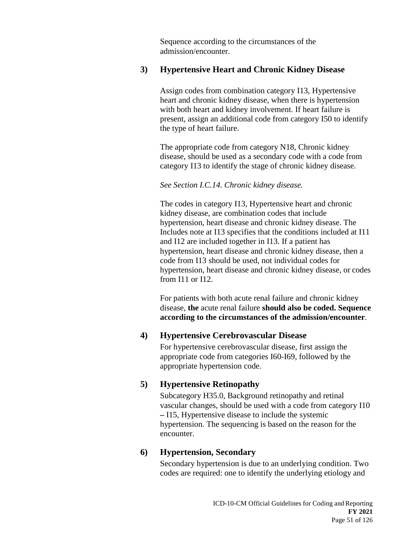Sequence according to the circumstances of the admission/encounter.

#### **3) Hypertensive Heart and Chronic Kidney Disease**

Assign codes from combination category I13, Hypertensive heart and chronic kidney disease, when there is hypertension with both heart and kidney involvement. If heart failure is present, assign an additional code from category I50 to identify the type of heart failure.

The appropriate code from category N18, Chronic kidney disease, should be used as a secondary code with a code from category I13 to identify the stage of chronic kidney disease.

*See Section I.C.14. Chronic kidney disease.* 

The codes in category I13, Hypertensive heart and chronic kidney disease, are combination codes that include hypertension, heart disease and chronic kidney disease. The Includes note at I13 specifies that the conditions included at I11 and I12 are included together in I13. If a patient has hypertension, heart disease and chronic kidney disease, then a code from I13 should be used, not individual codes for hypertension, heart disease and chronic kidney disease, or codes from I11 or I12.

For patients with both acute renal failure and chronic kidney disease, **the** acute renal failure **should also be coded. Sequence according to the circumstances of the admission/encounter**.

### **4) Hypertensive Cerebrovascular Disease**

For hypertensive cerebrovascular disease, first assign the appropriate code from categories I60-I69, followed by the appropriate hypertension code.

### **5) Hypertensive Retinopathy**

Subcategory H35.0, Background retinopathy and retinal vascular changes, should be used with a code from category I10 **–** I15, Hypertensive disease to include the systemic hypertension. The sequencing is based on the reason for the encounter.

### **6) Hypertension, Secondary**

Secondary hypertension is due to an underlying condition. Two codes are required: one to identify the underlying etiology and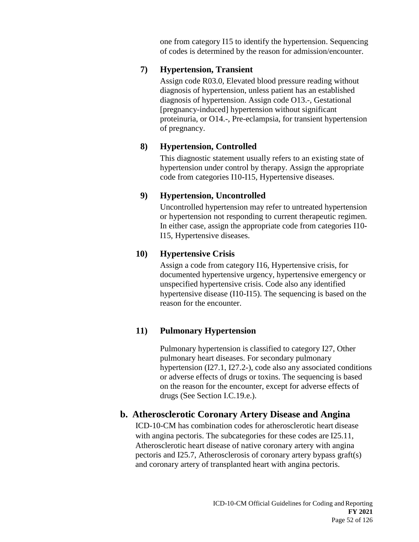one from category I15 to identify the hypertension. Sequencing of codes is determined by the reason for admission/encounter.

### **7) Hypertension, Transient**

Assign code R03.0, Elevated blood pressure reading without diagnosis of hypertension, unless patient has an established diagnosis of hypertension. Assign code O13.-, Gestational [pregnancy-induced] hypertension without significant proteinuria, or O14.-, Pre-eclampsia, for transient hypertension of pregnancy.

#### **8) Hypertension, Controlled**

This diagnostic statement usually refers to an existing state of hypertension under control by therapy. Assign the appropriate code from categories I10**-**I15, Hypertensive diseases.

### **9) Hypertension, Uncontrolled**

Uncontrolled hypertension may refer to untreated hypertension or hypertension not responding to current therapeutic regimen. In either case, assign the appropriate code from categories I10**-**  I15, Hypertensive diseases.

### **10) Hypertensive Crisis**

Assign a code from category I16, Hypertensive crisis, for documented hypertensive urgency, hypertensive emergency or unspecified hypertensive crisis. Code also any identified hypertensive disease (I10-I15). The sequencing is based on the reason for the encounter.

## **11) Pulmonary Hypertension**

Pulmonary hypertension is classified to category I27, Other pulmonary heart diseases. For secondary pulmonary hypertension (I27.1, I27.2-), code also any associated conditions or adverse effects of drugs or toxins. The sequencing is based on the reason for the encounter, except for adverse effects of drugs (See Section I.C.19.e.).

## **b. Atherosclerotic Coronary Artery Disease and Angina**

ICD-10-CM has combination codes for atherosclerotic heart disease with angina pectoris. The subcategories for these codes are I25.11, Atherosclerotic heart disease of native coronary artery with angina pectoris and I25.7, Atherosclerosis of coronary artery bypass graft(s) and coronary artery of transplanted heart with angina pectoris.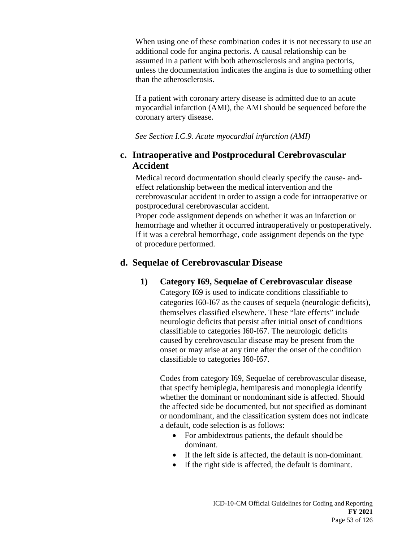When using one of these combination codes it is not necessary to use an additional code for angina pectoris. A causal relationship can be assumed in a patient with both atherosclerosis and angina pectoris, unless the documentation indicates the angina is due to something other than the atherosclerosis.

If a patient with coronary artery disease is admitted due to an acute myocardial infarction (AMI), the AMI should be sequenced before the coronary artery disease.

*See Section I.C.9. Acute myocardial infarction (AMI)*

### **c. Intraoperative and Postprocedural Cerebrovascular Accident**

Medical record documentation should clearly specify the cause- andeffect relationship between the medical intervention and the cerebrovascular accident in order to assign a code for intraoperative or postprocedural cerebrovascular accident.

Proper code assignment depends on whether it was an infarction or hemorrhage and whether it occurred intraoperatively or postoperatively. If it was a cerebral hemorrhage, code assignment depends on the type of procedure performed.

## **d. Sequelae of Cerebrovascular Disease**

### **1) Category I69, Sequelae of Cerebrovascular disease**

Category I69 is used to indicate conditions classifiable to categories I60-I67 as the causes of sequela (neurologic deficits), themselves classified elsewhere. These "late effects" include neurologic deficits that persist after initial onset of conditions classifiable to categories I60-I67. The neurologic deficits caused by cerebrovascular disease may be present from the onset or may arise at any time after the onset of the condition classifiable to categories I60-I67.

Codes from category I69, Sequelae of cerebrovascular disease, that specify hemiplegia, hemiparesis and monoplegia identify whether the dominant or nondominant side is affected. Should the affected side be documented, but not specified as dominant or nondominant, and the classification system does not indicate a default, code selection is as follows:

- For ambidextrous patients, the default should be dominant.
- If the left side is affected, the default is non-dominant.
- If the right side is affected, the default is dominant.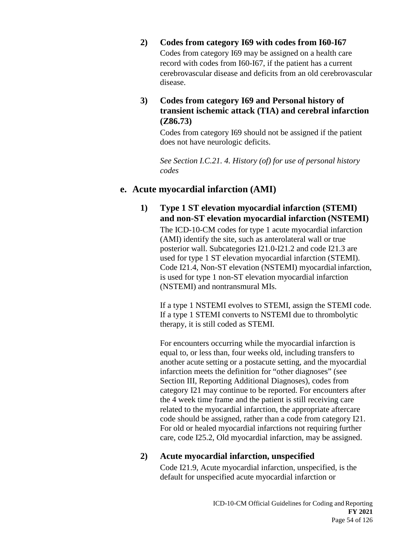- **2) Codes from category I69 with codes from I60-I67**  Codes from category I69 may be assigned on a health care record with codes from I60-I67, if the patient has a current cerebrovascular disease and deficits from an old cerebrovascular disease.
- **3) Codes from category I69 and Personal history of transient ischemic attack (TIA) and cerebral infarction (Z86.73)**

Codes from category I69 should not be assigned if the patient does not have neurologic deficits.

*See Section I.C.21. 4. History (of) for use of personal history codes*

## **e. Acute myocardial infarction (AMI)**

### **1) Type 1 ST elevation myocardial infarction (STEMI) and non-ST elevation myocardial infarction (NSTEMI)**

The ICD-10-CM codes for type 1 acute myocardial infarction (AMI) identify the site, such as anterolateral wall or true posterior wall. Subcategories I21.0-I21.2 and code I21.3 are used for type 1 ST elevation myocardial infarction (STEMI). Code I21.4, Non-ST elevation (NSTEMI) myocardial infarction, is used for type 1 non-ST elevation myocardial infarction (NSTEMI) and nontransmural MIs.

If a type 1 NSTEMI evolves to STEMI, assign the STEMI code. If a type 1 STEMI converts to NSTEMI due to thrombolytic therapy, it is still coded as STEMI.

For encounters occurring while the myocardial infarction is equal to, or less than, four weeks old, including transfers to another acute setting or a postacute setting, and the myocardial infarction meets the definition for "other diagnoses" (see Section III, Reporting Additional Diagnoses), codes from category I21 may continue to be reported. For encounters after the 4 week time frame and the patient is still receiving care related to the myocardial infarction, the appropriate aftercare code should be assigned, rather than a code from category I21. For old or healed myocardial infarctions not requiring further care, code I25.2, Old myocardial infarction, may be assigned.

### **2) Acute myocardial infarction, unspecified**

Code I21.9, Acute myocardial infarction, unspecified, is the default for unspecified acute myocardial infarction or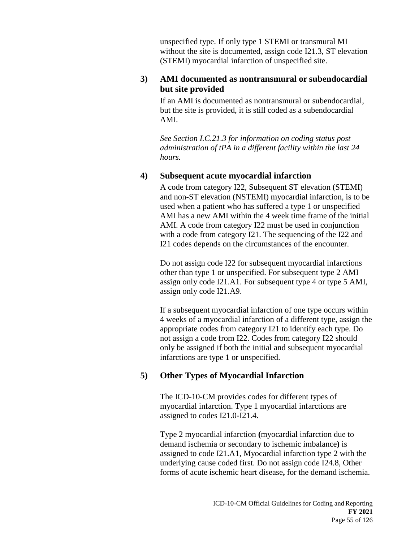unspecified type. If only type 1 STEMI or transmural MI without the site is documented, assign code I21.3, ST elevation (STEMI) myocardial infarction of unspecified site.

### **3) AMI documented as nontransmural or subendocardial but site provided**

If an AMI is documented as nontransmural or subendocardial, but the site is provided, it is still coded as a subendocardial AMI.

*See Section I.C.21.3 for information on coding status post administration of tPA in a different facility within the last 24 hours.* 

### **4) Subsequent acute myocardial infarction**

A code from category I22, Subsequent ST elevation (STEMI) and non**-**ST elevation (NSTEMI) myocardial infarction, is to be used when a patient who has suffered a type 1 or unspecified AMI has a new AMI within the 4 week time frame of the initial AMI. A code from category I22 must be used in conjunction with a code from category I21. The sequencing of the I22 and I21 codes depends on the circumstances of the encounter.

Do not assign code I22 for subsequent myocardial infarctions other than type 1 or unspecified. For subsequent type 2 AMI assign only code I21.A1. For subsequent type 4 or type 5 AMI, assign only code I21.A9.

If a subsequent myocardial infarction of one type occurs within 4 weeks of a myocardial infarction of a different type, assign the appropriate codes from category I21 to identify each type. Do not assign a code from I22. Codes from category I22 should only be assigned if both the initial and subsequent myocardial infarctions are type 1 or unspecified.

### **5) Other Types of Myocardial Infarction**

The ICD-10-CM provides codes for different types of myocardial infarction. Type 1 myocardial infarctions are assigned to codes I21.0-I21.4.

Type 2 myocardial infarction **(**myocardial infarction due to demand ischemia or secondary to ischemic imbalance**)** is assigned to code I21.A1, Myocardial infarction type 2 with the underlying cause coded first. Do not assign code I24.8, Other forms of acute ischemic heart disease**,** for the demand ischemia.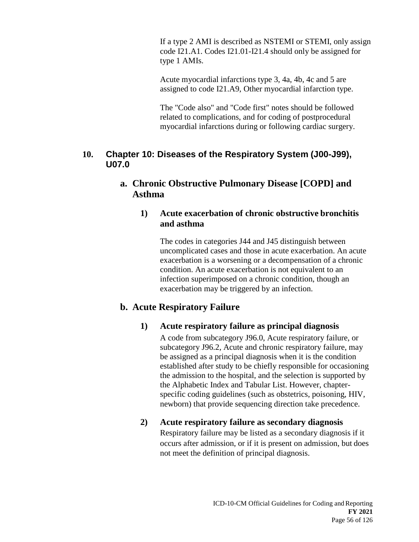If a type 2 AMI is described as NSTEMI or STEMI, only assign code I21.A1. Codes I21.01-I21.4 should only be assigned for type 1 AMIs.

Acute myocardial infarctions type 3, 4a, 4b, 4c and 5 are assigned to code I21.A9, Other myocardial infarction type.

The "Code also" and "Code first" notes should be followed related to complications, and for coding of postprocedural myocardial infarctions during or following cardiac surgery.

## **10. Chapter 10: Diseases of the Respiratory System (J00-J99), U07.0**

## **a. Chronic Obstructive Pulmonary Disease [COPD] and Asthma**

### **1) Acute exacerbation of chronic obstructive bronchitis and asthma**

The codes in categories J44 and J45 distinguish between uncomplicated cases and those in acute exacerbation. An acute exacerbation is a worsening or a decompensation of a chronic condition. An acute exacerbation is not equivalent to an infection superimposed on a chronic condition, though an exacerbation may be triggered by an infection.

## **b. Acute Respiratory Failure**

## **1) Acute respiratory failure as principal diagnosis**

A code from subcategory J96.0, Acute respiratory failure, or subcategory J96.2, Acute and chronic respiratory failure, may be assigned as a principal diagnosis when it is the condition established after study to be chiefly responsible for occasioning the admission to the hospital, and the selection is supported by the Alphabetic Index and Tabular List. However, chapterspecific coding guidelines (such as obstetrics, poisoning, HIV, newborn) that provide sequencing direction take precedence.

### **2) Acute respiratory failure as secondary diagnosis**

Respiratory failure may be listed as a secondary diagnosis if it occurs after admission, or if it is present on admission, but does not meet the definition of principal diagnosis.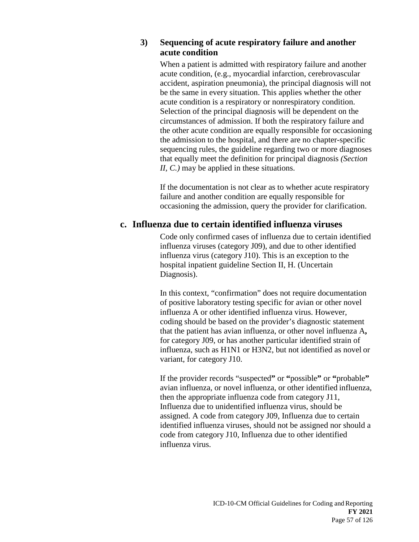#### **3) Sequencing of acute respiratory failure and another acute condition**

When a patient is admitted with respiratory failure and another acute condition, (e.g., myocardial infarction, cerebrovascular accident, aspiration pneumonia), the principal diagnosis will not be the same in every situation. This applies whether the other acute condition is a respiratory or nonrespiratory condition. Selection of the principal diagnosis will be dependent on the circumstances of admission. If both the respiratory failure and the other acute condition are equally responsible for occasioning the admission to the hospital, and there are no chapter-specific sequencing rules, the guideline regarding two or more diagnoses that equally meet the definition for principal diagnosis *(Section II, C.*) may be applied in these situations.

If the documentation is not clear as to whether acute respiratory failure and another condition are equally responsible for occasioning the admission, query the provider for clarification.

### **c. Influenza due to certain identified influenza viruses**

Code only confirmed cases of influenza due to certain identified influenza viruses (category J09), and due to other identified influenza virus (category J10). This is an exception to the hospital inpatient guideline Section II, H. (Uncertain Diagnosis).

In this context, "confirmation" does not require documentation of positive laboratory testing specific for avian or other novel influenza A or other identified influenza virus. However, coding should be based on the provider's diagnostic statement that the patient has avian influenza, or other novel influenza A**,**  for category J09, or has another particular identified strain of influenza, such as H1N1 or H3N2, but not identified as novel or variant, for category J10.

If the provider records "suspected**"** or **"**possible**"** or **"**probable**"**  avian influenza, or novel influenza, or other identified influenza, then the appropriate influenza code from category J11, Influenza due to unidentified influenza virus, should be assigned. A code from category J09, Influenza due to certain identified influenza viruses, should not be assigned nor should a code from category J10, Influenza due to other identified influenza virus.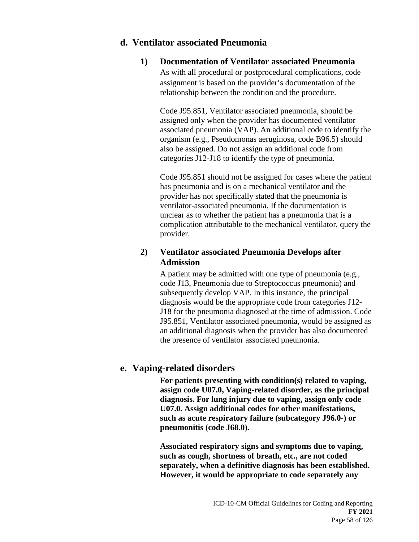#### **d. Ventilator associated Pneumonia**

#### **1) Documentation of Ventilator associated Pneumonia**

As with all procedural or postprocedural complications, code assignment is based on the provider's documentation of the relationship between the condition and the procedure.

Code J95.851, Ventilator associated pneumonia, should be assigned only when the provider has documented ventilator associated pneumonia (VAP). An additional code to identify the organism (e.g., Pseudomonas aeruginosa, code B96.5) should also be assigned. Do not assign an additional code from categories J12-J18 to identify the type of pneumonia.

Code J95.851 should not be assigned for cases where the patient has pneumonia and is on a mechanical ventilator and the provider has not specifically stated that the pneumonia is ventilator-associated pneumonia. If the documentation is unclear as to whether the patient has a pneumonia that is a complication attributable to the mechanical ventilator, query the provider.

### **2) Ventilator associated Pneumonia Develops after Admission**

A patient may be admitted with one type of pneumonia (e.g., code J13, Pneumonia due to Streptococcus pneumonia) and subsequently develop VAP. In this instance, the principal diagnosis would be the appropriate code from categories J12- J18 for the pneumonia diagnosed at the time of admission. Code J95.851, Ventilator associated pneumonia, would be assigned as an additional diagnosis when the provider has also documented the presence of ventilator associated pneumonia.

### **e. Vaping-related disorders**

**For patients presenting with condition(s) related to vaping, assign code U07.0, Vaping-related disorder, as the principal diagnosis. For lung injury due to vaping, assign only code U07.0. Assign additional codes for other manifestations, such as acute respiratory failure (subcategory J96.0-) or pneumonitis (code J68.0).** 

**Associated respiratory signs and symptoms due to vaping, such as cough, shortness of breath, etc., are not coded separately, when a definitive diagnosis has been established. However, it would be appropriate to code separately any**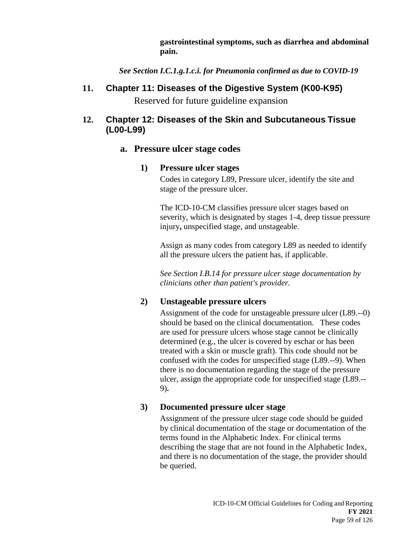**gastrointestinal symptoms, such as diarrhea and abdominal pain.**

*See Section I.C.1.g.1.c.i. for Pneumonia confirmed as due to COVID-19*

**11. Chapter 11: Diseases of the Digestive System (K00-K9***5***)** 

Reserved for future guideline expansion

## **12. Chapter 12: Diseases of the Skin and Subcutaneous Tissue (L00-L99)**

### **a. Pressure ulcer stage codes**

#### **1) Pressure ulcer stages**

Codes in category L89, Pressure ulcer, identify the site and stage of the pressure ulcer.

The ICD-10-CM classifies pressure ulcer stages based on severity, which is designated by stages 1-4, deep tissue pressure injury**,** unspecified stage, and unstageable.

Assign as many codes from category L89 as needed to identify all the pressure ulcers the patient has, if applicable.

*See Section I.B.14 for pressure ulcer stage documentation by clinicians other than patient's provider.* 

## **2) Unstageable pressure ulcers**

Assignment of the code for unstageable pressure ulcer (L89.--0) should be based on the clinical documentation. These codes are used for pressure ulcers whose stage cannot be clinically determined (e.g., the ulcer is covered by eschar or has been treated with a skin or muscle graft). This code should not be confused with the codes for unspecified stage (L89.--9). When there is no documentation regarding the stage of the pressure ulcer, assign the appropriate code for unspecified stage (L89.-- 9)**.** 

### **3) Documented pressure ulcer stage**

Assignment of the pressure ulcer stage code should be guided by clinical documentation of the stage or documentation of the terms found in the Alphabetic Index. For clinical terms describing the stage that are not found in the Alphabetic Index, and there is no documentation of the stage, the provider should be queried.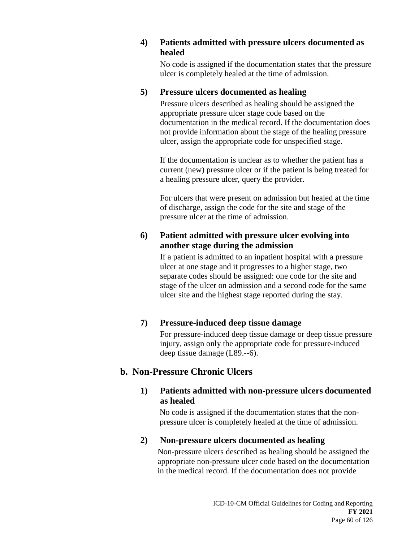### **4) Patients admitted with pressure ulcers documented as healed**

No code is assigned if the documentation states that the pressure ulcer is completely healed at the time of admission.

#### **5) Pressure ulcers documented as healing**

Pressure ulcers described as healing should be assigned the appropriate pressure ulcer stage code based on the documentation in the medical record. If the documentation does not provide information about the stage of the healing pressure ulcer, assign the appropriate code for unspecified stage.

If the documentation is unclear as to whether the patient has a current (new) pressure ulcer or if the patient is being treated for a healing pressure ulcer, query the provider.

For ulcers that were present on admission but healed at the time of discharge, assign the code for the site and stage of the pressure ulcer at the time of admission.

### **6) Patient admitted with pressure ulcer evolving into another stage during the admission**

If a patient is admitted to an inpatient hospital with a pressure ulcer at one stage and it progresses to a higher stage, two separate codes should be assigned: one code for the site and stage of the ulcer on admission and a second code for the same ulcer site and the highest stage reported during the stay.

### **7) Pressure-induced deep tissue damage**

For pressure-induced deep tissue damage or deep tissue pressure injury, assign only the appropriate code for pressure-induced deep tissue damage (L89.--6).

## **b. Non-Pressure Chronic Ulcers**

### **1) Patients admitted with non-pressure ulcers documented as healed**

No code is assigned if the documentation states that the nonpressure ulcer is completely healed at the time of admission.

#### **2) Non-pressure ulcers documented as healing**

Non-pressure ulcers described as healing should be assigned the appropriate non-pressure ulcer code based on the documentation in the medical record. If the documentation does not provide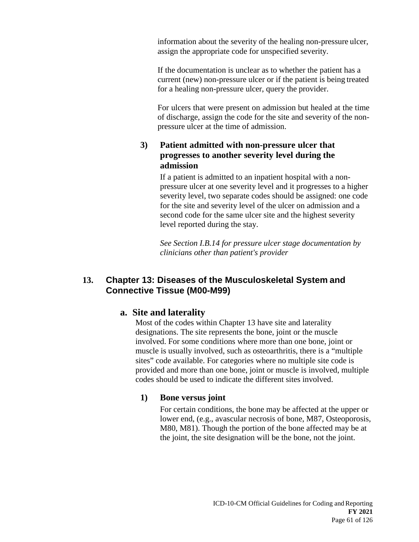information about the severity of the healing non-pressure ulcer, assign the appropriate code for unspecified severity.

If the documentation is unclear as to whether the patient has a current (new) non-pressure ulcer or if the patient is being treated for a healing non-pressure ulcer, query the provider.

For ulcers that were present on admission but healed at the time of discharge, assign the code for the site and severity of the nonpressure ulcer at the time of admission.

### **3) Patient admitted with non-pressure ulcer that progresses to another severity level during the admission**

If a patient is admitted to an inpatient hospital with a nonpressure ulcer at one severity level and it progresses to a higher severity level, two separate codes should be assigned: one code for the site and severity level of the ulcer on admission and a second code for the same ulcer site and the highest severity level reported during the stay.

*See Section I.B.14 for pressure ulcer stage documentation by clinicians other than patient's provider* 

### **13. Chapter 13: Diseases of the Musculoskeletal System and Connective Tissue (M00-M99)**

### **a. Site and laterality**

Most of the codes within Chapter 13 have site and laterality designations. The site represents the bone, joint or the muscle involved. For some conditions where more than one bone, joint or muscle is usually involved, such as osteoarthritis, there is a "multiple sites" code available. For categories where no multiple site code is provided and more than one bone, joint or muscle is involved, multiple codes should be used to indicate the different sites involved.

#### **1) Bone versus joint**

For certain conditions, the bone may be affected at the upper or lower end, (e.g., avascular necrosis of bone, M87, Osteoporosis, M80, M81). Though the portion of the bone affected may be at the joint, the site designation will be the bone, not the joint.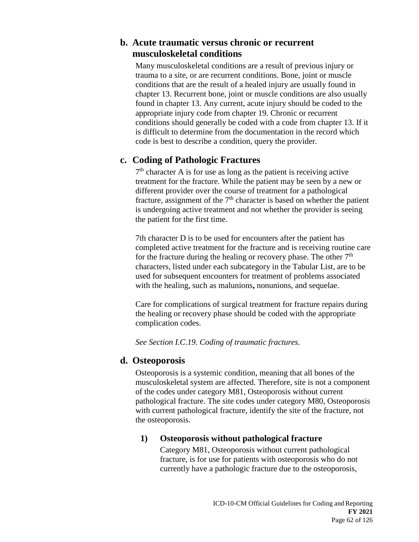## **b. Acute traumatic versus chronic or recurrent musculoskeletal conditions**

Many musculoskeletal conditions are a result of previous injury or trauma to a site, or are recurrent conditions. Bone, joint or muscle conditions that are the result of a healed injury are usually found in chapter 13. Recurrent bone, joint or muscle conditions are also usually found in chapter 13. Any current, acute injury should be coded to the appropriate injury code from chapter 19. Chronic or recurrent conditions should generally be coded with a code from chapter 13. If it is difficult to determine from the documentation in the record which code is best to describe a condition, query the provider.

## **c. Coding of Pathologic Fractures**

 $7<sup>th</sup>$  character A is for use as long as the patient is receiving active treatment for the fracture. While the patient may be seen by a new or different provider over the course of treatment for a pathological fracture, assignment of the  $7<sup>th</sup>$  character is based on whether the patient is undergoing active treatment and not whether the provider is seeing the patient for the first time.

7th character D is to be used for encounters after the patient has completed active treatment for the fracture and is receiving routine care for the fracture during the healing or recovery phase. The other  $7<sup>th</sup>$ characters, listed under each subcategory in the Tabular List, are to be used for subsequent encounters for treatment of problems associated with the healing, such as malunions**,** nonunions, and sequelae.

Care for complications of surgical treatment for fracture repairs during the healing or recovery phase should be coded with the appropriate complication codes.

*See Section I.C.19. Coding of traumatic fractures.* 

## **d. Osteoporosis**

Osteoporosis is a systemic condition, meaning that all bones of the musculoskeletal system are affected. Therefore, site is not a component of the codes under category M81, Osteoporosis without current pathological fracture. The site codes under category M80, Osteoporosis with current pathological fracture, identify the site of the fracture, not the osteoporosis.

### **1) Osteoporosis without pathological fracture**

Category M81, Osteoporosis without current pathological fracture, is for use for patients with osteoporosis who do not currently have a pathologic fracture due to the osteoporosis,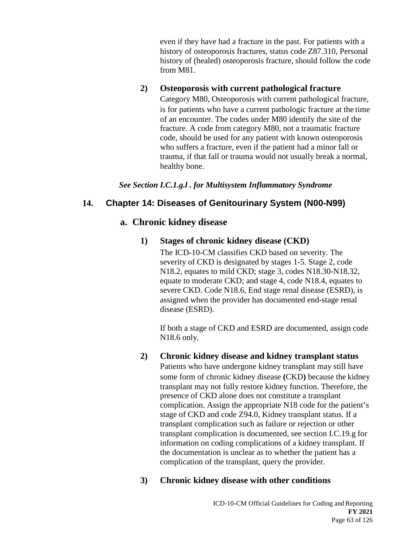even if they have had a fracture in the past. For patients with a history of osteoporosis fractures, status code Z87.310, Personal history of (healed) osteoporosis fracture, should follow the code from M81.

#### **2) Osteoporosis with current pathological fracture**

Category M80, Osteoporosis with current pathological fracture, is for patients who have a current pathologic fracture at the time of an encounter. The codes under M80 identify the site of the fracture. A code from category M80, not a traumatic fracture code, should be used for any patient with known osteoporosis who suffers a fracture, even if the patient had a minor fall or trauma, if that fall or trauma would not usually break a normal, healthy bone.

#### *See Section I.C.1.g.l . for Multisystem Inflammatory Syndrome*

## **14. Chapter 14: Diseases of Genitourinary System (N00-N99)**

### **a. Chronic kidney disease**

#### **1) Stages of chronic kidney disease (CKD)**

The ICD-10-CM classifies CKD based on severity. The severity of CKD is designated by stages 1-5. Stage 2, code N18.2, equates to mild CKD; stage 3, codes N18.30-N18.32, equate to moderate CKD; and stage 4, code N18.4, equates to severe CKD. Code N18.6, End stage renal disease (ESRD), is assigned when the provider has documented end-stage renal disease (ESRD).

If both a stage of CKD and ESRD are documented, assign code N18.6 only.

## **2) Chronic kidney disease and kidney transplant status**

Patients who have undergone kidney transplant may still have some form of chronic kidney disease **(**CKD**)** because the kidney transplant may not fully restore kidney function. Therefore, the presence of CKD alone does not constitute a transplant complication. Assign the appropriate N18 code for the patient's stage of CKD and code Z94.0, Kidney transplant status. If a transplant complication such as failure or rejection or other transplant complication is documented, see section I.C.19.g for information on coding complications of a kidney transplant. If the documentation is unclear as to whether the patient has a complication of the transplant, query the provider.

## **3) Chronic kidney disease with other conditions**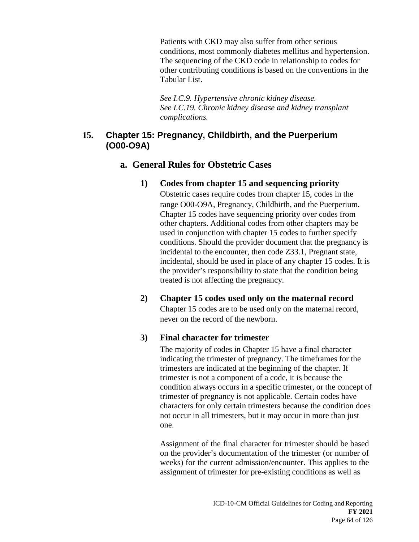Patients with CKD may also suffer from other serious conditions, most commonly diabetes mellitus and hypertension. The sequencing of the CKD code in relationship to codes for other contributing conditions is based on the conventions in the Tabular List.

*See I.C.9. Hypertensive chronic kidney disease. See I.C.19. Chronic kidney disease and kidney transplant complications.* 

### **15. Chapter 15: Pregnancy, Childbirth, and the Puerperium (O00-O9A)**

### **a. General Rules for Obstetric Cases**

#### **1) Codes from chapter 15 and sequencing priority**

Obstetric cases require codes from chapter 15, codes in the range O00-O9A, Pregnancy, Childbirth, and the Puerperium. Chapter 15 codes have sequencing priority over codes from other chapters. Additional codes from other chapters may be used in conjunction with chapter 15 codes to further specify conditions. Should the provider document that the pregnancy is incidental to the encounter, then code Z33.1, Pregnant state, incidental, should be used in place of any chapter 15 codes. It is the provider's responsibility to state that the condition being treated is not affecting the pregnancy.

#### **2) Chapter 15 codes used only on the maternal record**  Chapter 15 codes are to be used only on the maternal record, never on the record of the newborn.

### **3) Final character for trimester**

The majority of codes in Chapter 15 have a final character indicating the trimester of pregnancy. The timeframes for the trimesters are indicated at the beginning of the chapter. If trimester is not a component of a code, it is because the condition always occurs in a specific trimester, or the concept of trimester of pregnancy is not applicable. Certain codes have characters for only certain trimesters because the condition does not occur in all trimesters, but it may occur in more than just one.

Assignment of the final character for trimester should be based on the provider's documentation of the trimester (or number of weeks) for the current admission/encounter. This applies to the assignment of trimester for pre-existing conditions as well as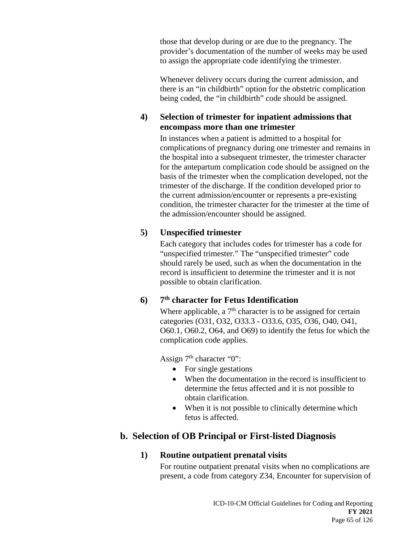those that develop during or are due to the pregnancy. The provider's documentation of the number of weeks may be used to assign the appropriate code identifying the trimester.

Whenever delivery occurs during the current admission, and there is an "in childbirth" option for the obstetric complication being coded, the "in childbirth" code should be assigned.

### **4) Selection of trimester for inpatient admissions that encompass more than one trimester**

In instances when a patient is admitted to a hospital for complications of pregnancy during one trimester and remains in the hospital into a subsequent trimester, the trimester character for the antepartum complication code should be assigned on the basis of the trimester when the complication developed, not the trimester of the discharge. If the condition developed prior to the current admission/encounter or represents a pre-existing condition, the trimester character for the trimester at the time of the admission/encounter should be assigned.

### **5) Unspecified trimester**

Each category that includes codes for trimester has a code for "unspecified trimester." The "unspecified trimester" code should rarely be used, such as when the documentation in the record is insufficient to determine the trimester and it is not possible to obtain clarification.

## **6) 7th character for Fetus Identification**

Where applicable, a  $7<sup>th</sup>$  character is to be assigned for certain categories (O31, O32, O33.3 - O33.6, O35, O36, O40, O41, O60.1, O60.2, O64, and O69) to identify the fetus for which the complication code applies.

Assign  $7<sup>th</sup>$  character "0":

- For single gestations
- When the documentation in the record is insufficient to determine the fetus affected and it is not possible to obtain clarification.
- When it is not possible to clinically determine which fetus is affected.

## **b. Selection of OB Principal or First-listed Diagnosis**

### **1) Routine outpatient prenatal visits**

For routine outpatient prenatal visits when no complications are present, a code from category Z34, Encounter for supervision of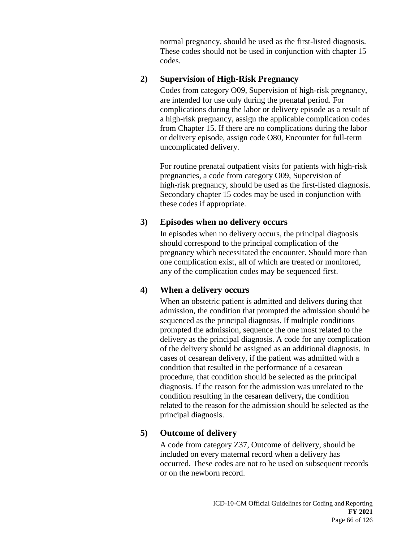normal pregnancy, should be used as the first-listed diagnosis. These codes should not be used in conjunction with chapter 15 codes.

#### **2) Supervision of High-Risk Pregnancy**

Codes from category O09, Supervision of high-risk pregnancy, are intended for use only during the prenatal period. For complications during the labor or delivery episode as a result of a high-risk pregnancy, assign the applicable complication codes from Chapter 15. If there are no complications during the labor or delivery episode, assign code O80, Encounter for full-term uncomplicated delivery.

For routine prenatal outpatient visits for patients with high-risk pregnancies, a code from category O09, Supervision of high-risk pregnancy, should be used as the first-listed diagnosis. Secondary chapter 15 codes may be used in conjunction with these codes if appropriate.

#### **3) Episodes when no delivery occurs**

In episodes when no delivery occurs, the principal diagnosis should correspond to the principal complication of the pregnancy which necessitated the encounter. Should more than one complication exist, all of which are treated or monitored, any of the complication codes may be sequenced first.

### **4) When a delivery occurs**

When an obstetric patient is admitted and delivers during that admission, the condition that prompted the admission should be sequenced as the principal diagnosis. If multiple conditions prompted the admission, sequence the one most related to the delivery as the principal diagnosis. A code for any complication of the delivery should be assigned as an additional diagnosis. In cases of cesarean delivery, if the patient was admitted with a condition that resulted in the performance of a cesarean procedure, that condition should be selected as the principal diagnosis. If the reason for the admission was unrelated to the condition resulting in the cesarean delivery**,** the condition related to the reason for the admission should be selected as the principal diagnosis.

### **5) Outcome of delivery**

A code from category Z37, Outcome of delivery, should be included on every maternal record when a delivery has occurred. These codes are not to be used on subsequent records or on the newborn record.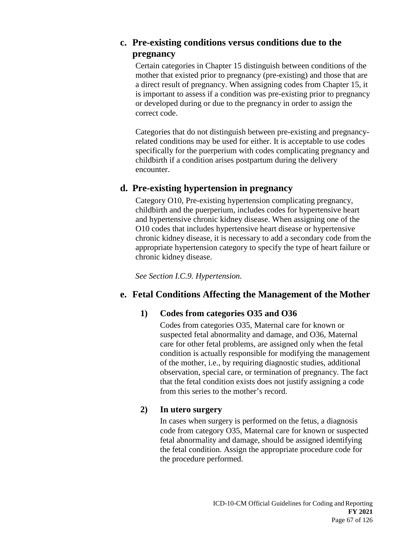## **c. Pre-existing conditions versus conditions due to the pregnancy**

Certain categories in Chapter 15 distinguish between conditions of the mother that existed prior to pregnancy (pre-existing) and those that are a direct result of pregnancy. When assigning codes from Chapter 15, it is important to assess if a condition was pre-existing prior to pregnancy or developed during or due to the pregnancy in order to assign the correct code.

Categories that do not distinguish between pre-existing and pregnancyrelated conditions may be used for either. It is acceptable to use codes specifically for the puerperium with codes complicating pregnancy and childbirth if a condition arises postpartum during the delivery encounter.

## **d. Pre-existing hypertension in pregnancy**

Category O10, Pre-existing hypertension complicating pregnancy, childbirth and the puerperium, includes codes for hypertensive heart and hypertensive chronic kidney disease. When assigning one of the O10 codes that includes hypertensive heart disease or hypertensive chronic kidney disease, it is necessary to add a secondary code from the appropriate hypertension category to specify the type of heart failure or chronic kidney disease.

*See Section I.C.9. Hypertension.* 

## **e. Fetal Conditions Affecting the Management of the Mother**

## **1) Codes from categories O35 and O36**

Codes from categories O35, Maternal care for known or suspected fetal abnormality and damage, and O36, Maternal care for other fetal problems, are assigned only when the fetal condition is actually responsible for modifying the management of the mother, i.e., by requiring diagnostic studies, additional observation, special care, or termination of pregnancy. The fact that the fetal condition exists does not justify assigning a code from this series to the mother's record.

## **2) In utero surgery**

In cases when surgery is performed on the fetus, a diagnosis code from category O35, Maternal care for known or suspected fetal abnormality and damage, should be assigned identifying the fetal condition. Assign the appropriate procedure code for the procedure performed.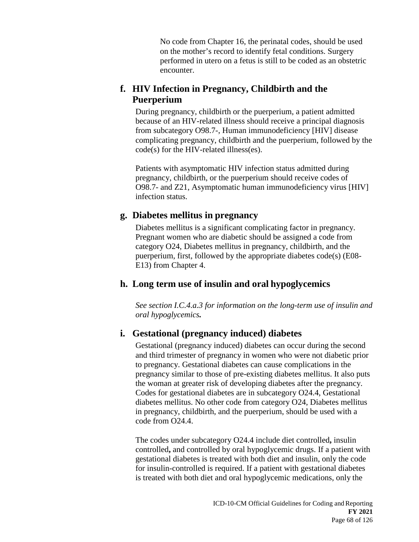No code from Chapter 16, the perinatal codes, should be used on the mother's record to identify fetal conditions. Surgery performed in utero on a fetus is still to be coded as an obstetric encounter.

## **f. HIV Infection in Pregnancy, Childbirth and the Puerperium**

During pregnancy, childbirth or the puerperium, a patient admitted because of an HIV-related illness should receive a principal diagnosis from subcategory O98.7-, Human immunodeficiency [HIV] disease complicating pregnancy, childbirth and the puerperium, followed by the code(s) for the HIV-related illness(es).

Patients with asymptomatic HIV infection status admitted during pregnancy, childbirth, or the puerperium should receive codes of O98.7- and Z21, Asymptomatic human immunodeficiency virus [HIV] infection status.

### **g. Diabetes mellitus in pregnancy**

Diabetes mellitus is a significant complicating factor in pregnancy. Pregnant women who are diabetic should be assigned a code from category O24, Diabetes mellitus in pregnancy, childbirth, and the puerperium, first, followed by the appropriate diabetes code(s) (E08- E13) from Chapter 4.

## **h. Long term use of insulin and oral hypoglycemics**

*See section I.C.4.a.3 for information on the long-term use of insulin and oral hypoglycemics.*

## **i. Gestational (pregnancy induced) diabetes**

Gestational (pregnancy induced) diabetes can occur during the second and third trimester of pregnancy in women who were not diabetic prior to pregnancy. Gestational diabetes can cause complications in the pregnancy similar to those of pre-existing diabetes mellitus. It also puts the woman at greater risk of developing diabetes after the pregnancy. Codes for gestational diabetes are in subcategory O24.4, Gestational diabetes mellitus. No other code from category O24, Diabetes mellitus in pregnancy, childbirth, and the puerperium, should be used with a code from O24.4.

The codes under subcategory O24.4 include diet controlled**,** insulin controlled**,** and controlled by oral hypoglycemic drugs. If a patient with gestational diabetes is treated with both diet and insulin, only the code for insulin-controlled is required. If a patient with gestational diabetes is treated with both diet and oral hypoglycemic medications, only the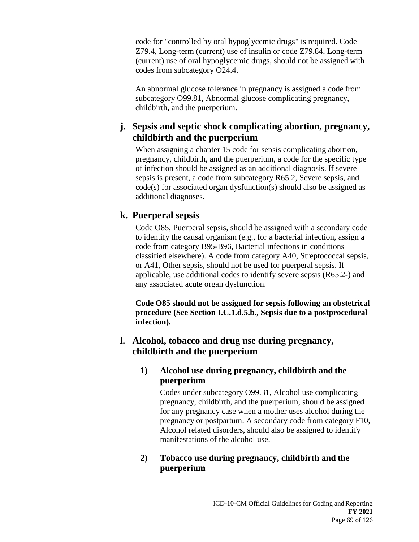code for "controlled by oral hypoglycemic drugs" is required. Code Z79.4, Long-term (current) use of insulin or code Z79.84, Long-term (current) use of oral hypoglycemic drugs, should not be assigned with codes from subcategory O24.4.

An abnormal glucose tolerance in pregnancy is assigned a code from subcategory O99.81, Abnormal glucose complicating pregnancy, childbirth, and the puerperium.

## **j. Sepsis and septic shock complicating abortion, pregnancy, childbirth and the puerperium**

When assigning a chapter 15 code for sepsis complicating abortion, pregnancy, childbirth, and the puerperium, a code for the specific type of infection should be assigned as an additional diagnosis. If severe sepsis is present, a code from subcategory R65.2, Severe sepsis, and code(s) for associated organ dysfunction(s) should also be assigned as additional diagnoses.

## **k. Puerperal sepsis**

Code O85, Puerperal sepsis, should be assigned with a secondary code to identify the causal organism (e.g., for a bacterial infection, assign a code from category B95-B96, Bacterial infections in conditions classified elsewhere). A code from category A40, Streptococcal sepsis, or A41, Other sepsis, should not be used for puerperal sepsis. If applicable, use additional codes to identify severe sepsis (R65.2-) and any associated acute organ dysfunction.

**Code O85 should not be assigned for sepsis following an obstetrical procedure (See Section I.C.1.d.5.b., Sepsis due to a postprocedural infection).**

## **l. Alcohol, tobacco and drug use during pregnancy, childbirth and the puerperium**

### **1) Alcohol use during pregnancy, childbirth and the puerperium**

Codes under subcategory O99.31, Alcohol use complicating pregnancy, childbirth, and the puerperium, should be assigned for any pregnancy case when a mother uses alcohol during the pregnancy or postpartum. A secondary code from category F10, Alcohol related disorders, should also be assigned to identify manifestations of the alcohol use.

### **2) Tobacco use during pregnancy, childbirth and the puerperium**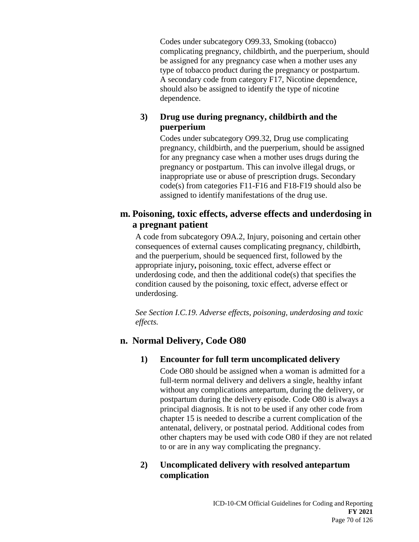Codes under subcategory O99.33, Smoking (tobacco) complicating pregnancy, childbirth, and the puerperium, should be assigned for any pregnancy case when a mother uses any type of tobacco product during the pregnancy or postpartum. A secondary code from category F17, Nicotine dependence, should also be assigned to identify the type of nicotine dependence.

#### **3) Drug use during pregnancy, childbirth and the puerperium**

Codes under subcategory O99.32, Drug use complicating pregnancy, childbirth, and the puerperium, should be assigned for any pregnancy case when a mother uses drugs during the pregnancy or postpartum. This can involve illegal drugs, or inappropriate use or abuse of prescription drugs. Secondary code(s) from categories F11-F16 and F18-F19 should also be assigned to identify manifestations of the drug use.

## **m. Poisoning, toxic effects, adverse effects and underdosing in a pregnant patient**

A code from subcategory O9A.2, Injury, poisoning and certain other consequences of external causes complicating pregnancy, childbirth, and the puerperium, should be sequenced first, followed by the appropriate injury**,** poisoning, toxic effect, adverse effect or underdosing code, and then the additional code(s) that specifies the condition caused by the poisoning, toxic effect, adverse effect or underdosing.

*See Section I.C.19. Adverse effects, poisoning, underdosing and toxic effects.*

## **n. Normal Delivery, Code O80**

## **1) Encounter for full term uncomplicated delivery**

Code O80 should be assigned when a woman is admitted for a full-term normal delivery and delivers a single, healthy infant without any complications antepartum, during the delivery, or postpartum during the delivery episode. Code O80 is always a principal diagnosis. It is not to be used if any other code from chapter 15 is needed to describe a current complication of the antenatal, delivery, or postnatal period. Additional codes from other chapters may be used with code O80 if they are not related to or are in any way complicating the pregnancy.

### **2) Uncomplicated delivery with resolved antepartum complication**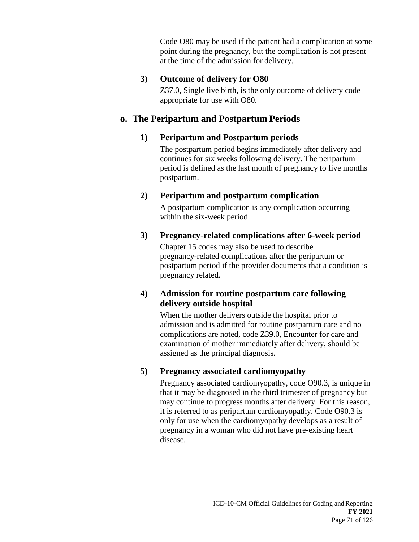Code O80 may be used if the patient had a complication at some point during the pregnancy, but the complication is not present at the time of the admission for delivery.

#### **3) Outcome of delivery for O80**

Z37.0, Single live birth, is the only outcome of delivery code appropriate for use with O80.

## **o. The Peripartum and Postpartum Periods**

### **1) Peripartum and Postpartum periods**

The postpartum period begins immediately after delivery and continues for six weeks following delivery. The peripartum period is defined as the last month of pregnancy to five months postpartum.

### **2) Peripartum and postpartum complication**

A postpartum complication is any complication occurring within the six-week period.

# **3) Pregnancy-related complications after 6-week period**

Chapter 15 codes may also be used to describe pregnancy-related complications after the peripartum or postpartum period if the provider document**s** that a condition is pregnancy related.

### **4) Admission for routine postpartum care following delivery outside hospital**

When the mother delivers outside the hospital prior to admission and is admitted for routine postpartum care and no complications are noted, code Z39.0, Encounter for care and examination of mother immediately after delivery, should be assigned as the principal diagnosis.

## **5) Pregnancy associated cardiomyopathy**

Pregnancy associated cardiomyopathy, code O90.3, is unique in that it may be diagnosed in the third trimester of pregnancy but may continue to progress months after delivery. For this reason, it is referred to as peripartum cardiomyopathy. Code O90.3 is only for use when the cardiomyopathy develops as a result of pregnancy in a woman who did not have pre-existing heart disease.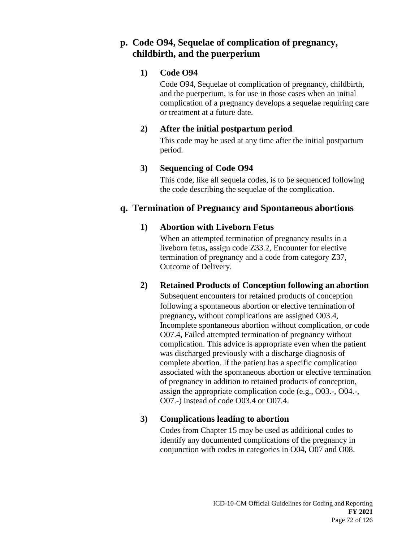## **p. Code O94, Sequelae of complication of pregnancy, childbirth, and the puerperium**

### **1) Code O94**

Code O94, Sequelae of complication of pregnancy, childbirth, and the puerperium, is for use in those cases when an initial complication of a pregnancy develops a sequelae requiring care or treatment at a future date.

### **2) After the initial postpartum period**

This code may be used at any time after the initial postpartum period.

### **3) Sequencing of Code O94**

This code, like all sequela codes, is to be sequenced following the code describing the sequelae of the complication.

## **q. Termination of Pregnancy and Spontaneous abortions**

## **1) Abortion with Liveborn Fetus**

When an attempted termination of pregnancy results in a liveborn fetus**,** assign code Z33.2, Encounter for elective termination of pregnancy and a code from category Z37, Outcome of Delivery.

## **2) Retained Products of Conception following an abortion**

Subsequent encounters for retained products of conception following a spontaneous abortion or elective termination of pregnancy**,** without complications are assigned O03.4, Incomplete spontaneous abortion without complication, or code O07.4, Failed attempted termination of pregnancy without complication. This advice is appropriate even when the patient was discharged previously with a discharge diagnosis of complete abortion. If the patient has a specific complication associated with the spontaneous abortion or elective termination of pregnancy in addition to retained products of conception, assign the appropriate complication code (e.g., O03.-, O04.-, O07.-) instead of code O03.4 or O07.4.

## **3) Complications leading to abortion**

Codes from Chapter 15 may be used as additional codes to identify any documented complications of the pregnancy in conjunction with codes in categories in O04**,** O07 and O08.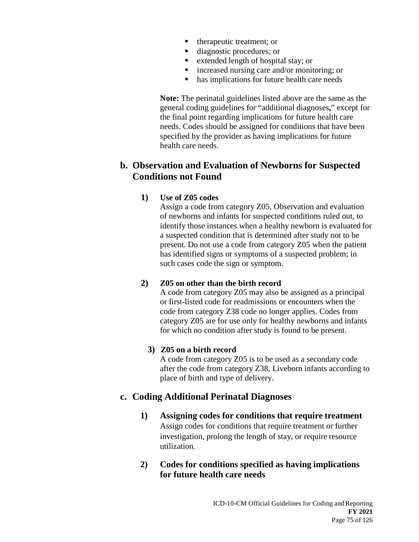- therapeutic treatment; or
- diagnostic procedures; or
- $\blacksquare$  extended length of hospital stay; or
- increased nursing care and/or monitoring; or
- has implications for future health care needs

**Note:** The perinatal guidelines listed above are the same as the general coding guidelines for "additional diagnoses**,**" except for the final point regarding implications for future health care needs. Codes should be assigned for conditions that have been specified by the provider as having implications for future health care needs.

## **b. Observation and Evaluation of Newborns for Suspected Conditions not Found**

#### **1) Use of Z05 codes**

Assign a code from category Z05, Observation and evaluation of newborns and infants for suspected conditions ruled out, to identify those instances when a healthy newborn is evaluated for a suspected condition that is determined after study not to be present. Do not use a code from category Z05 when the patient has identified signs or symptoms of a suspected problem; in such cases code the sign or symptom.

#### **2) Z05 on other than the birth record**

A code from category Z05 may also be assigned as a principal or first-listed code for readmissions or encounters when the code from category Z38 code no longer applies. Codes from category Z05 are for use only for healthy newborns and infants for which no condition after study is found to be present.

#### **3) Z05 on a birth record**

A code from category Z05 is to be used as a secondary code after the code from category Z38, Liveborn infants according to place of birth and type of delivery.

## **c. Coding Additional Perinatal Diagnoses**

- **1) Assigning codes for conditions that require treatment**  Assign codes for conditions that require treatment or further investigation, prolong the length of stay, or require resource utilization.
- **2) Codes for conditions specified as having implications for future health care needs**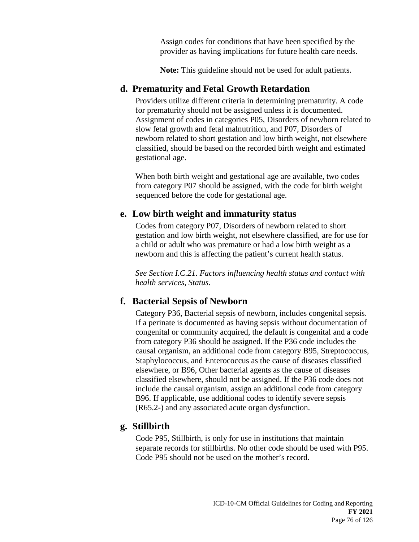Assign codes for conditions that have been specified by the provider as having implications for future health care needs.

**Note:** This guideline should not be used for adult patients.

## **d. Prematurity and Fetal Growth Retardation**

Providers utilize different criteria in determining prematurity. A code for prematurity should not be assigned unless it is documented. Assignment of codes in categories P05, Disorders of newborn related to slow fetal growth and fetal malnutrition, and P07, Disorders of newborn related to short gestation and low birth weight, not elsewhere classified, should be based on the recorded birth weight and estimated gestational age.

When both birth weight and gestational age are available, two codes from category P07 should be assigned, with the code for birth weight sequenced before the code for gestational age.

## **e. Low birth weight and immaturity status**

Codes from category P07, Disorders of newborn related to short gestation and low birth weight, not elsewhere classified, are for use for a child or adult who was premature or had a low birth weight as a newborn and this is affecting the patient's current health status.

*See Section I.C.21. Factors influencing health status and contact with health services, Status.* 

## **f. Bacterial Sepsis of Newborn**

Category P36, Bacterial sepsis of newborn, includes congenital sepsis. If a perinate is documented as having sepsis without documentation of congenital or community acquired, the default is congenital and a code from category P36 should be assigned. If the P36 code includes the causal organism, an additional code from category B95, Streptococcus, Staphylococcus, and Enterococcus as the cause of diseases classified elsewhere, or B96, Other bacterial agents as the cause of diseases classified elsewhere, should not be assigned. If the P36 code does not include the causal organism, assign an additional code from category B96. If applicable, use additional codes to identify severe sepsis (R65.2-) and any associated acute organ dysfunction.

## **g. Stillbirth**

Code P95, Stillbirth, is only for use in institutions that maintain separate records for stillbirths. No other code should be used with P95. Code P95 should not be used on the mother's record.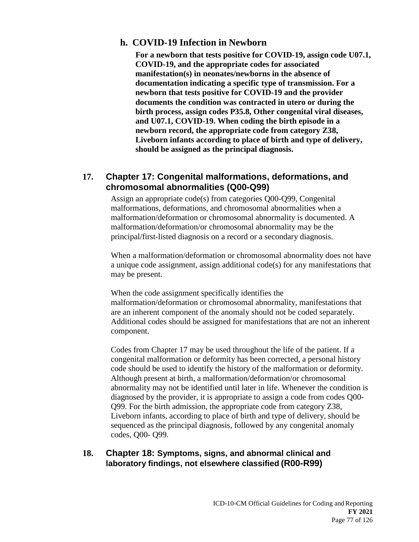## **h. COVID-19 Infection in Newborn**

**For a newborn that tests positive for COVID-19, assign code U07.1, COVID-19, and the appropriate codes for associated manifestation(s) in neonates/newborns in the absence of documentation indicating a specific type of transmission. For a newborn that tests positive for COVID-19 and the provider documents the condition was contracted in utero or during the birth process, assign codes P35.8, Other congenital viral diseases, and U07.1, COVID-19. When coding the birth episode in a newborn record, the appropriate code from category Z38, Liveborn infants according to place of birth and type of delivery, should be assigned as the principal diagnosis.** 

## **17. Chapter 17: Congenital malformations, deformations, and chromosomal abnormalities (Q00-Q99)**

Assign an appropriate code(s) from categories Q00-Q99, Congenital malformations, deformations, and chromosomal abnormalities when a malformation/deformation or chromosomal abnormality is documented. A malformation/deformation/or chromosomal abnormality may be the principal/first-listed diagnosis on a record or a secondary diagnosis.

When a malformation/deformation or chromosomal abnormality does not have a unique code assignment, assign additional code(s) for any manifestations that may be present.

When the code assignment specifically identifies the malformation/deformation or chromosomal abnormality, manifestations that are an inherent component of the anomaly should not be coded separately. Additional codes should be assigned for manifestations that are not an inherent component.

Codes from Chapter 17 may be used throughout the life of the patient. If a congenital malformation or deformity has been corrected, a personal history code should be used to identify the history of the malformation or deformity. Although present at birth, a malformation/deformation/or chromosomal abnormality may not be identified until later in life. Whenever the condition is diagnosed by the provider, it is appropriate to assign a code from codes Q00- Q99. For the birth admission, the appropriate code from category Z38, Liveborn infants, according to place of birth and type of delivery, should be sequenced as the principal diagnosis, followed by any congenital anomaly codes, Q00- Q99.

#### **18. Chapter 18: Symptoms, signs, and abnormal clinical and laboratory findings, not elsewhere classified (R00-R99)**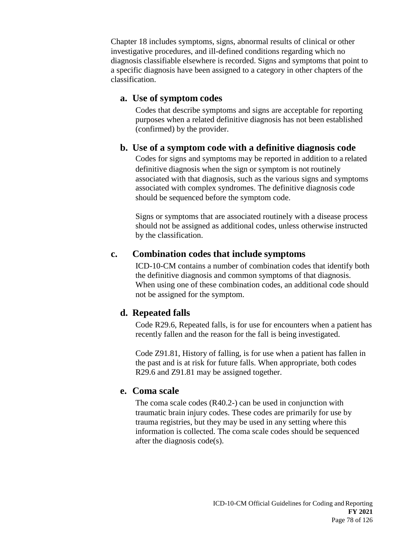Chapter 18 includes symptoms, signs, abnormal results of clinical or other investigative procedures, and ill-defined conditions regarding which no diagnosis classifiable elsewhere is recorded. Signs and symptoms that point to a specific diagnosis have been assigned to a category in other chapters of the classification.

#### **a. Use of symptom codes**

Codes that describe symptoms and signs are acceptable for reporting purposes when a related definitive diagnosis has not been established (confirmed) by the provider.

## **b. Use of a symptom code with a definitive diagnosis code**

Codes for signs and symptoms may be reported in addition to a related definitive diagnosis when the sign or symptom is not routinely associated with that diagnosis, such as the various signs and symptoms associated with complex syndromes. The definitive diagnosis code should be sequenced before the symptom code.

Signs or symptoms that are associated routinely with a disease process should not be assigned as additional codes, unless otherwise instructed by the classification.

## **c. Combination codes that include symptoms**

ICD-10-CM contains a number of combination codes that identify both the definitive diagnosis and common symptoms of that diagnosis. When using one of these combination codes, an additional code should not be assigned for the symptom.

## **d. Repeated falls**

Code R29.6, Repeated falls, is for use for encounters when a patient has recently fallen and the reason for the fall is being investigated.

Code Z91.81, History of falling, is for use when a patient has fallen in the past and is at risk for future falls. When appropriate, both codes R29.6 and Z91.81 may be assigned together.

## **e. Coma scale**

The coma scale codes (R40.2-) can be used in conjunction with traumatic brain injury codes. These codes are primarily for use by trauma registries, but they may be used in any setting where this information is collected. The coma scale codes should be sequenced after the diagnosis code(s).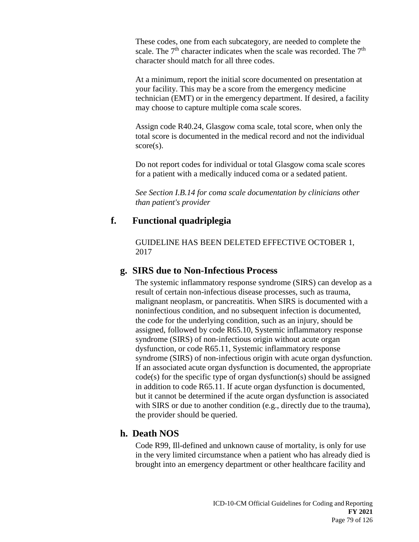These codes, one from each subcategory, are needed to complete the scale. The  $7<sup>th</sup>$  character indicates when the scale was recorded. The  $7<sup>th</sup>$ character should match for all three codes.

At a minimum, report the initial score documented on presentation at your facility. This may be a score from the emergency medicine technician (EMT) or in the emergency department. If desired, a facility may choose to capture multiple coma scale scores.

Assign code R40.24, Glasgow coma scale, total score, when only the total score is documented in the medical record and not the individual score(s).

Do not report codes for individual or total Glasgow coma scale scores for a patient with a medically induced coma or a sedated patient.

*See Section I.B.14 for coma scale documentation by clinicians other than patient's provider* 

## **f. Functional quadriplegia**

GUIDELINE HAS BEEN DELETED EFFECTIVE OCTOBER 1, 2017

## **g. SIRS due to Non-Infectious Process**

The systemic inflammatory response syndrome (SIRS) can develop as a result of certain non-infectious disease processes, such as trauma, malignant neoplasm, or pancreatitis. When SIRS is documented with a noninfectious condition, and no subsequent infection is documented, the code for the underlying condition, such as an injury, should be assigned, followed by code R65.10, Systemic inflammatory response syndrome (SIRS) of non-infectious origin without acute organ dysfunction, or code R65.11, Systemic inflammatory response syndrome (SIRS) of non-infectious origin with acute organ dysfunction. If an associated acute organ dysfunction is documented, the appropriate code(s) for the specific type of organ dysfunction(s) should be assigned in addition to code R65.11. If acute organ dysfunction is documented, but it cannot be determined if the acute organ dysfunction is associated with SIRS or due to another condition (e.g., directly due to the trauma), the provider should be queried.

## **h. Death NOS**

Code R99, Ill-defined and unknown cause of mortality, is only for use in the very limited circumstance when a patient who has already died is brought into an emergency department or other healthcare facility and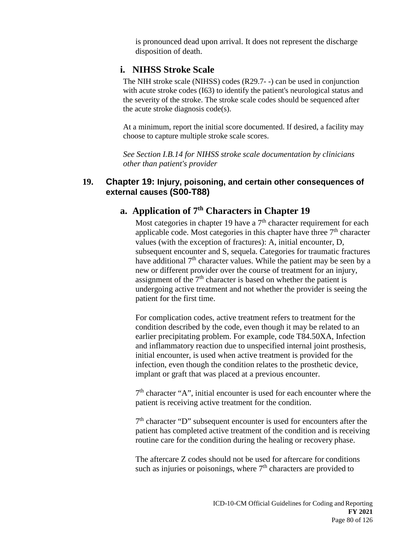is pronounced dead upon arrival. It does not represent the discharge disposition of death.

## **i. NIHSS Stroke Scale**

The NIH stroke scale (NIHSS) codes (R29.7- -) can be used in conjunction with acute stroke codes (I63) to identify the patient's neurological status and the severity of the stroke. The stroke scale codes should be sequenced after the acute stroke diagnosis code(s).

At a minimum, report the initial score documented. If desired, a facility may choose to capture multiple stroke scale scores.

*See Section I.B.14 for NIHSS stroke scale documentation by clinicians other than patient's provider* 

## **19. Chapter 19: Injury, poisoning, and certain other consequences of external causes (S00-T88)**

# **a. Application of 7th Characters in Chapter 19**

Most categories in chapter 19 have a  $7<sup>th</sup>$  character requirement for each applicable code. Most categories in this chapter have three  $7<sup>th</sup>$  character values (with the exception of fractures): A, initial encounter, D, subsequent encounter and S, sequela. Categories for traumatic fractures have additional 7<sup>th</sup> character values. While the patient may be seen by a new or different provider over the course of treatment for an injury, assignment of the  $7<sup>th</sup>$  character is based on whether the patient is undergoing active treatment and not whether the provider is seeing the patient for the first time.

For complication codes, active treatment refers to treatment for the condition described by the code, even though it may be related to an earlier precipitating problem. For example, code T84.50XA, Infection and inflammatory reaction due to unspecified internal joint prosthesis, initial encounter, is used when active treatment is provided for the infection, even though the condition relates to the prosthetic device, implant or graft that was placed at a previous encounter.

 $7<sup>th</sup>$  character "A", initial encounter is used for each encounter where the patient is receiving active treatment for the condition.

7th character "D" subsequent encounter is used for encounters after the patient has completed active treatment of the condition and is receiving routine care for the condition during the healing or recovery phase.

The aftercare Z codes should not be used for aftercare for conditions such as injuries or poisonings, where  $7<sup>th</sup>$  characters are provided to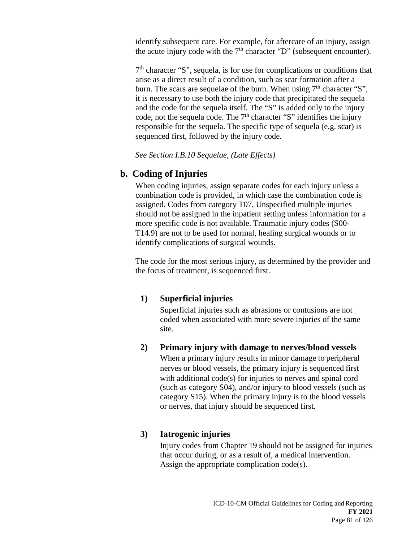identify subsequent care. For example, for aftercare of an injury, assign the acute injury code with the  $7<sup>th</sup>$  character "D" (subsequent encounter).

 $7<sup>th</sup>$  character "S", sequela, is for use for complications or conditions that arise as a direct result of a condition, such as scar formation after a burn. The scars are sequelae of the burn. When using  $7<sup>th</sup>$  character "S", it is necessary to use both the injury code that precipitated the sequela and the code for the sequela itself. The "S" is added only to the injury code, not the sequela code. The  $7<sup>th</sup>$  character "S" identifies the injury responsible for the sequela. The specific type of sequela (e.g. scar) is sequenced first, followed by the injury code.

*See Section I.B.10 Sequelae, (Late Effects)* 

## **b. Coding of Injuries**

When coding injuries, assign separate codes for each injury unless a combination code is provided, in which case the combination code is assigned. Codes from category T07, Unspecified multiple injuries should not be assigned in the inpatient setting unless information for a more specific code is not available. Traumatic injury codes (S00- T14.9) are not to be used for normal, healing surgical wounds or to identify complications of surgical wounds.

The code for the most serious injury, as determined by the provider and the focus of treatment, is sequenced first.

## **1) Superficial injuries**

Superficial injuries such as abrasions or contusions are not coded when associated with more severe injuries of the same site.

#### **2) Primary injury with damage to nerves/blood vessels**

When a primary injury results in minor damage to peripheral nerves or blood vessels, the primary injury is sequenced first with additional code(s) for injuries to nerves and spinal cord (such as category S04), and/or injury to blood vessels (such as category S15). When the primary injury is to the blood vessels or nerves, that injury should be sequenced first.

## **3) Iatrogenic injuries**

Injury codes from Chapter 19 should not be assigned for injuries that occur during, or as a result of, a medical intervention. Assign the appropriate complication code(s).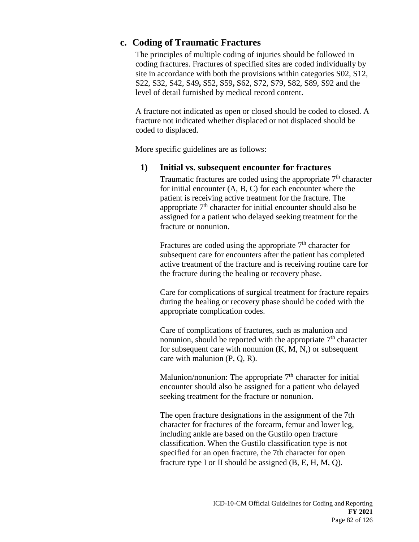## **c. Coding of Traumatic Fractures**

The principles of multiple coding of injuries should be followed in coding fractures. Fractures of specified sites are coded individually by site in accordance with both the provisions within categories S02, S12, S22, S32, S42, S49**,** S52, S59**,** S62, S72, S79, S82, S89, S92 and the level of detail furnished by medical record content.

A fracture not indicated as open or closed should be coded to closed. A fracture not indicated whether displaced or not displaced should be coded to displaced.

More specific guidelines are as follows:

#### **1) Initial vs. subsequent encounter for fractures**

Traumatic fractures are coded using the appropriate  $7<sup>th</sup>$  character for initial encounter (A, B, C) for each encounter where the patient is receiving active treatment for the fracture. The appropriate  $7<sup>th</sup>$  character for initial encounter should also be assigned for a patient who delayed seeking treatment for the fracture or nonunion.

Fractures are coded using the appropriate  $7<sup>th</sup>$  character for subsequent care for encounters after the patient has completed active treatment of the fracture and is receiving routine care for the fracture during the healing or recovery phase.

Care for complications of surgical treatment for fracture repairs during the healing or recovery phase should be coded with the appropriate complication codes.

Care of complications of fractures, such as malunion and nonunion, should be reported with the appropriate  $7<sup>th</sup>$  character for subsequent care with nonunion  $(K, M, N)$  or subsequent care with malunion (P, Q, R).

Malunion/nonunion: The appropriate  $7<sup>th</sup>$  character for initial encounter should also be assigned for a patient who delayed seeking treatment for the fracture or nonunion.

The open fracture designations in the assignment of the 7th character for fractures of the forearm, femur and lower leg, including ankle are based on the Gustilo open fracture classification. When the Gustilo classification type is not specified for an open fracture, the 7th character for open fracture type I or II should be assigned (B, E, H, M, Q).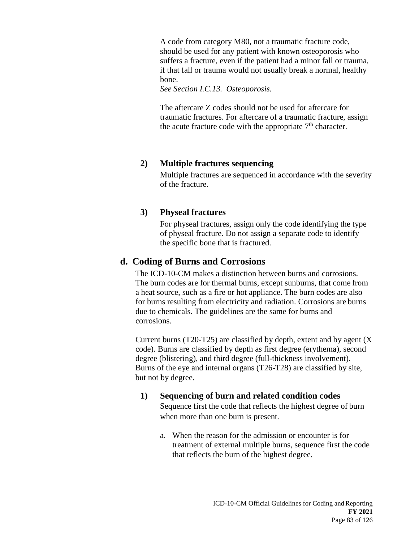A code from category M80, not a traumatic fracture code, should be used for any patient with known osteoporosis who suffers a fracture, even if the patient had a minor fall or trauma, if that fall or trauma would not usually break a normal, healthy bone.

*See Section I.C.13. Osteoporosis.* 

The aftercare Z codes should not be used for aftercare for traumatic fractures. For aftercare of a traumatic fracture, assign the acute fracture code with the appropriate  $7<sup>th</sup>$  character.

## **2) Multiple fractures sequencing**

Multiple fractures are sequenced in accordance with the severity of the fracture.

## **3) Physeal fractures**

For physeal fractures, assign only the code identifying the type of physeal fracture. Do not assign a separate code to identify the specific bone that is fractured.

## **d. Coding of Burns and Corrosions**

The ICD-10-CM makes a distinction between burns and corrosions. The burn codes are for thermal burns, except sunburns, that come from a heat source, such as a fire or hot appliance. The burn codes are also for burns resulting from electricity and radiation. Corrosions are burns due to chemicals. The guidelines are the same for burns and corrosions.

Current burns (T20-T25) are classified by depth, extent and by agent  $(X)$ code). Burns are classified by depth as first degree (erythema), second degree (blistering), and third degree (full-thickness involvement). Burns of the eye and internal organs (T26-T28) are classified by site, but not by degree.

# **1) Sequencing of burn and related condition codes**

Sequence first the code that reflects the highest degree of burn when more than one burn is present.

a. When the reason for the admission or encounter is for treatment of external multiple burns, sequence first the code that reflects the burn of the highest degree.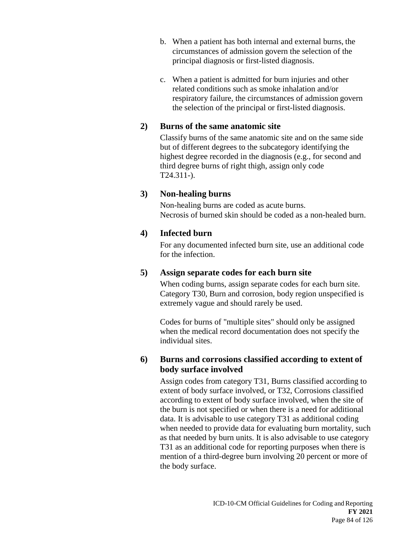- b. When a patient has both internal and external burns, the circumstances of admission govern the selection of the principal diagnosis or first-listed diagnosis.
- c. When a patient is admitted for burn injuries and other related conditions such as smoke inhalation and/or respiratory failure, the circumstances of admission govern the selection of the principal or first-listed diagnosis.

#### **2) Burns of the same anatomic site**

Classify burns of the same anatomic site and on the same side but of different degrees to the subcategory identifying the highest degree recorded in the diagnosis (e.g., for second and third degree burns of right thigh, assign only code T24.311-).

#### **3) Non-healing burns**

Non-healing burns are coded as acute burns. Necrosis of burned skin should be coded as a non-healed burn.

## **4) Infected burn**

For any documented infected burn site, use an additional code for the infection.

#### **5) Assign separate codes for each burn site**

When coding burns, assign separate codes for each burn site. Category T30, Burn and corrosion, body region unspecified is extremely vague and should rarely be used.

Codes for burns of "multiple sites" should only be assigned when the medical record documentation does not specify the individual sites.

#### **6) Burns and corrosions classified according to extent of body surface involved**

Assign codes from category T31, Burns classified according to extent of body surface involved, or T32, Corrosions classified according to extent of body surface involved, when the site of the burn is not specified or when there is a need for additional data. It is advisable to use category T31 as additional coding when needed to provide data for evaluating burn mortality, such as that needed by burn units. It is also advisable to use category T31 as an additional code for reporting purposes when there is mention of a third-degree burn involving 20 percent or more of the body surface.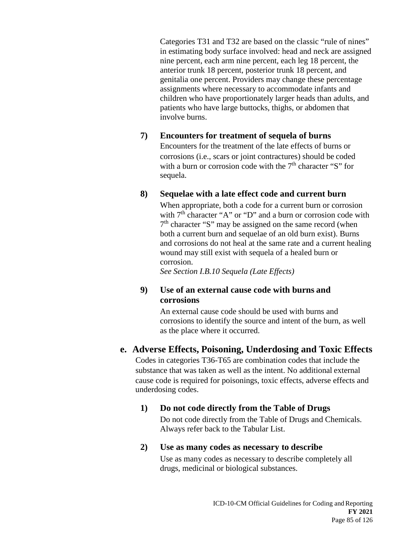Categories T31 and T32 are based on the classic "rule of nines" in estimating body surface involved: head and neck are assigned nine percent, each arm nine percent, each leg 18 percent, the anterior trunk 18 percent, posterior trunk 18 percent, and genitalia one percent. Providers may change these percentage assignments where necessary to accommodate infants and children who have proportionately larger heads than adults, and patients who have large buttocks, thighs, or abdomen that involve burns.

#### **7) Encounters for treatment of sequela of burns**

Encounters for the treatment of the late effects of burns or corrosions (i.e., scars or joint contractures) should be coded with a burn or corrosion code with the  $7<sup>th</sup>$  character "S" for sequela.

## **8) Sequelae with a late effect code and current burn**

When appropriate, both a code for a current burn or corrosion with 7<sup>th</sup> character "A" or "D" and a burn or corrosion code with  $7<sup>th</sup>$  character "S" may be assigned on the same record (when both a current burn and sequelae of an old burn exist). Burns and corrosions do not heal at the same rate and a current healing wound may still exist with sequela of a healed burn or corrosion.

*See Section I.B.10 Sequela (Late Effects)* 

## **9) Use of an external cause code with burns and corrosions**

An external cause code should be used with burns and corrosions to identify the source and intent of the burn, as well as the place where it occurred.

## **e. Adverse Effects, Poisoning, Underdosing and Toxic Effects**

Codes in categories T36-T65 are combination codes that include the substance that was taken as well as the intent. No additional external cause code is required for poisonings, toxic effects, adverse effects and underdosing codes.

## **1) Do not code directly from the Table of Drugs**

Do not code directly from the Table of Drugs and Chemicals. Always refer back to the Tabular List.

## **2) Use as many codes as necessary to describe**

Use as many codes as necessary to describe completely all drugs, medicinal or biological substances.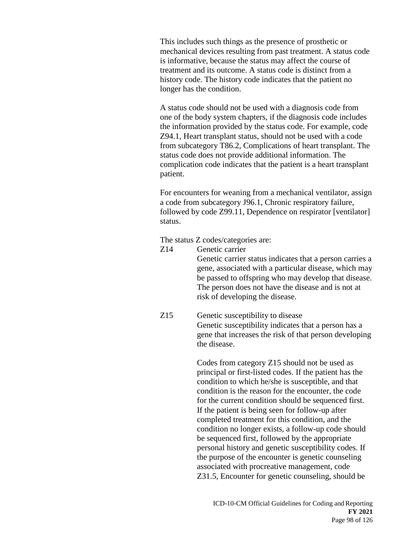This includes such things as the presence of prosthetic or mechanical devices resulting from past treatment. A status code is informative, because the status may affect the course of treatment and its outcome. A status code is distinct from a history code. The history code indicates that the patient no longer has the condition.

A status code should not be used with a diagnosis code from one of the body system chapters, if the diagnosis code includes the information provided by the status code. For example, code Z94.1, Heart transplant status, should not be used with a code from subcategory T86.2, Complications of heart transplant. The status code does not provide additional information. The complication code indicates that the patient is a heart transplant patient.

For encounters for weaning from a mechanical ventilator, assign a code from subcategory J96.1, Chronic respiratory failure, followed by code Z99.11, Dependence on respirator [ventilator] status.

The status Z codes/categories are:

- Z14 Genetic carrier Genetic carrier status indicates that a person carries a gene, associated with a particular disease, which may be passed to offspring who may develop that disease. The person does not have the disease and is not at risk of developing the disease.
- Z15 Genetic susceptibility to disease Genetic susceptibility indicates that a person has a gene that increases the risk of that person developing the disease.

Codes from category Z15 should not be used as principal or first-listed codes. If the patient has the condition to which he/she is susceptible, and that condition is the reason for the encounter, the code for the current condition should be sequenced first. If the patient is being seen for follow-up after completed treatment for this condition, and the condition no longer exists, a follow-up code should be sequenced first, followed by the appropriate personal history and genetic susceptibility codes. If the purpose of the encounter is genetic counseling associated with procreative management, code Z31.5, Encounter for genetic counseling, should be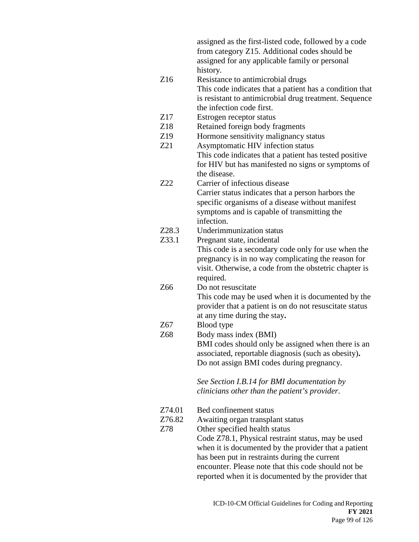|                 | assigned as the first-listed code, followed by a code<br>from category Z15. Additional codes should be |  |  |  |  |  |  |  |
|-----------------|--------------------------------------------------------------------------------------------------------|--|--|--|--|--|--|--|
|                 | assigned for any applicable family or personal<br>history.                                             |  |  |  |  |  |  |  |
| Z16             | Resistance to antimicrobial drugs                                                                      |  |  |  |  |  |  |  |
|                 | This code indicates that a patient has a condition that                                                |  |  |  |  |  |  |  |
|                 | is resistant to antimicrobial drug treatment. Sequence                                                 |  |  |  |  |  |  |  |
|                 | the infection code first.                                                                              |  |  |  |  |  |  |  |
| Z17             | Estrogen receptor status                                                                               |  |  |  |  |  |  |  |
| Z18             | Retained foreign body fragments                                                                        |  |  |  |  |  |  |  |
| Z <sub>19</sub> | Hormone sensitivity malignancy status                                                                  |  |  |  |  |  |  |  |
| Z21             | Asymptomatic HIV infection status                                                                      |  |  |  |  |  |  |  |
|                 | This code indicates that a patient has tested positive                                                 |  |  |  |  |  |  |  |
|                 | for HIV but has manifested no signs or symptoms of                                                     |  |  |  |  |  |  |  |
|                 | the disease.                                                                                           |  |  |  |  |  |  |  |
| Z22             | Carrier of infectious disease                                                                          |  |  |  |  |  |  |  |
|                 | Carrier status indicates that a person harbors the                                                     |  |  |  |  |  |  |  |
|                 | specific organisms of a disease without manifest                                                       |  |  |  |  |  |  |  |
|                 | symptoms and is capable of transmitting the                                                            |  |  |  |  |  |  |  |
| Z28.3           | infection.<br><b>Underimmunization status</b>                                                          |  |  |  |  |  |  |  |
| Z33.1           | Pregnant state, incidental                                                                             |  |  |  |  |  |  |  |
|                 | This code is a secondary code only for use when the                                                    |  |  |  |  |  |  |  |
|                 | pregnancy is in no way complicating the reason for                                                     |  |  |  |  |  |  |  |
|                 | visit. Otherwise, a code from the obstetric chapter is                                                 |  |  |  |  |  |  |  |
|                 | required.                                                                                              |  |  |  |  |  |  |  |
| Z66             | Do not resuscitate                                                                                     |  |  |  |  |  |  |  |
|                 | This code may be used when it is documented by the                                                     |  |  |  |  |  |  |  |
|                 | provider that a patient is on do not resuscitate status                                                |  |  |  |  |  |  |  |
|                 | at any time during the stay.                                                                           |  |  |  |  |  |  |  |
| Z67             | Blood type                                                                                             |  |  |  |  |  |  |  |
| Z68             | Body mass index (BMI)                                                                                  |  |  |  |  |  |  |  |
|                 | BMI codes should only be assigned when there is an                                                     |  |  |  |  |  |  |  |
|                 | associated, reportable diagnosis (such as obesity).                                                    |  |  |  |  |  |  |  |
|                 | Do not assign BMI codes during pregnancy.                                                              |  |  |  |  |  |  |  |
|                 |                                                                                                        |  |  |  |  |  |  |  |
|                 | See Section I.B.14 for BMI documentation by<br>clinicians other than the patient's provider.           |  |  |  |  |  |  |  |
|                 |                                                                                                        |  |  |  |  |  |  |  |
| Z74.01          | Bed confinement status                                                                                 |  |  |  |  |  |  |  |
| Z76.82          | Awaiting organ transplant status                                                                       |  |  |  |  |  |  |  |
| Z78             | Other specified health status                                                                          |  |  |  |  |  |  |  |
|                 | Code Z78.1, Physical restraint status, may be used                                                     |  |  |  |  |  |  |  |
|                 | when it is documented by the provider that a patient                                                   |  |  |  |  |  |  |  |
|                 | has been put in restraints during the current                                                          |  |  |  |  |  |  |  |
|                 | encounter. Please note that this code should not be                                                    |  |  |  |  |  |  |  |
|                 | reported when it is documented by the provider that                                                    |  |  |  |  |  |  |  |
|                 |                                                                                                        |  |  |  |  |  |  |  |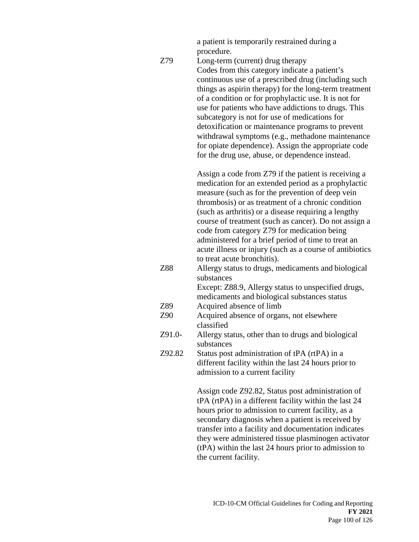a patient is temporarily restrained during a procedure.

Z79 Long-term (current) drug therapy Codes from this category indicate a patient's continuous use of a prescribed drug (including such things as aspirin therapy) for the long-term treatment of a condition or for prophylactic use. It is not for use for patients who have addictions to drugs. This subcategory is not for use of medications for detoxification or maintenance programs to prevent withdrawal symptoms (e.g., methadone maintenance for opiate dependence). Assign the appropriate code for the drug use, abuse, or dependence instead.

> Assign a code from Z79 if the patient is receiving a medication for an extended period as a prophylactic measure (such as for the prevention of deep vein thrombosis) or as treatment of a chronic condition (such as arthritis) or a disease requiring a lengthy course of treatment (such as cancer). Do not assign a code from category Z79 for medication being administered for a brief period of time to treat an acute illness or injury (such as a course of antibiotics to treat acute bronchitis).

Z88 Allergy status to drugs, medicaments and biological substances

Except: Z88.9, Allergy status to unspecified drugs, medicaments and biological substances status

- Z89 Acquired absence of limb
- Z90 Acquired absence of organs, not elsewhere classified
- Z91.0- Allergy status, other than to drugs and biological substances
- Z92.82 Status post administration of tPA (rtPA) in a different facility within the last 24 hours prior to admission to a current facility

Assign code Z92.82, Status post administration of tPA (rtPA) in a different facility within the last 24 hours prior to admission to current facility, as a secondary diagnosis when a patient is received by transfer into a facility and documentation indicates they were administered tissue plasminogen activator (tPA) within the last 24 hours prior to admission to the current facility.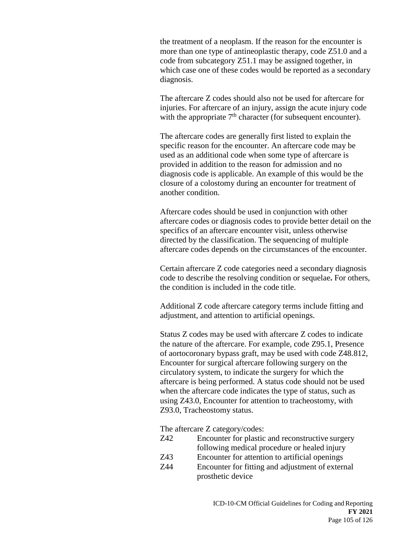the treatment of a neoplasm. If the reason for the encounter is more than one type of antineoplastic therapy, code Z51.0 and a code from subcategory Z51.1 may be assigned together, in which case one of these codes would be reported as a secondary diagnosis.

The aftercare Z codes should also not be used for aftercare for injuries. For aftercare of an injury, assign the acute injury code with the appropriate  $7<sup>th</sup>$  character (for subsequent encounter).

The aftercare codes are generally first listed to explain the specific reason for the encounter. An aftercare code may be used as an additional code when some type of aftercare is provided in addition to the reason for admission and no diagnosis code is applicable. An example of this would be the closure of a colostomy during an encounter for treatment of another condition.

Aftercare codes should be used in conjunction with other aftercare codes or diagnosis codes to provide better detail on the specifics of an aftercare encounter visit, unless otherwise directed by the classification. The sequencing of multiple aftercare codes depends on the circumstances of the encounter.

Certain aftercare Z code categories need a secondary diagnosis code to describe the resolving condition or sequelae**.** For others, the condition is included in the code title.

Additional Z code aftercare category terms include fitting and adjustment, and attention to artificial openings.

Status Z codes may be used with aftercare Z codes to indicate the nature of the aftercare. For example, code Z95.1, Presence of aortocoronary bypass graft, may be used with code Z48.812, Encounter for surgical aftercare following surgery on the circulatory system, to indicate the surgery for which the aftercare is being performed. A status code should not be used when the aftercare code indicates the type of status, such as using Z43.0, Encounter for attention to tracheostomy, with Z93.0, Tracheostomy status.

The aftercare Z category/codes:

| Z42 | Encounter for plastic and reconstructive surgery |
|-----|--------------------------------------------------|
|     | following medical procedure or healed injury     |

- Z43 Encounter for attention to artificial openings
- Z44 Encounter for fitting and adjustment of external prosthetic device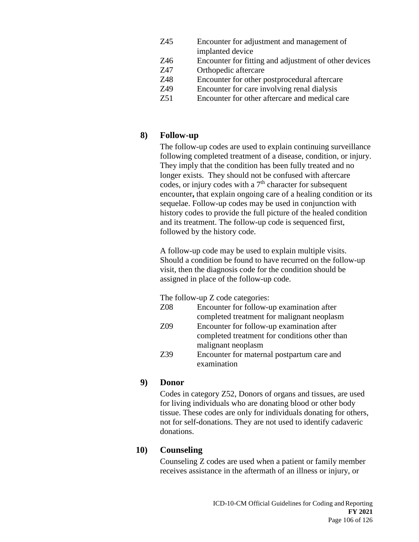- Z45 Encounter for adjustment and management of implanted device
- Z46 Encounter for fitting and adjustment of other devices
- Z47 Orthopedic aftercare
- Z48 Encounter for other postprocedural aftercare
- Z49 Encounter for care involving renal dialysis
- Z51 Encounter for other aftercare and medical care

## **8) Follow-up**

The follow-up codes are used to explain continuing surveillance following completed treatment of a disease, condition, or injury. They imply that the condition has been fully treated and no longer exists. They should not be confused with aftercare codes, or injury codes with a  $7<sup>th</sup>$  character for subsequent encounter**,** that explain ongoing care of a healing condition or its sequelae. Follow-up codes may be used in conjunction with history codes to provide the full picture of the healed condition and its treatment. The follow-up code is sequenced first, followed by the history code.

A follow-up code may be used to explain multiple visits. Should a condition be found to have recurred on the follow-up visit, then the diagnosis code for the condition should be assigned in place of the follow-up code.

The follow-up Z code categories:

| Z <sub>08</sub> | Encounter for follow-up examination after     |
|-----------------|-----------------------------------------------|
|                 | completed treatment for malignant neoplasm    |
| Z <sub>09</sub> | Encounter for follow-up examination after     |
|                 | completed treatment for conditions other than |
|                 | malignant neoplasm                            |
| Z39             | Encounter for maternal postpartum care and    |
|                 | examination                                   |

# **9) Donor**

Codes in category Z52, Donors of organs and tissues, are used for living individuals who are donating blood or other body tissue. These codes are only for individuals donating for others, not for self**-**donations. They are not used to identify cadaveric donations.

## **10) Counseling**

Counseling Z codes are used when a patient or family member receives assistance in the aftermath of an illness or injury, or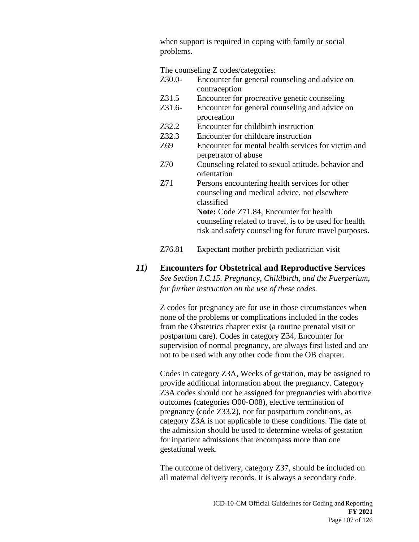when support is required in coping with family or social problems.

The counseling Z codes/categories:

- Z30.0- Encounter for general counseling and advice on contraception
- Z31.5 Encounter for procreative genetic counseling
- Z31.6- Encounter for general counseling and advice on procreation
- Z32.2 Encounter for childbirth instruction
- Z32.3 Encounter for childcare instruction
- Z69 Encounter for mental health services for victim and perpetrator of abuse
- Z70 Counseling related to sexual attitude, behavior and orientation
- Z71 Persons encountering health services for other counseling and medical advice, not elsewhere classified **Note:** Code Z71.84, Encounter for health

counseling related to travel, is to be used for health risk and safety counseling for future travel purposes.

Z76.81 Expectant mother prebirth pediatrician visit

#### *11)* **Encounters for Obstetrical and Reproductive Services**

*See Section I.C.15. Pregnancy, Childbirth, and the Puerperium, for further instruction on the use of these codes.*

Z codes for pregnancy are for use in those circumstances when none of the problems or complications included in the codes from the Obstetrics chapter exist (a routine prenatal visit or postpartum care). Codes in category Z34, Encounter for supervision of normal pregnancy, are always first listed and are not to be used with any other code from the OB chapter.

Codes in category Z3A, Weeks of gestation, may be assigned to provide additional information about the pregnancy. Category Z3A codes should not be assigned for pregnancies with abortive outcomes (categories O00-O08), elective termination of pregnancy (code Z33.2), nor for postpartum conditions, as category Z3A is not applicable to these conditions. The date of the admission should be used to determine weeks of gestation for inpatient admissions that encompass more than one gestational week.

The outcome of delivery, category Z37, should be included on all maternal delivery records. It is always a secondary code.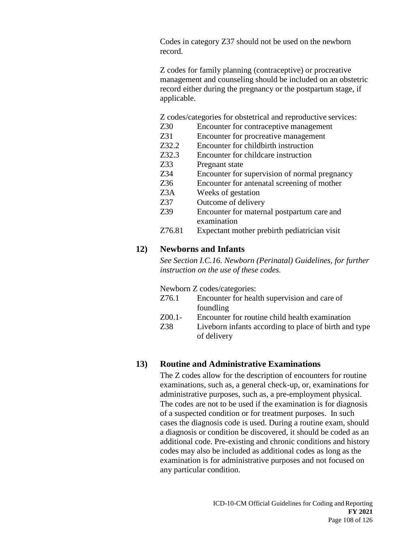Codes in category Z37 should not be used on the newborn record.

Z codes for family planning (contraceptive) or procreative management and counseling should be included on an obstetric record either during the pregnancy or the postpartum stage, if applicable.

Z codes/categories for obstetrical and reproductive services:

- Z30 Encounter for contraceptive management
- Z31 Encounter for procreative management
- Z32.2 Encounter for childbirth instruction
- Z32.3 Encounter for childcare instruction
- Z33 Pregnant state
- Z34 Encounter for supervision of normal pregnancy
- Z36 Encounter for antenatal screening of mother
- Z3A Weeks of gestation
- Z37 Outcome of delivery
- Z39 Encounter for maternal postpartum care and examination
- Z76.81 Expectant mother prebirth pediatrician visit

#### **12) Newborns and Infants**

*See Section I.C.16. Newborn (Perinatal) Guidelines, for further instruction on the use of these codes.* 

Newborn Z codes/categories:

| Z76.1 | Encounter for health supervision and care of |  |  |  |  |  |  |
|-------|----------------------------------------------|--|--|--|--|--|--|
|       | foundling                                    |  |  |  |  |  |  |
| $  -$ |                                              |  |  |  |  |  |  |

- Z00.1- Encounter for routine child health examination
- Z38 Liveborn infants according to place of birth and type of delivery

#### **13) Routine and Administrative Examinations**

The Z codes allow for the description of encounters for routine examinations, such as, a general check-up, or, examinations for administrative purposes, such as, a pre-employment physical. The codes are not to be used if the examination is for diagnosis of a suspected condition or for treatment purposes. In such cases the diagnosis code is used. During a routine exam, should a diagnosis or condition be discovered, it should be coded as an additional code. Pre-existing and chronic conditions and history codes may also be included as additional codes as long as the examination is for administrative purposes and not focused on any particular condition.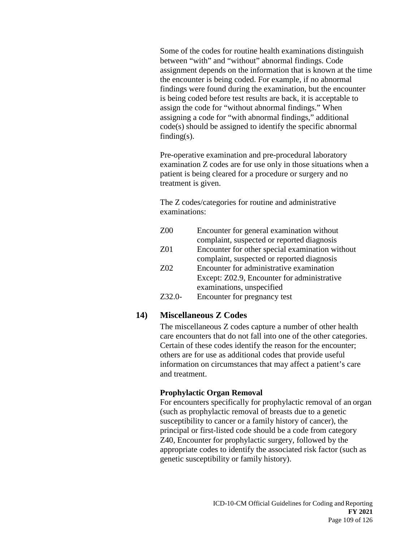Some of the codes for routine health examinations distinguish between "with" and "without" abnormal findings. Code assignment depends on the information that is known at the time the encounter is being coded. For example, if no abnormal findings were found during the examination, but the encounter is being coded before test results are back, it is acceptable to assign the code for "without abnormal findings." When assigning a code for "with abnormal findings," additional code(s) should be assigned to identify the specific abnormal  $finding(s)$ .

Pre-operative examination and pre-procedural laboratory examination Z codes are for use only in those situations when a patient is being cleared for a procedure or surgery and no treatment is given.

The Z codes/categories for routine and administrative examinations:

| <b>Z00</b> | Encounter for general examination without       |
|------------|-------------------------------------------------|
|            | complaint, suspected or reported diagnosis      |
| Z01        | Encounter for other special examination without |
|            | complaint, suspected or reported diagnosis      |
| <b>Z02</b> | Encounter for administrative examination        |
|            | Except: Z02.9, Encounter for administrative     |
|            | examinations, unspecified                       |
| $Z_{2.0}$  | Encounter for pregnancy test                    |

#### **14) Miscellaneous Z Codes**

The miscellaneous Z codes capture a number of other health care encounters that do not fall into one of the other categories. Certain of these codes identify the reason for the encounter; others are for use as additional codes that provide useful information on circumstances that may affect a patient's care and treatment.

#### **Prophylactic Organ Removal**

For encounters specifically for prophylactic removal of an organ (such as prophylactic removal of breasts due to a genetic susceptibility to cancer or a family history of cancer), the principal or first-listed code should be a code from category Z40, Encounter for prophylactic surgery, followed by the appropriate codes to identify the associated risk factor (such as genetic susceptibility or family history).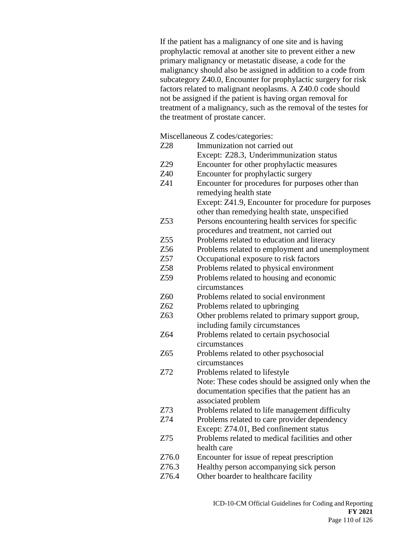If the patient has a malignancy of one site and is having prophylactic removal at another site to prevent either a new primary malignancy or metastatic disease, a code for the malignancy should also be assigned in addition to a code from subcategory Z40.0, Encounter for prophylactic surgery for risk factors related to malignant neoplasms. A Z40.0 code should not be assigned if the patient is having organ removal for treatment of a malignancy, such as the removal of the testes for the treatment of prostate cancer.

Miscellaneous Z codes/categories:

| Z28   | Immunization not carried out                        |
|-------|-----------------------------------------------------|
|       | Except: Z28.3, Underimmunization status             |
| Z29   | Encounter for other prophylactic measures           |
| Z40   | Encounter for prophylactic surgery                  |
| Z41   | Encounter for procedures for purposes other than    |
|       | remedying health state                              |
|       | Except: Z41.9, Encounter for procedure for purposes |
|       | other than remedying health state, unspecified      |
| Z53   | Persons encountering health services for specific   |
|       | procedures and treatment, not carried out           |
| Z55   | Problems related to education and literacy          |
| Z56   | Problems related to employment and unemployment     |
| Z57   | Occupational exposure to risk factors               |
| Z58   | Problems related to physical environment            |
| Z59   | Problems related to housing and economic            |
|       | circumstances                                       |
| Z60   | Problems related to social environment              |
| Z62   | Problems related to upbringing                      |
| Z63   | Other problems related to primary support group,    |
|       | including family circumstances                      |
| Z64   | Problems related to certain psychosocial            |
|       | circumstances                                       |
| Z65   | Problems related to other psychosocial              |
|       | circumstances                                       |
| Z72   | Problems related to lifestyle                       |
|       | Note: These codes should be assigned only when the  |
|       | documentation specifies that the patient has an     |
|       | associated problem                                  |
| Z73   | Problems related to life management difficulty      |
| Z74   | Problems related to care provider dependency        |
|       | Except: Z74.01, Bed confinement status              |
| Z75   | Problems related to medical facilities and other    |
|       | health care                                         |
| Z76.0 | Encounter for issue of repeat prescription          |
| Z76.3 | Healthy person accompanying sick person             |
| Z76.4 | Other boarder to healthcare facility                |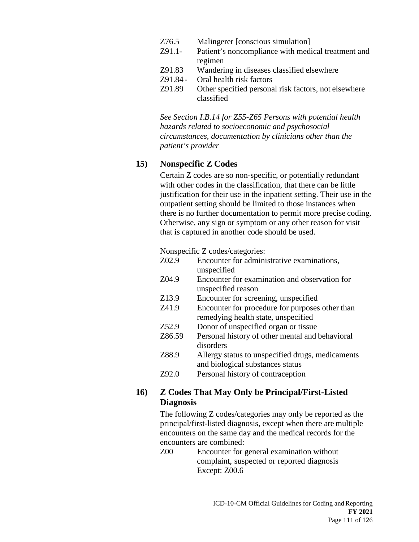- Z76.5 Malingerer [conscious simulation]
- Z91.1- Patient's noncompliance with medical treatment and regimen
- Z91.83 Wandering in diseases classified elsewhere
- Z91.84 Oral health risk factors
- Z91.89 Other specified personal risk factors, not elsewhere classified

*See Section I.B.14 for Z55-Z65 Persons with potential health hazards related to socioeconomic and psychosocial circumstances, documentation by clinicians other than the patient's provider* 

#### **15) Nonspecific Z Codes**

Certain Z codes are so non-specific, or potentially redundant with other codes in the classification, that there can be little justification for their use in the inpatient setting. Their use in the outpatient setting should be limited to those instances when there is no further documentation to permit more precise coding. Otherwise, any sign or symptom or any other reason for visit that is captured in another code should be used.

Nonspecific Z codes/categories:

| Z02.9  | Encounter for administrative examinations,                                                                |
|--------|-----------------------------------------------------------------------------------------------------------|
|        | unspecified                                                                                               |
| Z04.9  | Encounter for examination and observation for                                                             |
|        | unspecified reason                                                                                        |
| Z13.9  | Encounter for screening, unspecified                                                                      |
| Z41.9  | Encounter for procedure for purposes other than                                                           |
|        | remedying health state, unspecified                                                                       |
| Z52.9  | Donor of unspecified organ or tissue                                                                      |
| Z86.59 | Personal history of other mental and behavioral                                                           |
|        | disorders                                                                                                 |
| Z88.9  | Allergy status to unspecified drugs, medicaments                                                          |
|        | and biological substances status                                                                          |
| 7000   | $\mathbf{D}$ , we can contribute the contribution of the contribution of the contribution of $\mathbf{C}$ |

Z92.0 Personal history of contraception

#### **16) Z Codes That May Only be Principal/First-Listed Diagnosis**

The following Z codes/categories may only be reported as the principal/first-listed diagnosis, except when there are multiple encounters on the same day and the medical records for the encounters are combined:

Z00 Encounter for general examination without complaint, suspected or reported diagnosis Except: Z00.6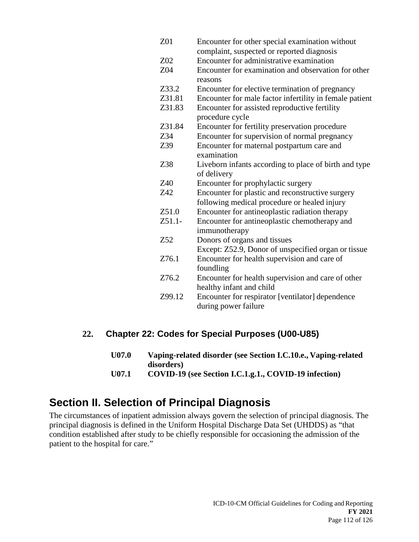| Z <sub>01</sub> | Encounter for other special examination without<br>complaint, suspected or reported diagnosis    |
|-----------------|--------------------------------------------------------------------------------------------------|
| Z <sub>02</sub> | Encounter for administrative examination                                                         |
| <b>Z04</b>      | Encounter for examination and observation for other<br>reasons                                   |
| Z33.2           | Encounter for elective termination of pregnancy                                                  |
| Z31.81          | Encounter for male factor infertility in female patient                                          |
| Z31.83          | Encounter for assisted reproductive fertility<br>procedure cycle                                 |
| Z31.84          | Encounter for fertility preservation procedure                                                   |
| Z <sub>34</sub> | Encounter for supervision of normal pregnancy                                                    |
| Z39             | Encounter for maternal postpartum care and<br>examination                                        |
| Z38             | Liveborn infants according to place of birth and type<br>of delivery                             |
| Z40             | Encounter for prophylactic surgery                                                               |
| Z42             | Encounter for plastic and reconstructive surgery<br>following medical procedure or healed injury |
| Z51.0           | Encounter for antineoplastic radiation therapy                                                   |
| $Z51.1-$        | Encounter for antineoplastic chemotherapy and<br>immunotherapy                                   |
| Z52             | Donors of organs and tissues<br>Except: Z52.9, Donor of unspecified organ or tissue              |
| Z76.1           | Encounter for health supervision and care of<br>foundling                                        |
| Z76.2           | Encounter for health supervision and care of other<br>healthy infant and child                   |
| Z99.12          | Encounter for respirator [ventilator] dependence<br>during power failure                         |

#### **22. Chapter 22: Codes for Special Purposes (U00-U85)**

| U07.0 | Vaping-related disorder (see Section I.C.10.e., Vaping-related |
|-------|----------------------------------------------------------------|
|       | disorders)                                                     |
| U07.1 | COVID-19 (see Section I.C.1.g.1., COVID-19 infection)          |

# **Section II. Selection of Principal Diagnosis**

The circumstances of inpatient admission always govern the selection of principal diagnosis. The principal diagnosis is defined in the Uniform Hospital Discharge Data Set (UHDDS) as "that condition established after study to be chiefly responsible for occasioning the admission of the patient to the hospital for care."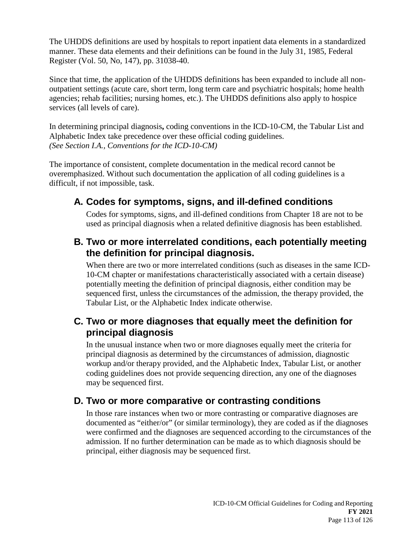The UHDDS definitions are used by hospitals to report inpatient data elements in a standardized manner. These data elements and their definitions can be found in the July 31, 1985, Federal Register (Vol. 50, No, 147), pp. 31038-40.

Since that time, the application of the UHDDS definitions has been expanded to include all nonoutpatient settings (acute care, short term, long term care and psychiatric hospitals; home health agencies; rehab facilities; nursing homes, etc.). The UHDDS definitions also apply to hospice services (all levels of care).

In determining principal diagnosis**,** coding conventions in the ICD-10-CM, the Tabular List and Alphabetic Index take precedence over these official coding guidelines. *(See Section I.A., Conventions for the ICD-10-CM)*

The importance of consistent, complete documentation in the medical record cannot be overemphasized. Without such documentation the application of all coding guidelines is a difficult, if not impossible, task.

## **A. Codes for symptoms, signs, and ill-defined conditions**

Codes for symptoms, signs, and ill-defined conditions from Chapter 18 are not to be used as principal diagnosis when a related definitive diagnosis has been established.

#### **B. Two or more interrelated conditions, each potentially meeting the definition for principal diagnosis.**

When there are two or more interrelated conditions (such as diseases in the same ICD-10-CM chapter or manifestations characteristically associated with a certain disease) potentially meeting the definition of principal diagnosis, either condition may be sequenced first, unless the circumstances of the admission, the therapy provided, the Tabular List, or the Alphabetic Index indicate otherwise.

### **C. Two or more diagnoses that equally meet the definition for principal diagnosis**

In the unusual instance when two or more diagnoses equally meet the criteria for principal diagnosis as determined by the circumstances of admission, diagnostic workup and/or therapy provided, and the Alphabetic Index, Tabular List, or another coding guidelines does not provide sequencing direction, any one of the diagnoses may be sequenced first.

### **D. Two or more comparative or contrasting conditions**

In those rare instances when two or more contrasting or comparative diagnoses are documented as "either/or" (or similar terminology), they are coded as if the diagnoses were confirmed and the diagnoses are sequenced according to the circumstances of the admission. If no further determination can be made as to which diagnosis should be principal, either diagnosis may be sequenced first.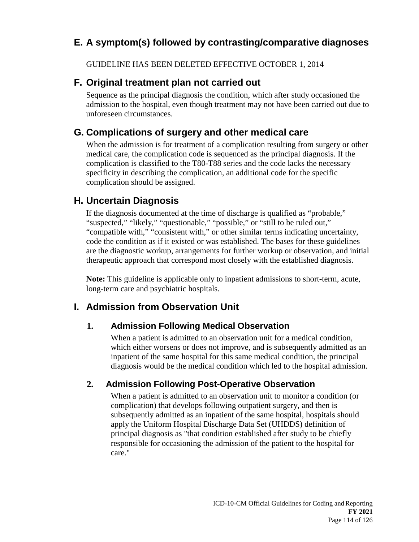# **E. A symptom(s) followed by contrasting/comparative diagnoses**

GUIDELINE HAS BEEN DELETED EFFECTIVE OCTOBER 1, 2014

#### **F. Original treatment plan not carried out**

Sequence as the principal diagnosis the condition, which after study occasioned the admission to the hospital, even though treatment may not have been carried out due to unforeseen circumstances.

### **G. Complications of surgery and other medical care**

When the admission is for treatment of a complication resulting from surgery or other medical care, the complication code is sequenced as the principal diagnosis. If the complication is classified to the T80-T88 series and the code lacks the necessary specificity in describing the complication, an additional code for the specific complication should be assigned.

## **H. Uncertain Diagnosis**

If the diagnosis documented at the time of discharge is qualified as "probable," "suspected," "likely," "questionable," "possible," or "still to be ruled out," "compatible with," "consistent with," or other similar terms indicating uncertainty, code the condition as if it existed or was established. The bases for these guidelines are the diagnostic workup, arrangements for further workup or observation, and initial therapeutic approach that correspond most closely with the established diagnosis.

**Note:** This guideline is applicable only to inpatient admissions to short-term, acute, long-term care and psychiatric hospitals.

## **I. Admission from Observation Unit**

#### **1. Admission Following Medical Observation**

When a patient is admitted to an observation unit for a medical condition, which either worsens or does not improve, and is subsequently admitted as an inpatient of the same hospital for this same medical condition, the principal diagnosis would be the medical condition which led to the hospital admission.

### **2. Admission Following Post-Operative Observation**

When a patient is admitted to an observation unit to monitor a condition (or complication) that develops following outpatient surgery, and then is subsequently admitted as an inpatient of the same hospital, hospitals should apply the Uniform Hospital Discharge Data Set (UHDDS) definition of principal diagnosis as "that condition established after study to be chiefly responsible for occasioning the admission of the patient to the hospital for care."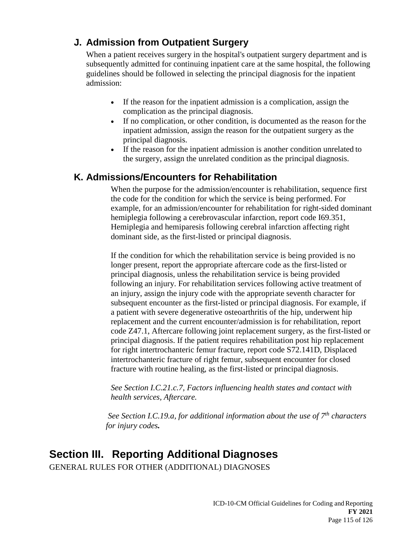# **J. Admission from Outpatient Surgery**

When a patient receives surgery in the hospital's outpatient surgery department and is subsequently admitted for continuing inpatient care at the same hospital, the following guidelines should be followed in selecting the principal diagnosis for the inpatient admission:

- If the reason for the inpatient admission is a complication, assign the complication as the principal diagnosis.
- If no complication, or other condition, is documented as the reason for the inpatient admission, assign the reason for the outpatient surgery as the principal diagnosis.
- If the reason for the inpatient admission is another condition unrelated to the surgery, assign the unrelated condition as the principal diagnosis.

# **K. Admissions/Encounters for Rehabilitation**

When the purpose for the admission/encounter is rehabilitation, sequence first the code for the condition for which the service is being performed. For example, for an admission/encounter for rehabilitation for right-sided dominant hemiplegia following a cerebrovascular infarction, report code I69.351, Hemiplegia and hemiparesis following cerebral infarction affecting right dominant side, as the first-listed or principal diagnosis.

If the condition for which the rehabilitation service is being provided is no longer present, report the appropriate aftercare code as the first-listed or principal diagnosis, unless the rehabilitation service is being provided following an injury. For rehabilitation services following active treatment of an injury, assign the injury code with the appropriate seventh character for subsequent encounter as the first-listed or principal diagnosis. For example, if a patient with severe degenerative osteoarthritis of the hip, underwent hip replacement and the current encounter/admission is for rehabilitation, report code Z47.1, Aftercare following joint replacement surgery, as the first-listed or principal diagnosis. If the patient requires rehabilitation post hip replacement for right intertrochanteric femur fracture, report code S72.141D, Displaced intertrochanteric fracture of right femur, subsequent encounter for closed fracture with routine healing, as the first-listed or principal diagnosis.

*See Section I.C.21.c.7, Factors influencing health states and contact with health services, Aftercare.*

*See Section I.C.19.a, for additional information about the use of 7th characters for injury codes.* 

# **Section III. Reporting Additional Diagnoses**

GENERAL RULES FOR OTHER (ADDITIONAL) DIAGNOSES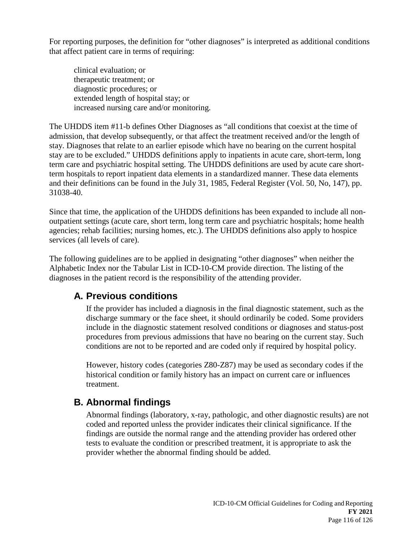For reporting purposes, the definition for "other diagnoses" is interpreted as additional conditions that affect patient care in terms of requiring:

clinical evaluation; or therapeutic treatment; or diagnostic procedures; or extended length of hospital stay; or increased nursing care and/or monitoring.

The UHDDS item #11-b defines Other Diagnoses as "all conditions that coexist at the time of admission, that develop subsequently, or that affect the treatment received and/or the length of stay. Diagnoses that relate to an earlier episode which have no bearing on the current hospital stay are to be excluded." UHDDS definitions apply to inpatients in acute care, short-term, long term care and psychiatric hospital setting. The UHDDS definitions are used by acute care shortterm hospitals to report inpatient data elements in a standardized manner. These data elements and their definitions can be found in the July 31, 1985, Federal Register (Vol. 50, No, 147), pp. 31038-40.

Since that time, the application of the UHDDS definitions has been expanded to include all nonoutpatient settings (acute care, short term, long term care and psychiatric hospitals; home health agencies; rehab facilities; nursing homes, etc.). The UHDDS definitions also apply to hospice services (all levels of care).

The following guidelines are to be applied in designating "other diagnoses" when neither the Alphabetic Index nor the Tabular List in ICD-10-CM provide direction. The listing of the diagnoses in the patient record is the responsibility of the attending provider.

## **A. Previous conditions**

If the provider has included a diagnosis in the final diagnostic statement, such as the discharge summary or the face sheet, it should ordinarily be coded. Some providers include in the diagnostic statement resolved conditions or diagnoses and status-post procedures from previous admissions that have no bearing on the current stay. Such conditions are not to be reported and are coded only if required by hospital policy.

However, history codes (categories Z80-Z87) may be used as secondary codes if the historical condition or family history has an impact on current care or influences treatment.

### **B. Abnormal findings**

Abnormal findings (laboratory, x-ray, pathologic, and other diagnostic results) are not coded and reported unless the provider indicates their clinical significance. If the findings are outside the normal range and the attending provider has ordered other tests to evaluate the condition or prescribed treatment, it is appropriate to ask the provider whether the abnormal finding should be added.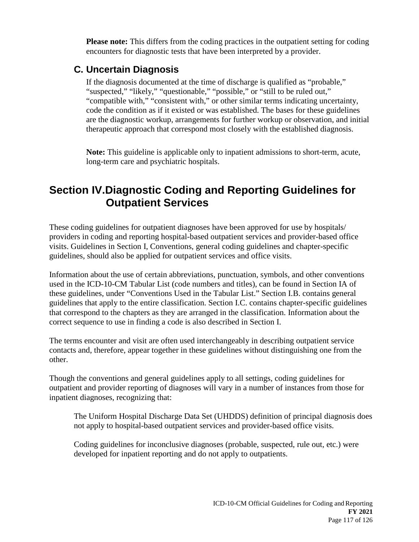**Please note:** This differs from the coding practices in the outpatient setting for coding encounters for diagnostic tests that have been interpreted by a provider.

#### **C. Uncertain Diagnosis**

If the diagnosis documented at the time of discharge is qualified as "probable," "suspected," "likely," "questionable," "possible," or "still to be ruled out," "compatible with," "consistent with," or other similar terms indicating uncertainty, code the condition as if it existed or was established. The bases for these guidelines are the diagnostic workup, arrangements for further workup or observation, and initial therapeutic approach that correspond most closely with the established diagnosis.

**Note:** This guideline is applicable only to inpatient admissions to short-term, acute, long-term care and psychiatric hospitals.

# **Section IV.Diagnostic Coding and Reporting Guidelines for Outpatient Services**

These coding guidelines for outpatient diagnoses have been approved for use by hospitals/ providers in coding and reporting hospital-based outpatient services and provider-based office visits. Guidelines in Section I, Conventions, general coding guidelines and chapter-specific guidelines, should also be applied for outpatient services and office visits.

Information about the use of certain abbreviations, punctuation, symbols, and other conventions used in the ICD-10-CM Tabular List (code numbers and titles), can be found in Section IA of these guidelines, under "Conventions Used in the Tabular List." Section I.B. contains general guidelines that apply to the entire classification. Section I.C. contains chapter-specific guidelines that correspond to the chapters as they are arranged in the classification. Information about the correct sequence to use in finding a code is also described in Section I.

The terms encounter and visit are often used interchangeably in describing outpatient service contacts and, therefore, appear together in these guidelines without distinguishing one from the other.

Though the conventions and general guidelines apply to all settings, coding guidelines for outpatient and provider reporting of diagnoses will vary in a number of instances from those for inpatient diagnoses, recognizing that:

The Uniform Hospital Discharge Data Set (UHDDS) definition of principal diagnosis does not apply to hospital-based outpatient services and provider-based office visits.

Coding guidelines for inconclusive diagnoses (probable, suspected, rule out, etc.) were developed for inpatient reporting and do not apply to outpatients.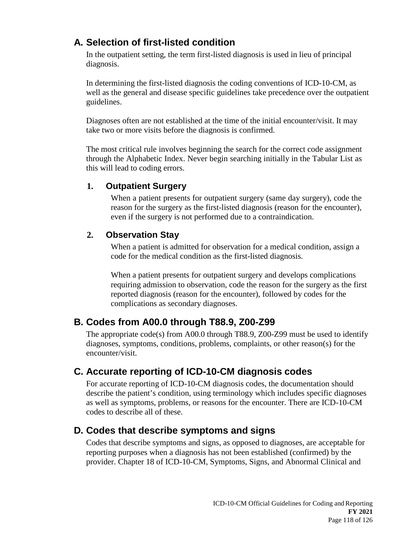## **A. Selection of first-listed condition**

In the outpatient setting, the term first-listed diagnosis is used in lieu of principal diagnosis.

In determining the first-listed diagnosis the coding conventions of ICD-10-CM, as well as the general and disease specific guidelines take precedence over the outpatient guidelines.

Diagnoses often are not established at the time of the initial encounter/visit. It may take two or more visits before the diagnosis is confirmed.

The most critical rule involves beginning the search for the correct code assignment through the Alphabetic Index. Never begin searching initially in the Tabular List as this will lead to coding errors.

#### **1. Outpatient Surgery**

When a patient presents for outpatient surgery (same day surgery), code the reason for the surgery as the first-listed diagnosis (reason for the encounter), even if the surgery is not performed due to a contraindication.

#### **2. Observation Stay**

When a patient is admitted for observation for a medical condition, assign a code for the medical condition as the first-listed diagnosis.

When a patient presents for outpatient surgery and develops complications requiring admission to observation, code the reason for the surgery as the first reported diagnosis (reason for the encounter), followed by codes for the complications as secondary diagnoses.

### **B. Codes from A00.0 through T88.9, Z00-Z99**

The appropriate code(s) from A00.0 through T88.9, Z00-Z99 must be used to identify diagnoses, symptoms, conditions, problems, complaints, or other reason(s) for the encounter/visit.

### **C. Accurate reporting of ICD-10-CM diagnosis codes**

For accurate reporting of ICD-10-CM diagnosis codes, the documentation should describe the patient's condition, using terminology which includes specific diagnoses as well as symptoms, problems, or reasons for the encounter. There are ICD-10-CM codes to describe all of these.

### **D. Codes that describe symptoms and signs**

Codes that describe symptoms and signs, as opposed to diagnoses, are acceptable for reporting purposes when a diagnosis has not been established (confirmed) by the provider. Chapter 18 of ICD-10-CM, Symptoms, Signs, and Abnormal Clinical and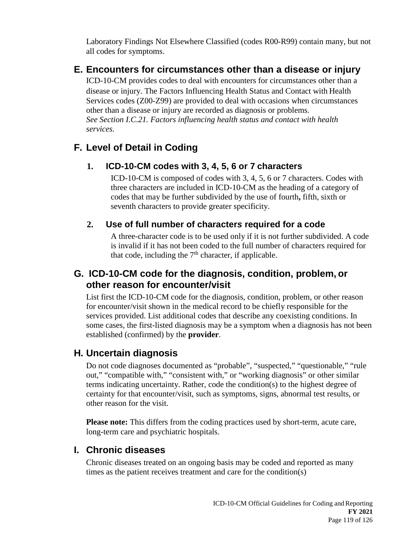Laboratory Findings Not Elsewhere Classified (codes R00-R99) contain many, but not all codes for symptoms.

### **E. Encounters for circumstances other than a disease or injury**

ICD-10-CM provides codes to deal with encounters for circumstances other than a disease or injury. The Factors Influencing Health Status and Contact with Health Services codes (Z00-Z99) are provided to deal with occasions when circumstances other than a disease or injury are recorded as diagnosis or problems*. See Section I.C.21. Factors influencing health status and contact with health services.*

# **F. Level of Detail in Coding**

### **1. ICD-10-CM codes with 3, 4, 5, 6 or 7 characters**

ICD-10-CM is composed of codes with 3, 4, 5, 6 or 7 characters. Codes with three characters are included in ICD-10-CM as the heading of a category of codes that may be further subdivided by the use of fourth**,** fifth, sixth or seventh characters to provide greater specificity.

### **2. Use of full number of character***s* **required for a code**

A three-character code is to be used only if it is not further subdivided. A code is invalid if it has not been coded to the full number of characters required for that code, including the  $7<sup>th</sup>$  character, if applicable.

### **G. ICD-10-CM code for the diagnosis, condition, problem, or other reason for encounter/visit**

List first the ICD-10-CM code for the diagnosis, condition, problem, or other reason for encounter/visit shown in the medical record to be chiefly responsible for the services provided. List additional codes that describe any coexisting conditions. In some cases, the first-listed diagnosis may be a symptom when a diagnosis has not been established (confirmed) by the **provider**.

## **H. Uncertain diagnosis**

Do not code diagnoses documented as "probable", "suspected," "questionable," "rule out," "compatible with," "consistent with," or "working diagnosis" or other similar terms indicating uncertainty. Rather, code the condition(s) to the highest degree of certainty for that encounter/visit, such as symptoms, signs, abnormal test results, or other reason for the visit.

**Please note:** This differs from the coding practices used by short-term, acute care, long-term care and psychiatric hospitals.

### **I. Chronic diseases**

Chronic diseases treated on an ongoing basis may be coded and reported as many times as the patient receives treatment and care for the condition(s)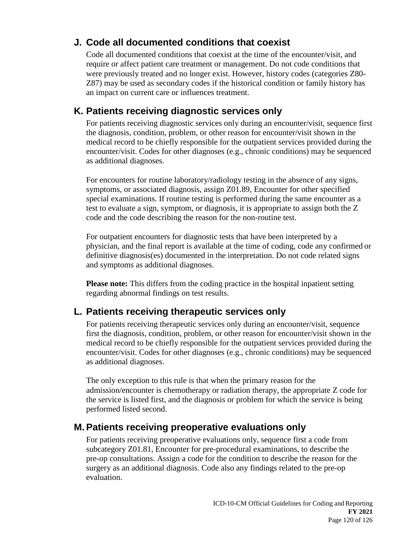### **J. Code all documented conditions that coexist**

Code all documented conditions that coexist at the time of the encounter/visit, and require or affect patient care treatment or management. Do not code conditions that were previously treated and no longer exist. However, history codes (categories Z80- Z87) may be used as secondary codes if the historical condition or family history has an impact on current care or influences treatment.

### **K. Patients receiving diagnostic services only**

For patients receiving diagnostic services only during an encounter/visit, sequence first the diagnosis, condition, problem, or other reason for encounter/visit shown in the medical record to be chiefly responsible for the outpatient services provided during the encounter/visit. Codes for other diagnoses (e.g., chronic conditions) may be sequenced as additional diagnoses.

For encounters for routine laboratory/radiology testing in the absence of any signs, symptoms, or associated diagnosis, assign Z01.89, Encounter for other specified special examinations. If routine testing is performed during the same encounter as a test to evaluate a sign, symptom, or diagnosis, it is appropriate to assign both the Z code and the code describing the reason for the non-routine test.

For outpatient encounters for diagnostic tests that have been interpreted by a physician, and the final report is available at the time of coding, code any confirmed or definitive diagnosis(es) documented in the interpretation. Do not code related signs and symptoms as additional diagnoses.

**Please note:** This differs from the coding practice in the hospital inpatient setting regarding abnormal findings on test results.

## **L. Patients receiving therapeutic services only**

For patients receiving therapeutic services only during an encounter/visit, sequence first the diagnosis, condition, problem, or other reason for encounter/visit shown in the medical record to be chiefly responsible for the outpatient services provided during the encounter/visit. Codes for other diagnoses (e.g., chronic conditions) may be sequenced as additional diagnoses.

The only exception to this rule is that when the primary reason for the admission/encounter is chemotherapy or radiation therapy, the appropriate Z code for the service is listed first, and the diagnosis or problem for which the service is being performed listed second.

### **M. Patients receiving preoperative evaluations only**

For patients receiving preoperative evaluations only, sequence first a code from subcategory Z01.81, Encounter for pre-procedural examinations, to describe the pre-op consultations. Assign a code for the condition to describe the reason for the surgery as an additional diagnosis. Code also any findings related to the pre-op evaluation.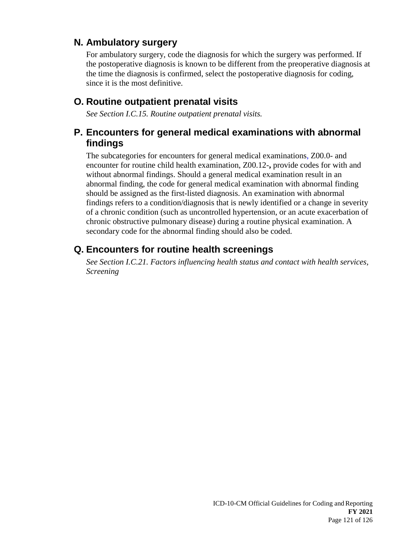### **N. Ambulatory surgery**

For ambulatory surgery, code the diagnosis for which the surgery was performed. If the postoperative diagnosis is known to be different from the preoperative diagnosis at the time the diagnosis is confirmed, select the postoperative diagnosis for coding, since it is the most definitive.

#### **O. Routine outpatient prenatal visits**

*See Section I.C.15. Routine outpatient prenatal visits.*

### **P. Encounters for general medical examinations with abnormal findings**

The subcategories for encounters for general medical examinations, Z00.0- and encounter for routine child health examination, Z00.12-**,** provide codes for with and without abnormal findings. Should a general medical examination result in an abnormal finding, the code for general medical examination with abnormal finding should be assigned as the first-listed diagnosis. An examination with abnormal findings refers to a condition/diagnosis that is newly identified or a change in severity of a chronic condition (such as uncontrolled hypertension, or an acute exacerbation of chronic obstructive pulmonary disease) during a routine physical examination. A secondary code for the abnormal finding should also be coded.

### **Q. Encounters for routine health screenings**

*See Section I.C.21. Factors influencing health status and contact with health services, Screening*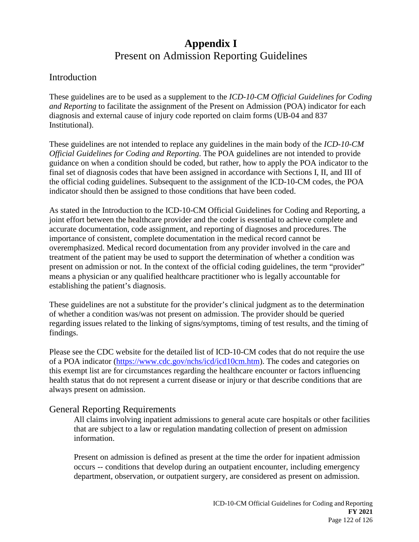# **Appendix I** Present on Admission Reporting Guidelines

#### Introduction

These guidelines are to be used as a supplement to the *ICD-10-CM Official Guidelines for Coding and Reporting* to facilitate the assignment of the Present on Admission (POA) indicator for each diagnosis and external cause of injury code reported on claim forms (UB-04 and 837 Institutional).

These guidelines are not intended to replace any guidelines in the main body of the *ICD-10-CM Official Guidelines for Coding and Reporting*. The POA guidelines are not intended to provide guidance on when a condition should be coded, but rather, how to apply the POA indicator to the final set of diagnosis codes that have been assigned in accordance with Sections I, II, and III of the official coding guidelines. Subsequent to the assignment of the ICD-10-CM codes, the POA indicator should then be assigned to those conditions that have been coded.

As stated in the Introduction to the ICD-10-CM Official Guidelines for Coding and Reporting, a joint effort between the healthcare provider and the coder is essential to achieve complete and accurate documentation, code assignment, and reporting of diagnoses and procedures. The importance of consistent, complete documentation in the medical record cannot be overemphasized. Medical record documentation from any provider involved in the care and treatment of the patient may be used to support the determination of whether a condition was present on admission or not. In the context of the official coding guidelines, the term "provider" means a physician or any qualified healthcare practitioner who is legally accountable for establishing the patient's diagnosis.

These guidelines are not a substitute for the provider's clinical judgment as to the determination of whether a condition was/was not present on admission. The provider should be queried regarding issues related to the linking of signs/symptoms, timing of test results, and the timing of findings.

Please see the CDC website for the detailed list of ICD-10-CM codes that do not require the use of a POA indicator [\(https://www.cdc.gov/nchs/icd/icd10cm.htm\)](https://www.cdc.gov/nchs/icd/icd10cm.htm). The codes and categories on this exempt list are for circumstances regarding the healthcare encounter or factors influencing health status that do not represent a current disease or injury or that describe conditions that are always present on admission.

#### General Reporting Requirements

All claims involving inpatient admissions to general acute care hospitals or other facilities that are subject to a law or regulation mandating collection of present on admission information.

Present on admission is defined as present at the time the order for inpatient admission occurs -- conditions that develop during an outpatient encounter, including emergency department, observation, or outpatient surgery, are considered as present on admission.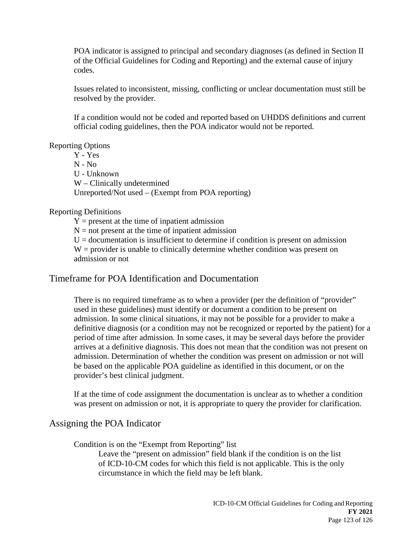POA indicator is assigned to principal and secondary diagnoses (as defined in Section II of the Official Guidelines for Coding and Reporting) and the external cause of injury codes.

Issues related to inconsistent, missing, conflicting or unclear documentation must still be resolved by the provider.

If a condition would not be coded and reported based on UHDDS definitions and current official coding guidelines, then the POA indicator would not be reported.

#### Reporting Options

Y - Yes  $N - No$ U - Unknown W – Clinically undetermined Unreported/Not used – (Exempt from POA reporting)

#### Reporting Definitions

 $Y =$  present at the time of inpatient admission

 $N =$  not present at the time of inpatient admission

 $U =$  documentation is insufficient to determine if condition is present on admission  $W =$  provider is unable to clinically determine whether condition was present on admission or not

#### Timeframe for POA Identification and Documentation

There is no required timeframe as to when a provider (per the definition of "provider" used in these guidelines) must identify or document a condition to be present on admission. In some clinical situations, it may not be possible for a provider to make a definitive diagnosis (or a condition may not be recognized or reported by the patient) for a period of time after admission. In some cases, it may be several days before the provider arrives at a definitive diagnosis. This does not mean that the condition was not present on admission. Determination of whether the condition was present on admission or not will be based on the applicable POA guideline as identified in this document, or on the provider's best clinical judgment.

If at the time of code assignment the documentation is unclear as to whether a condition was present on admission or not, it is appropriate to query the provider for clarification.

#### Assigning the POA Indicator

Condition is on the "Exempt from Reporting" list

Leave the "present on admission" field blank if the condition is on the list of ICD-10-CM codes for which this field is not applicable. This is the only circumstance in which the field may be left blank.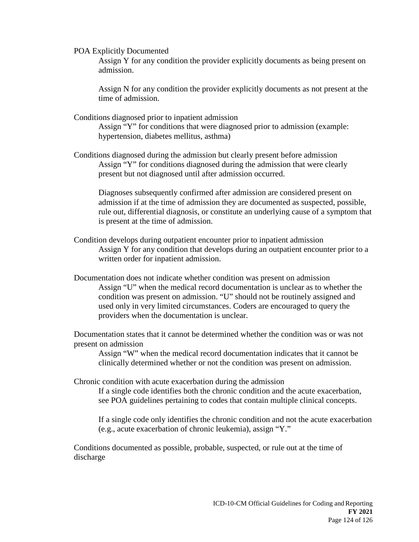POA Explicitly Documented

Assign Y for any condition the provider explicitly documents as being present on admission.

Assign N for any condition the provider explicitly documents as not present at the time of admission.

Conditions diagnosed prior to inpatient admission

Assign "Y" for conditions that were diagnosed prior to admission (example: hypertension, diabetes mellitus, asthma)

Conditions diagnosed during the admission but clearly present before admission Assign "Y" for conditions diagnosed during the admission that were clearly present but not diagnosed until after admission occurred.

Diagnoses subsequently confirmed after admission are considered present on admission if at the time of admission they are documented as suspected, possible, rule out, differential diagnosis, or constitute an underlying cause of a symptom that is present at the time of admission.

- Condition develops during outpatient encounter prior to inpatient admission Assign Y for any condition that develops during an outpatient encounter prior to a written order for inpatient admission.
- Documentation does not indicate whether condition was present on admission Assign "U" when the medical record documentation is unclear as to whether the condition was present on admission. "U" should not be routinely assigned and used only in very limited circumstances. Coders are encouraged to query the providers when the documentation is unclear.

Documentation states that it cannot be determined whether the condition was or was not present on admission

Assign "W" when the medical record documentation indicates that it cannot be clinically determined whether or not the condition was present on admission.

Chronic condition with acute exacerbation during the admission

If a single code identifies both the chronic condition and the acute exacerbation, see POA guidelines pertaining to codes that contain multiple clinical concepts.

If a single code only identifies the chronic condition and not the acute exacerbation (e.g., acute exacerbation of chronic leukemia), assign "Y."

Conditions documented as possible, probable, suspected, or rule out at the time of discharge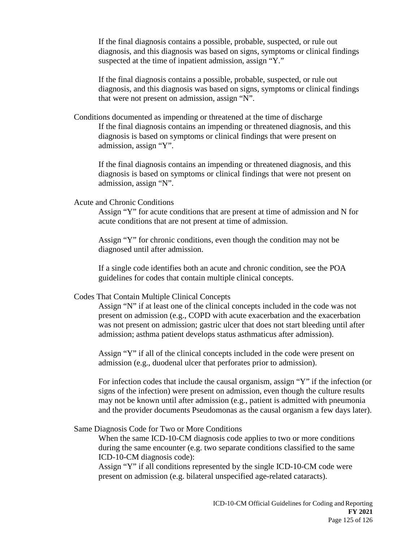If the final diagnosis contains a possible, probable, suspected, or rule out diagnosis, and this diagnosis was based on signs, symptoms or clinical findings suspected at the time of inpatient admission, assign "Y."

If the final diagnosis contains a possible, probable, suspected, or rule out diagnosis, and this diagnosis was based on signs, symptoms or clinical findings that were not present on admission, assign "N".

Conditions documented as impending or threatened at the time of discharge If the final diagnosis contains an impending or threatened diagnosis, and this diagnosis is based on symptoms or clinical findings that were present on admission, assign "Y".

If the final diagnosis contains an impending or threatened diagnosis, and this diagnosis is based on symptoms or clinical findings that were not present on admission, assign "N".

Acute and Chronic Conditions

Assign "Y" for acute conditions that are present at time of admission and N for acute conditions that are not present at time of admission.

Assign "Y" for chronic conditions, even though the condition may not be diagnosed until after admission.

If a single code identifies both an acute and chronic condition, see the POA guidelines for codes that contain multiple clinical concepts.

#### Codes That Contain Multiple Clinical Concepts

Assign "N" if at least one of the clinical concepts included in the code was not present on admission (e.g., COPD with acute exacerbation and the exacerbation was not present on admission; gastric ulcer that does not start bleeding until after admission; asthma patient develops status asthmaticus after admission).

Assign "Y" if all of the clinical concepts included in the code were present on admission (e.g., duodenal ulcer that perforates prior to admission).

For infection codes that include the causal organism, assign "Y" if the infection (or signs of the infection) were present on admission, even though the culture results may not be known until after admission (e.g., patient is admitted with pneumonia and the provider documents Pseudomonas as the causal organism a few days later).

Same Diagnosis Code for Two or More Conditions

When the same ICD-10-CM diagnosis code applies to two or more conditions during the same encounter (e.g. two separate conditions classified to the same ICD-10-CM diagnosis code):

Assign "Y" if all conditions represented by the single ICD-10-CM code were present on admission (e.g. bilateral unspecified age-related cataracts).